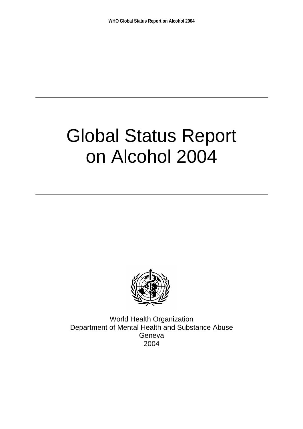# Global Status Report on Alcohol 2004



World Health Organization Department of Mental Health and Substance Abuse **Geneva** 2004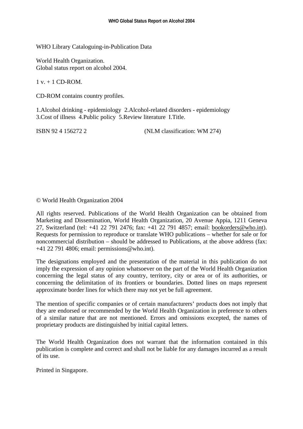WHO Library Cataloguing-in-Publication Data

World Health Organization. Global status report on alcohol 2004.

 $1 v + 1 CD-ROM.$ 

CD-ROM contains country profiles.

1.Alcohol drinking - epidemiology 2.Alcohol-related disorders - epidemiology 3.Cost of illness 4.Public policy 5.Review literature I.Title.

ISBN 92 4 156272 2 (NLM classification: WM 274)

© World Health Organization 2004

All rights reserved. Publications of the World Health Organization can be obtained from Marketing and Dissemination, World Health Organization, 20 Avenue Appia, 1211 Geneva 27, Switzerland (tel: +41 22 791 2476; fax: +41 22 791 4857; email: bookorders@who.int). Requests for permission to reproduce or translate WHO publications – whether for sale or for noncommercial distribution – should be addressed to Publications, at the above address (fax: +41 22 791 4806; email: permissions@who.int).

The designations employed and the presentation of the material in this publication do not imply the expression of any opinion whatsoever on the part of the World Health Organization concerning the legal status of any country, territory, city or area or of its authorities, or concerning the delimitation of its frontiers or boundaries. Dotted lines on maps represent approximate border lines for which there may not yet be full agreement.

The mention of specific companies or of certain manufacturers' products does not imply that they are endorsed or recommended by the World Health Organization in preference to others of a similar nature that are not mentioned. Errors and omissions excepted, the names of proprietary products are distinguished by initial capital letters.

The World Health Organization does not warrant that the information contained in this publication is complete and correct and shall not be liable for any damages incurred as a result of its use.

Printed in Singapore.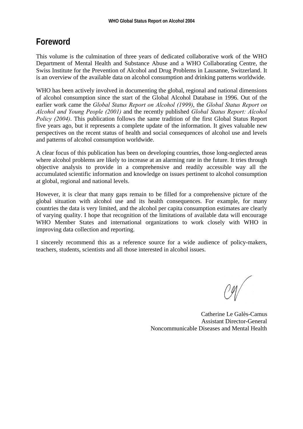# **Foreword**

This volume is the culmination of three years of dedicated collaborative work of the WHO Department of Mental Health and Substance Abuse and a WHO Collaborating Centre, the Swiss Institute for the Prevention of Alcohol and Drug Problems in Lausanne, Switzerland. It is an overview of the available data on alcohol consumption and drinking patterns worldwide.

WHO has been actively involved in documenting the global, regional and national dimensions of alcohol consumption since the start of the Global Alcohol Database in 1996. Out of the earlier work came the *Global Status Report on Alcohol (1999)*, the *Global Status Report on Alcohol and Young People (2001)* and the recently published *Global Status Report: Alcohol Policy (2004)*. This publication follows the same tradition of the first Global Status Report five years ago, but it represents a complete update of the information. It gives valuable new perspectives on the recent status of health and social consequences of alcohol use and levels and patterns of alcohol consumption worldwide.

A clear focus of this publication has been on developing countries, those long-neglected areas where alcohol problems are likely to increase at an alarming rate in the future. It tries through objective analysis to provide in a comprehensive and readily accessible way all the accumulated scientific information and knowledge on issues pertinent to alcohol consumption at global, regional and national levels.

However, it is clear that many gaps remain to be filled for a comprehensive picture of the global situation with alcohol use and its health consequences. For example, for many countries the data is very limited, and the alcohol per capita consumption estimates are clearly of varying quality. I hope that recognition of the limitations of available data will encourage WHO Member States and international organizations to work closely with WHO in improving data collection and reporting.

I sincerely recommend this as a reference source for a wide audience of policy-makers, teachers, students, scientists and all those interested in alcohol issues.

 Catherine Le Galès-Camus Assistant Director-General Noncommunicable Diseases and Mental Health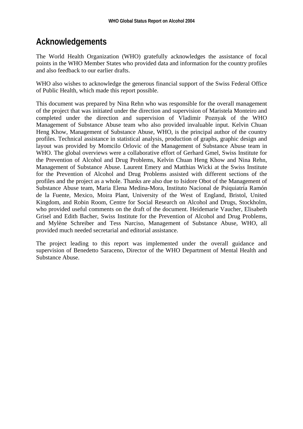# **Acknowledgements**

The World Health Organization (WHO) gratefully acknowledges the assistance of focal points in the WHO Member States who provided data and information for the country profiles and also feedback to our earlier drafts.

WHO also wishes to acknowledge the generous financial support of the Swiss Federal Office of Public Health, which made this report possible.

This document was prepared by Nina Rehn who was responsible for the overall management of the project that was initiated under the direction and supervision of Maristela Monteiro and completed under the direction and supervision of Vladimir Poznyak of the WHO Management of Substance Abuse team who also provided invaluable input. Kelvin Chuan Heng Khow, Management of Substance Abuse, WHO, is the principal author of the country profiles. Technical assistance in statistical analysis, production of graphs, graphic design and layout was provided by Momcilo Orlovic of the Management of Substance Abuse team in WHO. The global overviews were a collaborative effort of Gerhard Gmel, Swiss Institute for the Prevention of Alcohol and Drug Problems, Kelvin Chuan Heng Khow and Nina Rehn, Management of Substance Abuse. Laurent Emery and Matthias Wicki at the Swiss Institute for the Prevention of Alcohol and Drug Problems assisted with different sections of the profiles and the project as a whole. Thanks are also due to Isidore Obot of the Management of Substance Abuse team, Maria Elena Medina-Mora, Instituto Nacional de Psiquiatría Ramón de la Fuente, Mexico, Moira Plant, University of the West of England, Bristol, United Kingdom, and Robin Room, Centre for Social Research on Alcohol and Drugs, Stockholm, who provided useful comments on the draft of the document. Heidemarie Vaucher, Elisabeth Grisel and Edith Bacher, Swiss Institute for the Prevention of Alcohol and Drug Problems, and Mylène Schreiber and Tess Narciso, Management of Substance Abuse, WHO, all provided much needed secretarial and editorial assistance.

The project leading to this report was implemented under the overall guidance and supervision of Benedetto Saraceno, Director of the WHO Department of Mental Health and Substance Abuse.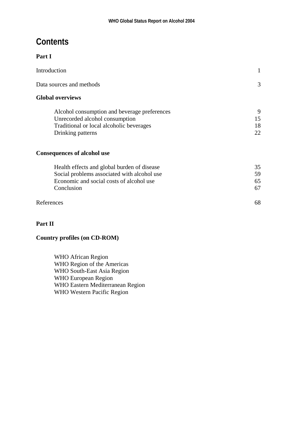# **Contents**

# **Part I**

| Introduction                                 | 1  |
|----------------------------------------------|----|
| Data sources and methods                     | 3  |
| <b>Global overviews</b>                      |    |
| Alcohol consumption and beverage preferences | 9  |
| Unrecorded alcohol consumption               | 15 |
| Traditional or local alcoholic beverages     | 18 |
| Drinking patterns                            | 22 |
| <b>Consequences of alcohol use</b>           |    |
| Health effects and global burden of disease  | 35 |
| Social problems associated with alcohol use  | 59 |
| Economic and social costs of alcohol use     | 65 |
| Conclusion                                   | 67 |

# References 68

# **Part II**

# **Country profiles (on CD-ROM)**

| <b>WHO African Region</b>         |
|-----------------------------------|
| WHO Region of the Americas        |
| WHO South-East Asia Region        |
| <b>WHO European Region</b>        |
| WHO Eastern Mediterranean Region  |
| <b>WHO Western Pacific Region</b> |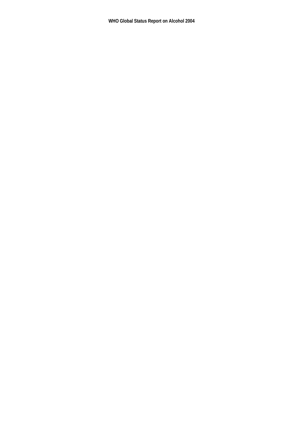**WHO Global Status Report on Alcohol 2004**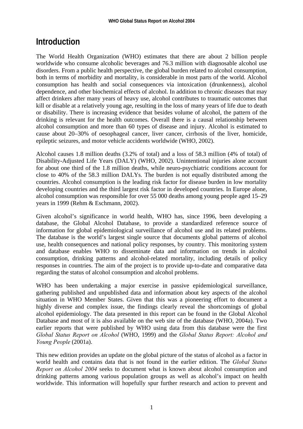# **Introduction**

The World Health Organization (WHO) estimates that there are about 2 billion people worldwide who consume alcoholic beverages and 76.3 million with diagnosable alcohol use disorders. From a public health perspective, the global burden related to alcohol consumption, both in terms of morbidity and mortality, is considerable in most parts of the world. Alcohol consumption has health and social consequences via intoxication (drunkenness), alcohol dependence, and other biochemical effects of alcohol. In addition to chronic diseases that may affect drinkers after many years of heavy use, alcohol contributes to traumatic outcomes that kill or disable at a relatively young age, resulting in the loss of many years of life due to death or disability. There is increasing evidence that besides volume of alcohol, the pattern of the drinking is relevant for the health outcomes. Overall there is a causal relationship between alcohol consumption and more than 60 types of disease and injury. Alcohol is estimated to cause about 20–30% of oesophageal cancer, liver cancer, cirrhosis of the liver, homicide, epileptic seizures, and motor vehicle accidents worldwide (WHO, 2002).

Alcohol causes 1.8 million deaths (3.2% of total) and a loss of 58.3 million (4% of total) of Disability-Adjusted Life Years (DALY) (WHO, 2002). Unintentional injuries alone account for about one third of the 1.8 million deaths, while neuro-psychiatric conditions account for close to 40% of the 58.3 million DALYs. The burden is not equally distributed among the countries. Alcohol consumption is the leading risk factor for disease burden in low mortality developing countries and the third largest risk factor in developed countries. In Europe alone, alcohol consumption was responsible for over 55 000 deaths among young people aged 15–29 years in 1999 (Rehm & Eschmann, 2002).

Given alcohol's significance in world health, WHO has, since 1996, been developing a database, the Global Alcohol Database, to provide a standardized reference source of information for global epidemiological surveillance of alcohol use and its related problems. The database is the world's largest single source that documents global patterns of alcohol use, health consequences and national policy responses, by country. This monitoring system and database enables WHO to disseminate data and information on trends in alcohol consumption, drinking patterns and alcohol-related mortality, including details of policy responses in countries. The aim of the project is to provide up-to-date and comparative data regarding the status of alcohol consumption and alcohol problems.

WHO has been undertaking a major exercise in passive epidemiological surveillance, gathering published and unpublished data and information about key aspects of the alcohol situation in WHO Member States. Given that this was a pioneering effort to document a highly diverse and complex issue, the findings clearly reveal the shortcomings of global alcohol epidemiology. The data presented in this report can be found in the Global Alcohol Database and most of it is also available on the web site of the database (WHO, 2004a). Two earlier reports that were published by WHO using data from this database were the first *Global Status Report on Alcohol* (WHO, 1999) and the *Global Status Report: Alcohol and Young People* (2001a).

This new edition provides an update on the global picture of the status of alcohol as a factor in world health and contains data that is not found in the earlier edition. The *Global Status Report on Alcohol 2004* seeks to document what is known about alcohol consumption and drinking patterns among various population groups as well as alcohol's impact on health worldwide. This information will hopefully spur further research and action to prevent and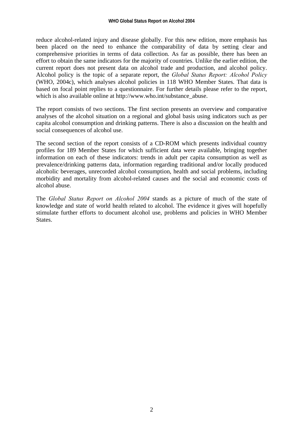reduce alcohol-related injury and disease globally. For this new edition, more emphasis has been placed on the need to enhance the comparability of data by setting clear and comprehensive priorities in terms of data collection. As far as possible, there has been an effort to obtain the same indicators for the majority of countries. Unlike the earlier edition, the current report does not present data on alcohol trade and production, and alcohol policy. Alcohol policy is the topic of a separate report, the *Global Status Report: Alcohol Policy* (WHO, 2004c), which analyses alcohol policies in 118 WHO Member States. That data is based on focal point replies to a questionnaire. For further details please refer to the report, which is also available online at http://www.who.int/substance\_abuse.

The report consists of two sections. The first section presents an overview and comparative analyses of the alcohol situation on a regional and global basis using indicators such as per capita alcohol consumption and drinking patterns. There is also a discussion on the health and social consequences of alcohol use.

The second section of the report consists of a CD-ROM which presents individual country profiles for 189 Member States for which sufficient data were available, bringing together information on each of these indicators: trends in adult per capita consumption as well as prevalence/drinking patterns data, information regarding traditional and/or locally produced alcoholic beverages, unrecorded alcohol consumption, health and social problems, including morbidity and mortality from alcohol-related causes and the social and economic costs of alcohol abuse.

The *Global Status Report on Alcohol 2004* stands as a picture of much of the state of knowledge and state of world health related to alcohol. The evidence it gives will hopefully stimulate further efforts to document alcohol use, problems and policies in WHO Member States.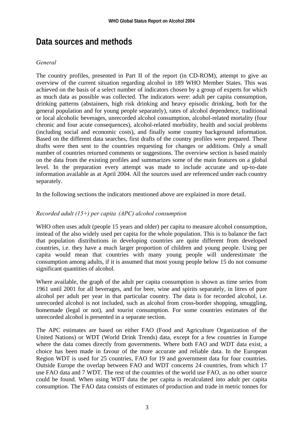# **Data sources and methods**

# *General*

The country profiles, presented in Part II of the report (in CD-ROM), attempt to give an overview of the current situation regarding alcohol in 189 WHO Member States. This was achieved on the basis of a select number of indicators chosen by a group of experts for which as much data as possible was collected. The indicators were: adult per capita consumption, drinking patterns (abstainers, high risk drinking and heavy episodic drinking, both for the general population and for young people separately), rates of alcohol dependence, traditional or local alcoholic beverages, unrecorded alcohol consumption, alcohol-related mortality (four chronic and four acute consequences), alcohol-related morbidity, health and social problems (including social and economic costs), and finally some country background information. Based on the different data searches, first drafts of the country profiles were prepared. These drafts were then sent to the countries requesting for changes or additions. Only a small number of countries returned comments or suggestions. The overview section is based mainly on the data from the existing profiles and summarizes some of the main features on a global level. In the preparation every attempt was made to include accurate and up-to-date information available as at April 2004. All the sources used are referenced under each country separately.

In the following sections the indicators mentioned above are explained in more detail.

## *Recorded adult (15+) per capita (APC) alcohol consumption*

WHO often uses adult (people 15 years and older) per capita to measure alcohol consumption, instead of the also widely used per capita for the whole population. This is to balance the fact that population distributions in developing countries are quite different from developed countries, i.e. they have a much larger proportion of children and young people. Using per capita would mean that countries with many young people will underestimate the consumption among adults, if it is assumed that most young people below 15 do not consume significant quantities of alcohol.

Where available, the graph of the adult per capita consumption is shown as time series from 1961 until 2001 for all beverages, and for beer, wine and spirits separately, in litres of pure alcohol per adult per year in that particular country. The data is for recorded alcohol, i.e. unrecorded alcohol is not included, such as alcohol from cross-border shopping, smuggling, homemade (legal or not), and tourist consumption. For some countries estimates of the unrecorded alcohol is presented in a separate section.

The APC estimates are based on either FAO (Food and Agriculture Organization of the United Nations) or WDT (World Drink Trends) data, except for a few countries in Europe where the data comes directly from governments. Where both FAO and WDT data exist, a choice has been made in favour of the more accurate and reliable data. In the European Region WDT is used for 25 countries, FAO for 19 and government data for four countries. Outside Europe the overlap between FAO and WDT concerns 24 countries, from which 17 use FAO data and 7 WDT. The rest of the countries of the world use FAO, as no other source could be found. When using WDT data the per capita is recalculated into adult per capita consumption. The FAO data consists of estimates of production and trade in metric tonnes for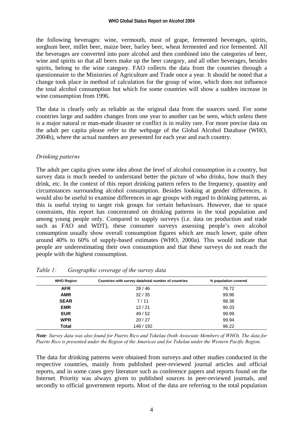the following beverages: wine, vermouth, must of grape, fermented beverages, spirits, sorghum beer, millet beer, maize beer, barley beer, wheat fermented and rice fermented. All the beverages are converted into pure alcohol and then combined into the categories of beer, wine and spirits so that all beers make up the beer category, and all other beverages, besides spirits, belong to the wine category. FAO collects the data from the countries through a questionnaire to the Ministries of Agriculture and Trade once a year. It should be noted that a change took place in method of calculation for the group of wine, which does not influence the total alcohol consumption but which for some countries will show a sudden increase in wine consumption from 1996.

The data is clearly only as reliable as the original data from the sources used. For some countries large and sudden changes from one year to another can be seen, which unless there is a major natural or man-made disaster or conflict is in reality rare. For more precise data on the adult per capita please refer to the webpage of the Global Alcohol Database (WHO, 2004b), where the actual numbers are presented for each year and each country.

### *Drinking patterns*

The adult per capita gives some idea about the level of alcohol consumption in a country, but survey data is much needed to understand better the picture of who drinks, how much they drink, etc. In the context of this report drinking pattern refers to the frequency, quantity and circumstances surrounding alcohol consumption. Besides looking at gender differences, it would also be useful to examine differences in age groups with regard to drinking patterns, as this is useful trying to target risk groups for certain behaviours. However, due to space constraints, this report has concentrated on drinking patterns in the total population and among young people only. Compared to supply surveys (i.e. data on production and trade such as FAO and WDT), these consumer surveys assessing people's own alcohol consumption usually show overall consumption figures which are much lower, quite often around 40% to 60% of supply-based estimates (WHO, 2000a). This would indicate that people are underestimating their own consumption and that these surveys do not reach the people with the highest consumption.

| <b>WHO Region</b> | Countries with survey data/total number of countries | % population covered |
|-------------------|------------------------------------------------------|----------------------|
| <b>AFR</b>        | 28/46                                                | 76.72                |
| <b>AMR</b>        | 32/35                                                | 99.96                |
| <b>SEAR</b>       | 7/11                                                 | 98.38                |
| <b>EMR</b>        | 12/21                                                | 90.33                |
| <b>EUR</b>        | 49/52                                                | 99.99                |
| <b>WPR</b>        | 20/27                                                | 99.94                |
| <b>Total</b>      | 148 / 192                                            | 96.22                |

*Table 1: Geographic coverage of the survey data* 

*Note: Survey data was also found for Puerto Rico and Tokelau (both Associate Members of WHO). The data for Puerto Rico is presented under the Region of the Americas and for Tokelau under the Western Pacific Region.* 

The data for drinking patterns were obtained from surveys and other studies conducted in the respective countries, mainly from published peer-reviewed journal articles and official reports, and in some cases grey literature such as conference papers and reports found on the Internet. Priority was always given to published sources in peer-reviewed journals, and secondly to official government reports. Most of the data are referring to the total population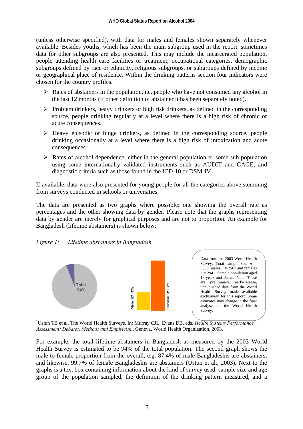(unless otherwise specified), with data for males and females shown separately whenever available. Besides youths, which has been the main subgroup used in the report, sometimes data for other subgroups are also presented. This may include the incarcerated population, people attending health care facilities or treatment, occupational categories, demographic subgroups defined by race or ethnicity, religious subgroups, or subgroups defined by income or geographical place of residence. Within the drinking patterns section four indicators were chosen for the country profiles.

- $\triangleright$  Rates of abstainers in the population, i.e. people who have not consumed any alcohol in the last 12 months (if other definition of abstainer it has been separately noted).
- $\triangleright$  Problem drinkers, heavy drinkers or high risk drinkers, as defined in the corresponding source, people drinking regularly at a level where there is a high risk of chronic or acute consequences.
- $\triangleright$  Heavy episodic or binge drinkers, as defined in the corresponding source, people drinking occasionally at a level where there is a high risk of intoxication and acute consequences.
- $\triangleright$  Rates of alcohol dependence, either in the general population or some sub-population using some internationally validated instruments such as AUDIT and CAGE, and diagnostic criteria such as those found in the ICD-10 or DSM-IV.

If available, data were also presented for young people for all the categories above stemming from surveys conducted in schools or universities.

The data are presented as two graphs where possible: one showing the overall rate as percentages and the other showing data by gender. Please note that the graphs representing data by gender are merely for graphical purposes and are not to proportion. An example for Bangladesh (lifetime abstainers) is shown below:





1 Ustun TB et al. The World Health Surveys. In: Murray CJL, Evans DB, eds. *Health Systems Performance Assessment: Debates, Methods and Empiricism*. Geneva, World Health Organization, 2003.

For example, the total lifetime abstainers in Bangladesh as measured by the 2003 World Health Survey is estimated to be 94% of the total population. The second graph shows the male to female proportion from the overall, e.g. 87.4% of male Bangladeshis are abstainers, and likewise, 99.7% of female Bangladeshis are abstainers (Ustun et al., 2003). Next to the graphs is a text box containing information about the kind of survey used, sample size and age group of the population sampled, the definition of the drinking pattern measured, and a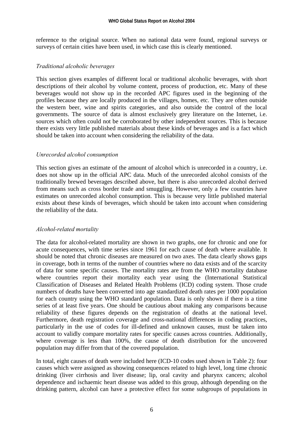reference to the original source. When no national data were found, regional surveys or surveys of certain cities have been used, in which case this is clearly mentioned.

### *Traditional alcoholic beverages*

This section gives examples of different local or traditional alcoholic beverages, with short descriptions of their alcohol by volume content, process of production, etc. Many of these beverages would not show up in the recorded APC figures used in the beginning of the profiles because they are locally produced in the villages, homes, etc. They are often outside the western beer, wine and spirits categories, and also outside the control of the local governments. The source of data is almost exclusively grey literature on the Internet, i.e. sources which often could not be corroborated by other independent sources. This is because there exists very little published materials about these kinds of beverages and is a fact which should be taken into account when considering the reliability of the data.

### *Unrecorded alcohol consumption*

This section gives an estimate of the amount of alcohol which is unrecorded in a country, i.e. does not show up in the official APC data. Much of the unrecorded alcohol consists of the traditionally brewed beverages described above, but there is also unrecorded alcohol derived from means such as cross border trade and smuggling. However, only a few countries have estimates on unrecorded alcohol consumption. This is because very little published material exists about these kinds of beverages, which should be taken into account when considering the reliability of the data.

### *Alcohol-related mortality*

The data for alcohol-related mortality are shown in two graphs, one for chronic and one for acute consequences, with time series since 1961 for each cause of death where available. It should be noted that chronic diseases are measured on two axes. The data clearly shows gaps in coverage, both in terms of the number of countries where no data exists and of the scarcity of data for some specific causes. The mortality rates are from the WHO mortality database where countries report their mortality each year using the (International Statistical Classification of Diseases and Related Health Problems (ICD) coding system. Those crude numbers of deaths have been converted into age standardized death rates per 1000 population for each country using the WHO standard population. Data is only shown if there is a time series of at least five years. One should be cautious about making any comparisons because reliability of these figures depends on the registration of deaths at the national level. Furthermore, death registration coverage and cross-national differences in coding practices, particularly in the use of codes for ill-defined and unknown causes, must be taken into account to validly compare mortality rates for specific causes across countries. Additionally, where coverage is less than 100%, the cause of death distribution for the uncovered population may differ from that of the covered population.

In total, eight causes of death were included here (ICD-10 codes used shown in Table 2): four causes which were assigned as showing consequences related to high level, long time chronic drinking (liver cirrhosis and liver disease; lip, oral cavity and pharynx cancers; alcohol dependence and ischaemic heart disease was added to this group, although depending on the drinking pattern, alcohol can have a protective effect for some subgroups of populations in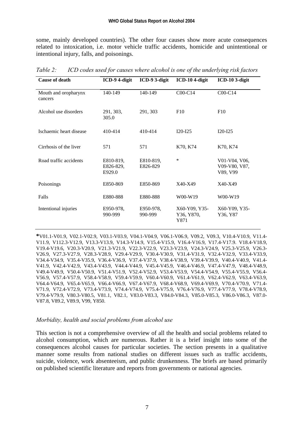some, mainly developed countries). The other four causes show more acute consequences related to intoxication, i.e. motor vehicle traffic accidents, homicide and unintentional or intentional injury, falls, and poisonings.

| <b>Cause of death</b>           | ICD-9 4-digit                    | ICD-9 3-digit         | ICD-10 4-digit                      | ICD-10 3-digit                             |
|---------------------------------|----------------------------------|-----------------------|-------------------------------------|--------------------------------------------|
| Mouth and oropharynx<br>cancers | 140-149                          | 140-149               | $COO-C14$                           | $COO-C14$                                  |
| Alcohol use disorders           | 291, 303,<br>305.0               | 291, 303              | F10                                 | F10                                        |
| Ischaemic heart disease         | 410-414                          | 410-414               | $I20-I25$                           | $I20-I25$                                  |
| Cirrhosis of the liver          | 571                              | 571                   | K70, K74                            | K70, K74                                   |
| Road traffic accidents          | E810-819,<br>E826-829,<br>E929.0 | E810-819,<br>E826-829 | ∗                                   | V01-V04, V06,<br>V09-V80, V87,<br>V89, V99 |
| Poisonings                      | E850-869                         | E850-869              | X40-X49                             | X40-X49                                    |
| Falls                           | E880-888                         | E880-888              | W00-W19                             | W00-W19                                    |
| Intentional injuries            | E950-978,<br>990-999             | E950-978,<br>990-999  | X60-Y09, Y35-<br>Y36, Y870,<br>Y871 | X60-Y09, Y35-<br>Y36, Y87                  |

*Table 2: ICD codes used for causes where alcohol is one of the underlying risk factors* 

**\***V01.1-V01.9, V02.1-V02.9, V03.1-V03.9, V04.1-V04.9, V06.1-V06.9, V09.2, V09.3, V10.4-V10.9, V11.4- V11.9, V112.3-V12.9, V13.3-V13.9, V14.3-V14.9, V15.4-V15.9, V16.4-V16.9, V17.4-V17.9. V18.4-V18.9, V19.4-V19.6, V20.3-V20.9, V21.3-V21.9, V22.3-V22.9, V23.3-V23.9, V24.3-V24.9, V25.3-V25.9, V26.3- V26.9, V27.3-V27.9, V28.3-V28.9, V29.4-V29.9, V30.4-V30.9, V31.4-V31.9, V32.4-V32.9, V33.4-V33.9, V34.4-V34.9, V35.4-V35.9, V36.4-V36.9, V37.4-V37.9, V38.4-V38.9, V39.4-V39.9, V40.4-V40.9, V41.4- V41.9, V42.4-V42.9, V43.4-V43.9, V44.4-V44.9, V45.4-V45.9, V46.4-V46.9, V47.4-V47.9, V48.4-V48.9, V49.4-V49.9, V50.4-V50.9, V51.4-V51.9, V52.4-V52.9, V53.4-V53.9, V54.4-V54.9, V55.4-V55.9, V56.4- V56.9, V57.4-V57.9, V58.4-V58.9, V59.4-V59.9, V60.4-V60.9, V61.4-V61.9, V62.4-V62.9, V63.4-V63.9, V64.4-V64.9, V65.4-V65.9, V66.4-V66.9, V67.4-V67.9, V68.4-V68.9, V69.4-V69.9, V70.4-V70.9, V71.4- V71.9, V72.4-V72.9, V73.4-V73.9, V74.4-V74.9, V75.4-V75.9, V76.4-V76.9, V77.4-V77.9, V78.4-V78.9, V79.4-V79.9, V80.3-V80.5, V81.1, V82.1, V83.0-V83.3, V84.0-V84.3, V85.0-V85.3, V86.0-V86.3, V87.0- V87.8, V89.2, V89.9, V99, Y850.

#### *Morbidity, health and social problems from alcohol use*

This section is not a comprehensive overview of all the health and social problems related to alcohol consumption, which are numerous. Rather it is a brief insight into some of the consequences alcohol causes for particular societies. The section presents in a qualitative manner some results from national studies on different issues such as traffic accidents, suicide, violence, work absenteeism, and public drunkenness. The briefs are based primarily on published scientific literature and reports from governments or national agencies.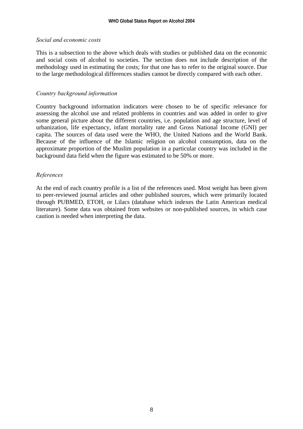#### *Social and economic costs*

This is a subsection to the above which deals with studies or published data on the economic and social costs of alcohol to societies. The section does not include description of the methodology used in estimating the costs; for that one has to refer to the original source. Due to the large methodological differences studies cannot be directly compared with each other.

### *Country background information*

Country background information indicators were chosen to be of specific relevance for assessing the alcohol use and related problems in countries and was added in order to give some general picture about the different countries, i.e. population and age structure, level of urbanization, life expectancy, infant mortality rate and Gross National Income (GNI) per capita. The sources of data used were the WHO, the United Nations and the World Bank. Because of the influence of the Islamic religion on alcohol consumption, data on the approximate proportion of the Muslim population in a particular country was included in the background data field when the figure was estimated to be 50% or more.

### *References*

At the end of each country profile is a list of the references used. Most weight has been given to peer-reviewed journal articles and other published sources, which were primarily located through PUBMED, ETOH, or Lilacs (database which indexes the Latin American medical literature). Some data was obtained from websites or non-published sources, in which case caution is needed when interpreting the data.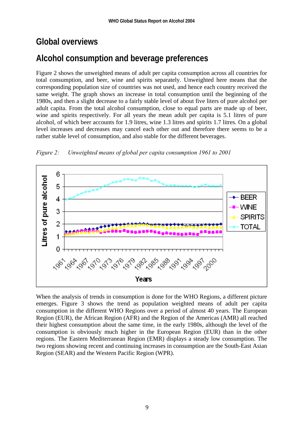# **Global overviews**

# **Alcohol consumption and beverage preferences**

Figure 2 shows the unweighted means of adult per capita consumption across all countries for total consumption, and beer, wine and spirits separately. Unweighted here means that the corresponding population size of countries was not used, and hence each country received the same weight. The graph shows an increase in total consumption until the beginning of the 1980s, and then a slight decrease to a fairly stable level of about five liters of pure alcohol per adult capita. From the total alcohol consumption, close to equal parts are made up of beer, wine and spirits respectively. For all years the mean adult per capita is 5.1 litres of pure alcohol, of which beer accounts for 1.9 litres, wine 1.3 litres and spirits 1.7 litres. On a global level increases and decreases may cancel each other out and therefore there seems to be a rather stable level of consumption, and also stable for the different beverages.



*Figure 2: Unweighted means of global per capita consumption 1961 to 2001* 

When the analysis of trends in consumption is done for the WHO Regions, a different picture emerges. Figure 3 shows the trend as population weighted means of adult per capita consumption in the different WHO Regions over a period of almost 40 years. The European Region (EUR), the African Region (AFR) and the Region of the Americas (AMR) all reached their highest consumption about the same time, in the early 1980s, although the level of the consumption is obviously much higher in the European Region (EUR) than in the other regions. The Eastern Mediterranean Region (EMR) displays a steady low consumption. The two regions showing recent and continuing increases in consumption are the South-East Asian Region (SEAR) and the Western Pacific Region (WPR).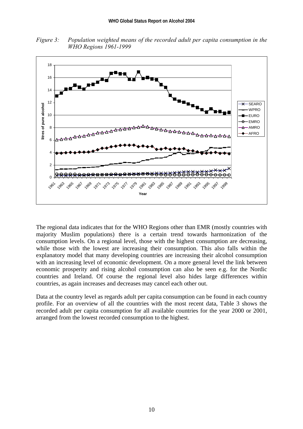*Figure 3: Population weighted means of the recorded adult per capita consumption in the WHO Regions 1961-1999* 



The regional data indicates that for the WHO Regions other than EMR (mostly countries with majority Muslim populations) there is a certain trend towards harmonization of the consumption levels. On a regional level, those with the highest consumption are decreasing, while those with the lowest are increasing their consumption. This also falls within the explanatory model that many developing countries are increasing their alcohol consumption with an increasing level of economic development. On a more general level the link between economic prosperity and rising alcohol consumption can also be seen e.g. for the Nordic countries and Ireland. Of course the regional level also hides large differences within countries, as again increases and decreases may cancel each other out.

Data at the country level as regards adult per capita consumption can be found in each country profile. For an overview of all the countries with the most recent data, Table 3 shows the recorded adult per capita consumption for all available countries for the year 2000 or 2001, arranged from the lowest recorded consumption to the highest.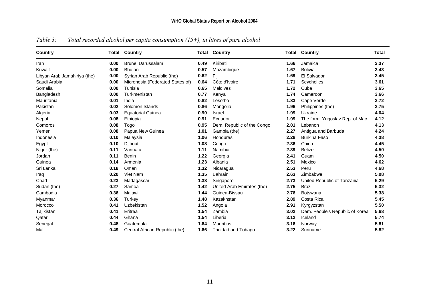| Country                      | Total | <b>Country</b>                   |      | <b>Total Country</b>       |      | <b>Total Country</b>            | <b>Total</b> |
|------------------------------|-------|----------------------------------|------|----------------------------|------|---------------------------------|--------------|
| Iran                         | 0.00  | <b>Brunei Darussalam</b>         | 0.49 | Kiribati                   | 1.66 | Jamaica                         | 3.37         |
| Kuwait                       | 0.00  | <b>Bhutan</b>                    | 0.57 | Mozambique                 | 1.67 | Bolivia                         | 3.43         |
| Libyan Arab Jamahiriya (the) | 0.00  | Syrian Arab Republic (the)       | 0.62 | Fiji                       | 1.69 | El Salvador                     | 3.45         |
| Saudi Arabia                 | 0.00  | Micronesia (Federated States of) | 0.64 | Côte d'Ivoire              | 1.71 | Seychelles                      | 3.61         |
| Somalia                      | 0.00  | Tunisia                          | 0.65 | Maldives                   | 1.72 | Cuba                            | 3.65         |
| Bangladesh                   | 0.00  | Turkmenistan                     | 0.77 | Kenya                      | 1.74 | Cameroon                        | 3.66         |
| Mauritania                   | 0.01  | India                            | 0.82 | Lesotho                    | 1.83 | Cape Verde                      | 3.72         |
| Pakistan                     | 0.02  | Solomon Islands                  | 0.86 | Mongolia                   | 1.96 | Philippines (the)               | 3.75         |
| Algeria                      | 0.03  | <b>Equatorial Guinea</b>         | 0.90 | Israel                     | 1.99 | Ukraine                         | 4.04         |
| Nepal                        | 0.08  | Ethiopia                         | 0.91 | Ecuador                    | 1.99 | The form. Yugoslav Rep. of Mac. | 4.12         |
| Comoros                      | 0.08  | Togo                             | 0.95 | Dem. Republic of the Congo | 2.01 | Lebanon                         | 4.13         |
| Yemen                        | 0.08  | Papua New Guinea                 | 1.01 | Gambia (the)               | 2.27 | Antigua and Barbuda             | 4.24         |
| Indonesia                    | 0.10  | Malaysia                         | 1.06 | Honduras                   | 2.28 | <b>Burkina Faso</b>             | 4.38         |
| Egypt                        | 0.10  | Diibouti                         | 1.08 | Congo                      | 2.36 | China                           | 4.45         |
| Niger (the)                  | 0.11  | Vanuatu                          | 1.11 | Namibia                    | 2.39 | <b>Belize</b>                   | 4.50         |
| Jordan                       | 0.11  | Benin                            | 1.22 | Georgia                    | 2.41 | Guam                            | 4.50         |
| Guinea                       | 0.14  | Armenia                          | 1.23 | Albania                    | 2.51 | Mexico                          | 4.62         |
| Sri Lanka                    | 0.18  | Oman                             | 1.32 | Nicaragua                  | 2.53 | Peru                            | 4.68         |
| Iraq                         | 0.20  | Viet Nam                         | 1.35 | Bahrain                    | 2.63 | Zimbabwe                        | 5.08         |
| Chad                         | 0.23  | Madagascar                       | 1.38 | Singapore                  | 2.73 | United Republic of Tanzania     | 5.29         |
| Sudan (the)                  | 0.27  | Samoa                            | 1.42 | United Arab Emirates (the) | 2.75 | <b>Brazil</b>                   | 5.32         |
| Cambodia                     | 0.36  | Malawi                           | 1.44 | Guinea-Bissau              | 2.76 | <b>Botswana</b>                 | 5.38         |
| Myanmar                      | 0.36  | Turkey                           | 1.48 | Kazakhstan                 | 2.89 | Costa Rica                      | 5.45         |
| Morocco                      | 0.41  | Uzbekistan                       | 1.52 | Angola                     | 2.91 | Kyrgyzstan                      | 5.50         |
| Tajikistan                   | 0.41  | Eritrea                          | 1.54 | Zambia                     | 3.02 | Dem. People's Republic of Korea | 5.68         |
| Qatar                        | 0.44  | Ghana                            | 1.54 | Liberia                    | 3.12 | Iceland                         | 5.74         |
| Senegal                      | 0.48  | Guatemala                        | 1.64 | <b>Mauritius</b>           | 3.16 | Norway                          | 5.81         |
| Mali                         | 0.49  | Central African Republic (the)   | 1.66 | <b>Trinidad and Tobago</b> | 3.22 | Suriname                        | 5.82         |

*Table 3: Total recorded alcohol per capita consumption (15+), in litres of pure alcohol*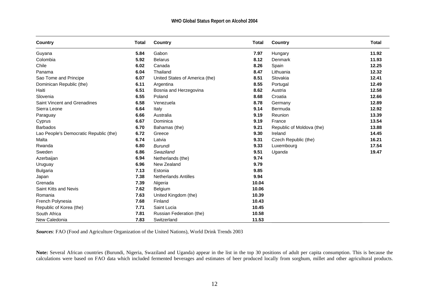#### **WHO Global Status Report on Alcohol 2004**

| <b>Country</b>                         | <b>Total</b> | <b>Country</b>                 | <b>Total</b> | Country                   | <b>Total</b> |
|----------------------------------------|--------------|--------------------------------|--------------|---------------------------|--------------|
| Guyana                                 | 5.84         | Gabon                          | 7.97         | Hungary                   | 11.92        |
| Colombia                               | 5.92         | <b>Belarus</b>                 | 8.12         | Denmark                   | 11.93        |
| Chile                                  | 6.02         | Canada                         | 8.26         | Spain                     | 12.25        |
| Panama                                 | 6.04         | Thailand                       | 8.47         | Lithuania                 | 12.32        |
| Sao Tome and Principe                  | 6.07         | United States of America (the) | 8.51         | Slovakia                  | 12.41        |
| Dominican Republic (the)               | 6.11         | Argentina                      | 8.55         | Portugal                  | 12.49        |
| Haiti                                  | 6.51         | Bosnia and Herzegovina         | 8.62         | Austria                   | 12.58        |
| Slovenia                               | 6.55         | Poland                         | 8.68         | Croatia                   | 12.66        |
| <b>Saint Vincent and Grenadines</b>    | 6.58         | Venezuela                      | 8.78         | Germany                   | 12.89        |
| Sierra Leone                           | 6.64         | Italy                          | 9.14         | Bermuda                   | 12.92        |
| Paraguay                               | 6.66         | Australia                      | 9.19         | Reunion                   | 13.39        |
| Cyprus                                 | 6.67         | Dominica                       | 9.19         | France                    | 13.54        |
| <b>Barbados</b>                        | 6.70         | Bahamas (the)                  | 9.21         | Republic of Moldova (the) | 13.88        |
| Lao People's Democratic Republic (the) | 6.72         | Greece                         | 9.30         | Ireland                   | 14.45        |
| Malta                                  | 6.74         | Latvia                         | 9.31         | Czech Republic (the)      | 16.21        |
| Rwanda                                 | 6.80         | <b>Burundi</b>                 | 9.33         | Luxembourg                | 17.54        |
| Sweden                                 | 6.86         | Swaziland                      | 9.51         | Uganda                    | 19.47        |
| Azerbaijan                             | 6.94         | Netherlands (the)              | 9.74         |                           |              |
| Uruguay                                | 6.96         | New Zealand                    | 9.79         |                           |              |
| <b>Bulgaria</b>                        | 7.13         | Estonia                        | 9.85         |                           |              |
| Japan                                  | 7.38         | <b>Netherlands Antilles</b>    | 9.94         |                           |              |
| Grenada                                | 7.39         | Nigeria                        | 10.04        |                           |              |
| Saint Kitts and Nevis                  | 7.62         | Belgium                        | 10.06        |                           |              |
| Romania                                | 7.63         | United Kingdom (the)           | 10.39        |                           |              |
| French Polynesia                       | 7.68         | Finland                        | 10.43        |                           |              |
| Republic of Korea (the)                | 7.71         | Saint Lucia                    | 10.45        |                           |              |
| South Africa                           | 7.81         | Russian Federation (the)       | 10.58        |                           |              |
| New Caledonia                          | 7.83         | Switzerland                    | 11.53        |                           |              |

*Sources*: FAO (Food and Agriculture Organization of the United Nations), World Drink Trends 2003

**Note:** Several African countries (Burundi, Nigeria, Swaziland and Uganda) appear in the list in the top 30 positions of adult per capita consumption. This is because the calculations were based on FAO data which included fermented beverages and estimates of beer produced locally from sorghum, millet and other agricultural products.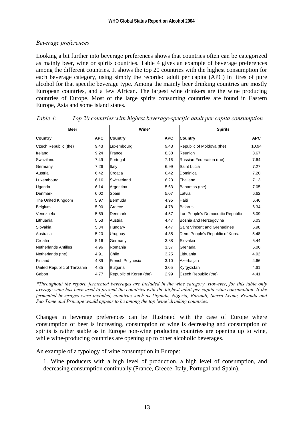## *Beverage preferences*

Looking a bit further into beverage preferences shows that countries often can be categorized as mainly beer, wine or spirits countries. Table 4 gives an example of beverage preferences among the different countries. It shows the top 20 countries with the highest consumption for each beverage category, using simply the recorded adult per capita (APC) in litres of pure alcohol for that specific beverage type. Among the mainly beer drinking countries are mostly European countries, and a few African. The largest wine drinkers are the wine producing countries of Europe. Most of the large spirits consuming countries are found in Eastern Europe, Asia and some island states.

| <b>Beer</b>                 |            | Wine*                   |            | <b>Spirits</b>                   |            |  |
|-----------------------------|------------|-------------------------|------------|----------------------------------|------------|--|
| Country                     | <b>APC</b> | Country                 | <b>APC</b> | Country                          | <b>APC</b> |  |
| Czech Republic (the)        | 9.43       | Luxembourg              | 9.43       | Republic of Moldova (the)        | 10.94      |  |
| Ireland                     | 9.24       | France                  | 8.38       | Reunion                          | 8.67       |  |
| Swaziland                   | 7.49       | Portugal                | 7.16       | Russian Federation (the)         | 7.64       |  |
| Germany                     | 7.26       | Italy                   | 6.99       | Saint Lucia                      | 7.27       |  |
| Austria                     | 6.42       | Croatia                 | 6.42       | Dominica                         | 7.20       |  |
| Luxembourg                  | 6.16       | Switzerland             | 6.23       | Thailand                         | 7.13       |  |
| Uganda                      | 6.14       | Argentina               | 5.63       | Bahamas (the)                    | 7.05       |  |
| Denmark                     | 6.02       | Spain                   | 5.07       | Latvia                           | 6.62       |  |
| The United Kingdom          | 5.97       | Bermuda                 | 4.95       | Haiti                            | 6.46       |  |
| Belgium                     | 5.90       | Greece                  | 4.78       | <b>Belarus</b>                   | 6.34       |  |
| Venezuela                   | 5.69       | Denmark                 | 4.57       | Lao People's Democratic Republic | 6.09       |  |
| Lithuania                   | 5.53       | Austria                 | 4.47       | Bosnia and Herzegovina           | 6.03       |  |
| Slovakia                    | 5.34       | Hungary                 | 4.47       | Saint Vincent and Grenadines     | 5.98       |  |
| Australia                   | 5.20       | Uruguay                 | 4.35       | Dem. People's Republic of Korea  | 5.48       |  |
| Croatia                     | 5.16       | Germany                 | 3.38       | Slovakia                         | 5.44       |  |
| <b>Netherlands Antilles</b> | 4.96       | Romania                 | 3.37       | Grenada                          | 5.06       |  |
| Netherlands (the)           | 4.91       | Chile                   | 3.25       | Lithuania                        | 4.92       |  |
| Finland                     | 4.89       | <b>French Polynesia</b> | 3.10       | Azerbaijan                       | 4.66       |  |
| United Republic of Tanzania | 4.85       | Bulgaria                | 3.05       | Kyrgyzstan                       | 4.61       |  |
| Gabon                       | 4.77       | Republic of Korea (the) | 2.99       | Czech Republic (the)             | 4.41       |  |

*Table 4: Top 20 countries with highest beverage-specific adult per capita consumption* 

*\*Throughout the report, fermented beverages are included in the wine category. However, for this table only average wine has been used to present the countries with the highest adult per capita wine consumption. If the fermented beverages were included, countries such as Uganda, Nigeria, Burundi, Sierra Leone, Rwanda and Sao Tome and Principe would appear to be among the top 'wine' drinking countries.* 

Changes in beverage preferences can be illustrated with the case of Europe where consumption of beer is increasing, consumption of wine is decreasing and consumption of spirits is rather stable as in Europe non-wine producing countries are opening up to wine, while wine-producing countries are opening up to other alcoholic beverages.

An example of a typology of wine consumption in Europe:

1. Wine producers with a high level of production, a high level of consumption, and decreasing consumption continually (France, Greece, Italy, Portugal and Spain).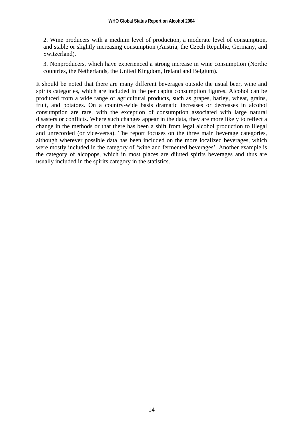2. Wine producers with a medium level of production, a moderate level of consumption, and stable or slightly increasing consumption (Austria, the Czech Republic, Germany, and Switzerland).

3. Nonproducers, which have experienced a strong increase in wine consumption (Nordic countries, the Netherlands, the United Kingdom, Ireland and Belgium).

It should be noted that there are many different beverages outside the usual beer, wine and spirits categories, which are included in the per capita consumption figures. Alcohol can be produced from a wide range of agricultural products, such as grapes, barley, wheat, grains, fruit, and potatoes. On a country-wide basis dramatic increases or decreases in alcohol consumption are rare, with the exception of consumption associated with large natural disasters or conflicts. Where such changes appear in the data, they are more likely to reflect a change in the methods or that there has been a shift from legal alcohol production to illegal and unrecorded (or vice-versa). The report focuses on the three main beverage categories, although wherever possible data has been included on the more localized beverages, which were mostly included in the category of 'wine and fermented beverages'. Another example is the category of alcopops, which in most places are diluted spirits beverages and thus are usually included in the spirits category in the statistics.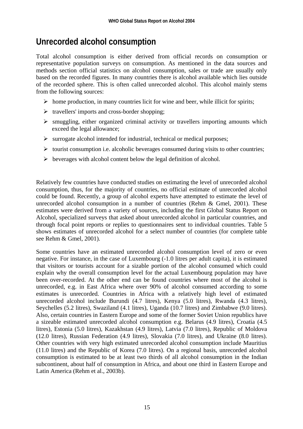# **Unrecorded alcohol consumption**

Total alcohol consumption is either derived from official records on consumption or representative population surveys on consumption. As mentioned in the data sources and methods section official statistics on alcohol consumption, sales or trade are usually only based on the recorded figures. In many countries there is alcohol available which lies outside of the recorded sphere. This is often called unrecorded alcohol. This alcohol mainly stems from the following sources:

- $\triangleright$  home production, in many countries licit for wine and beer, while illicit for spirits;
- $\triangleright$  travellers' imports and cross-border shopping;
- $\triangleright$  smuggling, either organized criminal activity or travellers importing amounts which exceed the legal allowance;
- $\triangleright$  surrogate alcohol intended for industrial, technical or medical purposes;
- $\triangleright$  tourist consumption i.e. alcoholic beverages consumed during visits to other countries;
- $\triangleright$  beverages with alcohol content below the legal definition of alcohol.

Relatively few countries have conducted studies on estimating the level of unrecorded alcohol consumption, thus, for the majority of countries, no official estimate of unrecorded alcohol could be found. Recently, a group of alcohol experts have attempted to estimate the level of unrecorded alcohol consumption in a number of countries (Rehm & Gmel, 2001). These estimates were derived from a variety of sources, including the first Global Status Report on Alcohol, specialized surveys that asked about unrecorded alcohol in particular countries, and through focal point reports or replies to questionnaires sent to individual countries. Table 5 shows estimates of unrecorded alcohol for a select number of countries (for complete table see Rehm & Gmel, 2001).

Some countries have an estimated unrecorded alcohol consumption level of zero or even negative. For instance, in the case of Luxembourg (-1.0 litres per adult capita), it is estimated that visitors or tourists account for a sizable portion of the alcohol consumed which could explain why the overall consumption level for the actual Luxembourg population may have been over-recorded. At the other end can be found countries where most of the alcohol is unrecorded, e.g. in East Africa where over 90% of alcohol consumed according to some estimates is unrecorded. Countries in Africa with a relatively high level of estimated unrecorded alcohol include Burundi (4.7 litres), Kenya (5.0 litres), Rwanda (4.3 litres), Seychelles (5.2 litres), Swaziland (4.1 litres), Uganda (10.7 litres) and Zimbabwe (9.0 litres). Also, certain countries in Eastern Europe and some of the former Soviet Union republics have a sizeable estimated unrecorded alcohol consumption e.g. Belarus (4.9 litres), Croatia (4.5 litres), Estonia (5.0 litres), Kazakhstan (4.9 litres), Latvia (7.0 litres), Republic of Moldova (12.0 litres), Russian Federation (4.9 litres), Slovakia (7.0 litres), and Ukraine (8.0 litres). Other countries with very high estimated unrecorded alcohol consumption include Mauritius (11.0 litres) and the Republic of Korea (7.0 litres). On a regional basis, unrecorded alcohol consumption is estimated to be at least two thirds of all alcohol consumption in the Indian subcontinent, about half of consumption in Africa, and about one third in Eastern Europe and Latin America (Rehm et al., 2003b).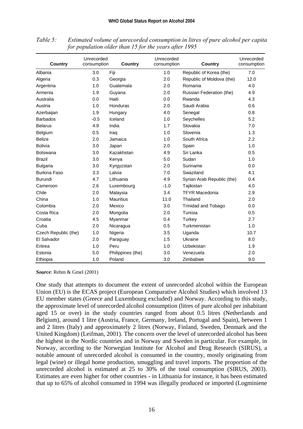| <b>Country</b>       | Unrecorded<br>consumption | Country           | Unrecorded<br>consumption | <b>Country</b>             | Unrecorded<br>consumption |
|----------------------|---------------------------|-------------------|---------------------------|----------------------------|---------------------------|
| Albania              | 3.0                       | Fiji              | 1.0                       | Republic of Korea (the)    | 7.0                       |
| Algeria              | 0.3                       | Georgia           | 2.0                       | Republic of Moldova (the)  | 12.0                      |
| Argentina            | 1.0                       | Guatemala         | 2.0                       | Romania                    | 4.0                       |
| Armenia              | 1.9                       | Guyana            | 2.0                       | Russian Federation (the)   | 4.9                       |
| Australia            | 0.0                       | Haiti             | 0.0                       | Rwanda                     | 4.3                       |
| Austria              | 1.0                       | Honduras          | 2.0                       | Saudi Arabia               | 0.6                       |
| Azerbaijan           | 1.9                       | Hungary           | 4.0                       | Senegal                    | 0.8                       |
| <b>Barbados</b>      | $-0.5$                    | Iceland           | 1.0                       | Seychelles                 | 5.2                       |
| <b>Belarus</b>       | 4.9                       | India             | 1.7                       | Slovakia                   | 7.0                       |
| Belgium              | 0.5                       | Iraq              | 1.0                       | Slovenia                   | 1.3                       |
| <b>Belize</b>        | 2.0                       | Jamaica           | 1.0                       | South Africa               | 2.2                       |
| <b>Bolivia</b>       | 3.0                       | Japan             | 2.0                       | Spain                      | 1.0                       |
| <b>Botswana</b>      | 3.0                       | Kazakhstan        | 4.9                       | Sri Lanka                  | 0.5                       |
| <b>Brazil</b>        | 3.0                       | Kenya             | 5.0                       | Sudan                      | 1.0                       |
| <b>Bulgaria</b>      | 3.0                       | Kyrgyzstan        | 2.0                       | Suriname                   | 0.0                       |
| <b>Burkina Faso</b>  | 3.3                       | Latvia            | 7.0                       | Swaziland                  | 4.1                       |
| Burundi              | 4.7                       | Lithuania         | 4.9                       | Syrian Arab Republic (the) | 0.4                       |
| Cameroon             | 2.6                       | Luxembourg        | $-1.0$                    | Tajikistan                 | 4.0                       |
| Chile                | 2.0                       | Malaysia          | 3.4                       | <b>TFYR Macedonia</b>      | 2.9                       |
| China                | 1.0                       | <b>Mauritius</b>  | 11.0                      | Thailand                   | 2.0                       |
| Colombia             | 2.0                       | Mexico            | 3.0                       | <b>Trinidad and Tobago</b> | 0.0                       |
| Costa Rica           | 2.0                       | Mongolia          | 2.0                       | Tunisia                    | 0.5                       |
| Croatia              | 4.5                       | Myanmar           | 0.4                       | Turkey                     | 2.7                       |
| Cuba                 | 2.0                       | Nicaragua         | 0.5                       | Turkmenistan               | 1.0                       |
| Czech Republic (the) | 1.0                       | Nigeria           | 3.5                       | Uganda                     | 10.7                      |
| El Salvador          | 2.0                       | Paraguay          | 1.5                       | Ukraine                    | 8.0                       |
| Eritrea              | 1.0                       | Peru              | 1.0                       | Uzbekistan                 | 1.9                       |
| Estonia              | 5.0                       | Philippines (the) | 3.0                       | Venezuela                  | 2.0                       |
| Ethiopia             | 1.0                       | Poland            | 3.0                       | Zimbabwe                   | 9.0                       |

*Table 5: Estimated volume of unrecorded consumption in litres of pure alcohol per capita for population older than 15 for the years after 1995* 

*Source*: Rehm & Gmel (2001)

One study that attempts to document the extent of unrecorded alcohol within the European Union (EU) is the ECAS project (European Comparative Alcohol Studies) which involved 13 EU member states (Greece and Luxembourg excluded) and Norway. According to this study, the approximate level of unrecorded alcohol consumption (litres of pure alcohol per inhabitant aged 15 or over) in the study countries ranged from about 0.5 litres (Netherlands and Belgium), around 1 litre (Austria, France, Germany, Ireland, Portugal and Spain), between 1 and 2 litres (Italy) and approximately 2 litres (Norway, Finland, Sweden, Denmark and the United Kingdom) (Leifman, 2001). The concern over the level of unrecorded alcohol has been the highest in the Nordic countries and in Norway and Sweden in particular. For example, in Norway, according to the Norwegian Institute for Alcohol and Drug Research (SIRUS), a notable amount of unrecorded alcohol is consumed in the country, mostly originating from legal (wine) or illegal home production, smuggling and travel imports. The proportion of the unrecorded alcohol is estimated at 25 to 30% of the total consumption (SIRUS, 2003). Estimates are even higher for other countries - in Lithuania for instance, it has been estimated that up to 65% of alcohol consumed in 1994 was illegally produced or imported (Logminiene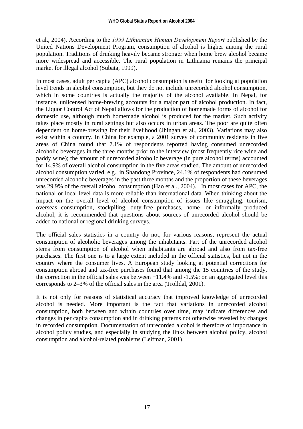et al., 2004). According to the *1999 Lithuanian Human Development Report* published by the United Nations Development Program, consumption of alcohol is higher among the rural population. Traditions of drinking heavily became stronger when home brew alcohol became more widespread and accessible. The rural population in Lithuania remains the principal market for illegal alcohol (Subata, 1999).

In most cases, adult per capita (APC) alcohol consumption is useful for looking at population level trends in alcohol consumption, but they do not include unrecorded alcohol consumption, which in some countries is actually the majority of the alcohol available. In Nepal, for instance, unlicensed home-brewing accounts for a major part of alcohol production. In fact, the Liquor Control Act of Nepal allows for the production of homemade forms of alcohol for domestic use, although much homemade alcohol is produced for the market. Such activity takes place mostly in rural settings but also occurs in urban areas. The poor are quite often dependent on home-brewing for their livelihood (Jhingan et al., 2003). Variations may also exist within a country. In China for example, a 2001 survey of community residents in five areas of China found that 7.1% of respondents reported having consumed unrecorded alcoholic beverages in the three months prior to the interview (most frequently rice wine and paddy wine); the amount of unrecorded alcoholic beverage (in pure alcohol terms) accounted for 14.9% of overall alcohol consumption in the five areas studied. The amount of unrecorded alcohol consumption varied, e.g., in Shandong Province, 24.1% of respondents had consumed unrecorded alcoholic beverages in the past three months and the proportion of these beverages was 29.9% of the overall alcohol consumption (Hao et al., 2004). In most cases for APC, the national or local level data is more reliable than international data. When thinking about the impact on the overall level of alcohol consumption of issues like smuggling, tourism, overseas consumption, stockpiling, duty-free purchases, home- or informally produced alcohol, it is recommended that questions about sources of unrecorded alcohol should be added to national or regional drinking surveys.

The official sales statistics in a country do not, for various reasons, represent the actual consumption of alcoholic beverages among the inhabitants. Part of the unrecorded alcohol stems from consumption of alcohol when inhabitants are abroad and also from tax-free purchases. The first one is to a large extent included in the official statistics, but not in the country where the consumer lives. A European study looking at potential corrections for consumption abroad and tax-free purchases found that among the 15 countries of the study, the correction in the official sales was between  $+11.4\%$  and  $-1.5\%$ ; on an aggregated level this corresponds to 2–3% of the official sales in the area (Trolldal, 2001).

It is not only for reasons of statistical accuracy that improved knowledge of unrecorded alcohol is needed. More important is the fact that variations in unrecorded alcohol consumption, both between and within countries over time, may indicate differences and changes in per capita consumption and in drinking patterns not otherwise revealed by changes in recorded consumption. Documentation of unrecorded alcohol is therefore of importance in alcohol policy studies, and especially in studying the links between alcohol policy, alcohol consumption and alcohol-related problems (Leifman, 2001).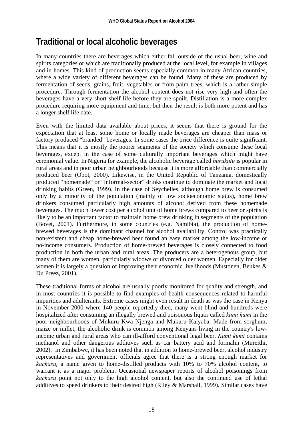# **Traditional or local alcoholic beverages**

In many countries there are beverages which either fall outside of the usual beer, wine and spirits categories or which are traditionally produced at the local level, for example in villages and in homes. This kind of production seems especially common in many African countries, where a wide variety of different beverages can be found. Many of these are produced by fermentation of seeds, grains, fruit, vegetables or from palm trees, which is a rather simple procedure. Through fermentation the alcohol content does not rise very high and often the beverages have a very short shelf life before they are spoilt. Distillation is a more complex procedure requiring more equipment and time, but then the result is both more potent and has a longer shelf life date.

Even with the limited data available about prices, it seems that there is ground for the expectation that at least some home or locally made beverages are cheaper than mass or factory produced "branded" beverages. In some cases the price difference is quite significant. This means that it is mostly the poorer segments of the society which consume these local beverages, except in the case of some culturally important beverages which might have ceremonial value. In Nigeria for example, the alcoholic beverage called *burukutu* is popular in rural areas and in poor urban neighbourhoods because it is more affordable than commercially produced beer (Obot, 2000). Likewise, in the United Republic of Tanzania, domestically produced "homemade" or "informal-sector" drinks continue to dominate the market and local drinking habits (Green, 1999). In the case of Seychelles, although home brew is consumed only by a minority of the population (mainly of low socioeconomic status), home brew drinkers consumed particularly high amounts of alcohol derived from these homemade beverages. The much lower cost per alcohol unit of home brews compared to beer or spirits is likely to be an important factor to maintain home brew drinking in segments of the population (Bovet, 2001). Furthermore, in some countries (e.g. Namibia), the production of homebrewed beverages is the dominant channel for alcohol availability. Control was practically non-existent and cheap home-brewed beer found an easy market among the low-income or no-income consumers. Production of home-brewed beverages is closely connected to food production in both the urban and rural areas. The producers are a heterogenous group, but many of them are women, particularly widows or divorced older women. Especially for older women it is largely a question of improving their economic livelihoods (Mustonen, Beukes & Du Preez, 2001).

These traditional forms of alcohol are usually poorly monitored for quality and strength, and in most countries it is possible to find examples of health consequences related to harmful impurities and adulterants. Extreme cases might even result in death as was the case in Kenya in November 2000 where 140 people reportedly died, many went blind and hundreds were hospitalized after consuming an illegally brewed and poisonous liquor called *kumi kumi* in the poor neighbourhoods of Mukuru Kwa Njenga and Mukuru Kaiyaba. Made from sorghum, maize or millet, the alcoholic drink is common among Kenyans living in the country's lowincome urban and rural areas who can ill-afford conventional legal beer. *Kumi kumi* contains methanol and other dangerous additives such as car battery acid and formalin (Mureithi, 2002). In Zimbabwe, it has been noted that in addition to home-brewed beer, alcohol industry representatives and government officials agree that there is a strong enough market for *kachasu*, a name given to home-distilled products with 10% to 70% alcohol content, to warrant it as a major problem. Occasional newspaper reports of alcohol poisonings from *kachasu* point not only to the high alcohol content, but also the continued use of lethal additives to speed drinkers to their desired high (Riley & Marshall, 1999). Similar cases have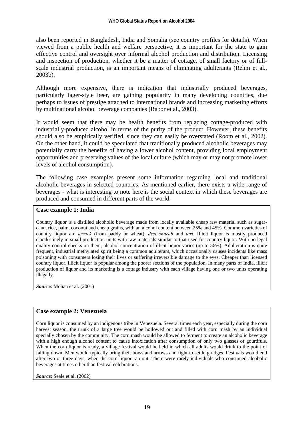also been reported in Bangladesh, India and Somalia (see country profiles for details). When viewed from a public health and welfare perspective, it is important for the state to gain effective control and oversight over informal alcohol production and distribution. Licensing and inspection of production, whether it be a matter of cottage, of small factory or of fullscale industrial production, is an important means of eliminating adulterants (Rehm et al., 2003b).

Although more expensive, there is indication that industrially produced beverages, particularly lager-style beer, are gaining popularity in many developing countries, due perhaps to issues of prestige attached to international brands and increasing marketing efforts by multinational alcohol beverage companies (Babor et al., 2003).

It would seem that there may be health benefits from replacing cottage-produced with industrially-produced alcohol in terms of the purity of the product. However, these benefits should also be empirically verified, since they can easily be overstated (Room et al., 2002). On the other hand, it could be speculated that traditionally produced alcoholic beverages may potentially carry the benefits of having a lower alcohol content, providing local employment opportunities and preserving values of the local culture (which may or may not promote lower levels of alcohol consumption).

The following case examples present some information regarding local and traditional alcoholic beverages in selected countries. As mentioned earlier, there exists a wide range of beverages - what is interesting to note here is the social context in which these beverages are produced and consumed in different parts of the world.

### **Case example 1: India**

Country liquor is a distilled alcoholic beverage made from locally available cheap raw material such as sugarcane, rice, palm, coconut and cheap grains, with an alcohol content between 25% and 45%. Common varieties of country liquor are *arrack* (from paddy or wheat), *desi sharab* and *tari*. Illicit liquor is mostly produced clandestinely in small production units with raw materials similar to that used for country liquor. With no legal quality control checks on them, alcohol concentration of illicit liquor varies (up to 56%). Adulteration is quite frequent, industrial methylated spirit being a common adulterant, which occasionally causes incidents like mass poisoning with consumers losing their lives or suffering irreversible damage to the eyes. Cheaper than licensed country liquor, illicit liquor is popular among the poorer sections of the population. In many parts of India, illicit production of liquor and its marketing is a cottage industry with each village having one or two units operating illegally.

*Source*: Mohan et al. (2001)

### **Case example 2: Venezuela**

Corn liquor is consumed by an indigenous tribe in Venezuela. Several times each year, especially during the corn harvest season, the trunk of a large tree would be hollowed out and filled with corn mash by an individual specially chosen by the community. The corn mash would be allowed to ferment to create an alcoholic beverage with a high enough alcohol content to cause intoxication after consumption of only two glasses or gourdfuls. When the corn liquor is ready, a village festival would be held in which all adults would drink to the point of falling down. Men would typically bring their bows and arrows and fight to settle grudges. Festivals would end after two or three days, when the corn liquor ran out. There were rarely individuals who consumed alcoholic beverages at times other than festival celebrations.

*Source*: Seale et al. (2002)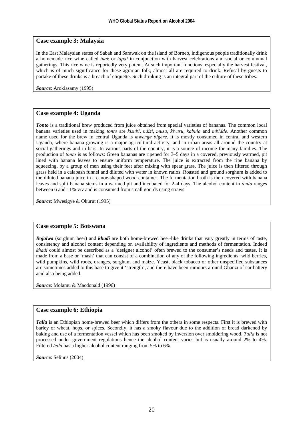#### **Case example 3: Malaysia**

In the East Malaysian states of Sabah and Sarawak on the island of Borneo, indigenous people traditionally drink a homemade rice wine called *tuak* or *tapai* in conjunction with harvest celebrations and social or communal gatherings. This rice wine is reportedly very potent. At such important functions, especially the harvest festival, which is of much significance for these agrarian folk, almost all are required to drink. Refusal by guests to partake of these drinks is a breach of etiquette. Such drinking is an integral part of the culture of these tribes.

*Source*: Arokiasamy (1995)

#### **Case example 4: Uganda**

*Tonto* is a traditional brew produced from juice obtained from special varieties of bananas. The common local banana varieties used in making *tonto* are *kisubi*, *ndizi*, *musa*, *kivuru*, *kabula* and *mbidde*. Another common name used for the brew in central Uganda is *mwenge bigere*. It is mostly consumed in central and western Uganda, where banana growing is a major agricultural activity, and in urban areas all around the country at social gatherings and in bars. In various parts of the country, it is a source of income for many families. The production of *tonto* is as follows: Green bananas are ripened for 3–5 days in a covered, previously warmed, pit lined with banana leaves to ensure uniform temperature. The juice is extracted from the ripe banana by squeezing, by a group of men using their feet after mixing with spear grass. The juice is then filtered through grass held in a calabash funnel and diluted with water in known ratios. Roasted and ground sorghum is added to the diluted banana juice in a canoe-shaped wood container. The fermentation broth is then covered with banana leaves and split banana stems in a warmed pit and incubated for 2–4 days. The alcohol content in *tonto* ranges between 6 and 11% v/v and is consumed from small gourds using straws.

*Source*: Mwesigye & Okurut (1995)

#### **Case example 5: Botswana**

*Bojalwa* (sorghum beer) and *khadi* are both home-brewed beer-like drinks that vary greatly in terms of taste, consistency and alcohol content depending on availability of ingredients and methods of fermentation. Indeed *khadi* could almost be described as a 'designer alcohol' often brewed to the consumer's needs and tastes. It is made from a base or 'mash' that can consist of a combination of any of the following ingredients: wild berries, wild pumpkins, wild roots, oranges, sorghum and maize. Yeast, black tobacco or other unspecified substances are sometimes added to this base to give it 'strength', and there have been rumours around Ghanzi of car battery acid also being added.

*Source*: Molamu & Macdonald (1996)

#### **Case example 6: Ethiopia**

*Talla* is an Ethiopian home-brewed beer which differs from the others in some respects. First it is brewed with barley or wheat, hops, or spices. Secondly, it has a smoky flavour due to the addition of bread darkened by baking and use of a fermentation vessel which has been smoked by inversion over smoldering wood. *Talla* is not processed under government regulations hence the alcohol content varies but is usually around 2% to 4%. Filtered *tella* has a higher alcohol content ranging from 5% to 6%.

*Source*: Selinus (2004)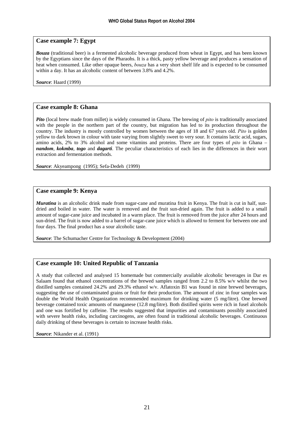#### **Case example 7: Egypt**

*Bouza* (traditional beer) is a fermented alcoholic beverage produced from wheat in Egypt, and has been known by the Egyptians since the days of the Pharaohs. It is a thick, pasty yellow beverage and produces a sensation of heat when consumed. Like other opaque beers, *bouza* has a very short shelf life and is expected to be consumed within a day. It has an alcoholic content of between 3.8% and 4.2%.

*Source*: Haard (1999)

#### **Case example 8: Ghana**

*Pito* (local brew made from millet) is widely consumed in Ghana. The brewing of *pito* is traditionally associated with the people in the northern part of the country, but migration has led to its production throughout the country. The industry is mostly controlled by women between the ages of 18 and 67 years old. *Pito* is golden yellow to dark brown in colour with taste varying from slightly sweet to very sour. It contains lactic acid, sugars, amino acids, 2% to 3% alcohol and some vitamins and proteins. There are four types of *pito* in Ghana – *nandom*, *kokmba*, *togo* and *dagarti*. The peculiar characteristics of each lies in the differences in their wort extraction and fermentation methods.

*Source*: Akyeampong (1995); Sefa-Dedeh (1999)

#### **Case example 9: Kenya**

*Muratina* is an alcoholic drink made from sugar-cane and muratina fruit in Kenya. The fruit is cut in half, sundried and boiled in water. The water is removed and the fruit sun-dried again. The fruit is added to a small amount of sugar-cane juice and incubated in a warm place. The fruit is removed from the juice after 24 hours and sun-dried. The fruit is now added to a barrel of sugar-cane juice which is allowed to ferment for between one and four days. The final product has a sour alcoholic taste.

*Source*: The Schumacher Centre for Technology & Development (2004)

#### **Case example 10: United Republic of Tanzania**

A study that collected and analysed 15 homemade but commercially available alcoholic beverages in Dar es Salaam found that ethanol concentrations of the brewed samples ranged from 2.2 to 8.5% w/v whilst the two distilled samples contained 24.2% and 29.3% ethanol w/v. Aflatoxin B1 was found in nine brewed beverages, suggesting the use of contaminated grains or fruit for their production. The amount of zinc in four samples was double the World Health Organization recommended maximum for drinking water (5 mg/litre). One brewed beverage contained toxic amounts of manganese (12.8 mg/litre). Both distilled spirits were rich in fusel alcohols and one was fortified by caffeine. The results suggested that impurities and contaminants possibly associated with severe health risks, including carcinogens, are often found in traditional alcoholic beverages. Continuous daily drinking of these beverages is certain to increase health risks.

*Source*: Nikander et al. (1991)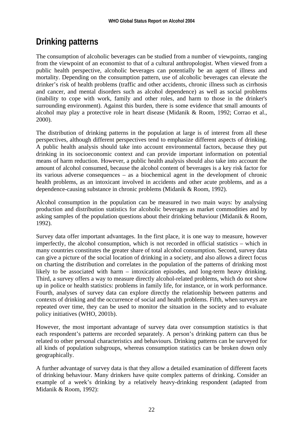# **Drinking patterns**

The consumption of alcoholic beverages can be studied from a number of viewpoints, ranging from the viewpoint of an economist to that of a cultural anthropologist. When viewed from a public health perspective, alcoholic beverages can potentially be an agent of illness and mortality. Depending on the consumption pattern, use of alcoholic beverages can elevate the drinker's risk of health problems (traffic and other accidents, chronic illness such as cirrhosis and cancer, and mental disorders such as alcohol dependence) as well as social problems (inability to cope with work, family and other roles, and harm to those in the drinker's surrounding environment). Against this burden, there is some evidence that small amounts of alcohol may play a protective role in heart disease (Midanik & Room, 1992; Corrao et al., 2000).

The distribution of drinking patterns in the population at large is of interest from all these perspectives, although different perspectives tend to emphasize different aspects of drinking. A public health analysis should take into account environmental factors, because they put drinking in its socioeconomic context and can provide important information on potential means of harm reduction. However, a public health analysis should also take into account the amount of alcohol consumed, because the alcohol content of beverages is a key risk factor for its various adverse consequences – as a biochemical agent in the development of chronic health problems, as an intoxicant involved in accidents and other acute problems, and as a dependence-causing substance in chronic problems (Midanik & Room, 1992).

Alcohol consumption in the population can be measured in two main ways: by analysing production and distribution statistics for alcoholic beverages as market commodities and by asking samples of the population questions about their drinking behaviour (Midanik & Room, 1992).

Survey data offer important advantages. In the first place, it is one way to measure, however imperfectly, the alcohol consumption, which is not recorded in official statistics – which in many countries constitutes the greater share of total alcohol consumption. Second, survey data can give a picture of the social location of drinking in a society, and also allows a direct focus on charting the distribution and correlates in the population of the patterns of drinking most likely to be associated with harm – intoxication episodes, and long-term heavy drinking. Third, a survey offers a way to measure directly alcohol-related problems, which do not show up in police or health statistics: problems in family life, for instance, or in work performance. Fourth, analyses of survey data can explore directly the relationship between patterns and contexts of drinking and the occurrence of social and health problems. Fifth, when surveys are repeated over time, they can be used to monitor the situation in the society and to evaluate policy initiatives (WHO, 2001b).

However, the most important advantage of survey data over consumption statistics is that each respondent's patterns are recorded separately. A person's drinking pattern can thus be related to other personal characteristics and behaviours. Drinking patterns can be surveyed for all kinds of population subgroups, whereas consumption statistics can be broken down only geographically.

A further advantage of survey data is that they allow a detailed examination of different facets of drinking behaviour. Many drinkers have quite complex patterns of drinking. Consider an example of a week's drinking by a relatively heavy-drinking respondent (adapted from Midanik & Room, 1992):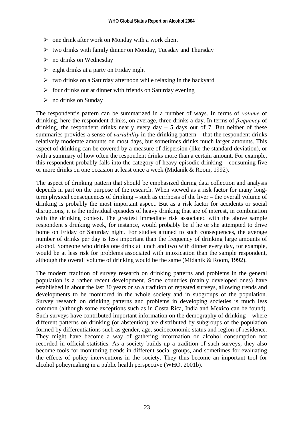- $\triangleright$  one drink after work on Monday with a work client
- $\triangleright$  two drinks with family dinner on Monday, Tuesday and Thursday
- $\triangleright$  no drinks on Wednesday
- $\geq$  eight drinks at a party on Friday night
- $\triangleright$  two drinks on a Saturday afternoon while relaxing in the backyard
- $\triangleright$  four drinks out at dinner with friends on Saturday evening
- $\triangleright$  no drinks on Sunday

The respondent's pattern can be summarized in a number of ways. In terms of *volume* of drinking, here the respondent drinks, on average, three drinks a day. In terms of *frequency* of drinking, the respondent drinks nearly every day  $-5$  days out of 7. But neither of these summaries provides a sense of *variability* in the drinking pattern – that the respondent drinks relatively moderate amounts on most days, but sometimes drinks much larger amounts. This aspect of drinking can be covered by a measure of dispersion (like the standard deviation), or with a summary of how often the respondent drinks more than a certain amount. For example, this respondent probably falls into the category of heavy episodic drinking – consuming five or more drinks on one occasion at least once a week (Midanik & Room, 1992).

The aspect of drinking pattern that should be emphasized during data collection and analysis depends in part on the purpose of the research. When viewed as a risk factor for many longterm physical consequences of drinking – such as cirrhosis of the liver – the overall volume of drinking is probably the most important aspect. But as a risk factor for accidents or social disruptions, it is the individual episodes of heavy drinking that are of interest, in combination with the drinking context. The greatest immediate risk associated with the above sample respondent's drinking week, for instance, would probably be if he or she attempted to drive home on Friday or Saturday night. For studies attuned to such consequences, the average number of drinks per day is less important than the frequency of drinking large amounts of alcohol. Someone who drinks one drink at lunch and two with dinner every day, for example, would be at less risk for problems associated with intoxication than the sample respondent, although the overall volume of drinking would be the same (Midanik & Room, 1992).

The modern tradition of survey research on drinking patterns and problems in the general population is a rather recent development. Some countries (mainly developed ones) have established in about the last 30 years or so a tradition of repeated surveys, allowing trends and developments to be monitored in the whole society and in subgroups of the population. Survey research on drinking patterns and problems in developing societies is much less common (although some exceptions such as in Costa Rica, India and Mexico can be found). Such surveys have contributed important information on the demography of drinking – where different patterns on drinking (or abstention) are distributed by subgroups of the population formed by differentiations such as gender, age, socioeconomic status and region of residence. They might have become a way of gathering information on alcohol consumption not recorded in official statistics. As a society builds up a tradition of such surveys, they also become tools for monitoring trends in different social groups, and sometimes for evaluating the effects of policy interventions in the society. They thus become an important tool for alcohol policymaking in a public health perspective (WHO, 2001b).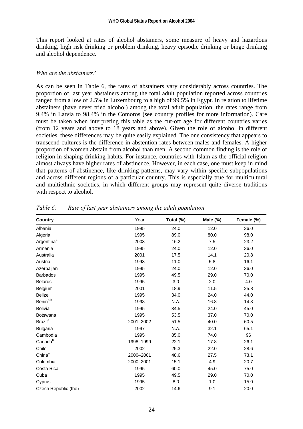This report looked at rates of alcohol abstainers, some measure of heavy and hazardous drinking, high risk drinking or problem drinking, heavy episodic drinking or binge drinking and alcohol dependence.

#### *Who are the abstainers?*

As can be seen in Table 6, the rates of abstainers vary considerably across countries. The proportion of last year abstainers among the total adult population reported across countries ranged from a low of 2.5% in Luxembourg to a high of 99.5% in Egypt. In relation to lifetime abstainers (have never tried alcohol) among the total adult population, the rates range from 9.4% in Latvia to 98.4% in the Comoros (see country profiles for more information). Care must be taken when interpreting this table as the cut-off age for different countries varies (from 12 years and above to 18 years and above). Given the role of alcohol in different societies, these differences may be quite easily explained. The one consistency that appears to transcend cultures is the difference in abstention rates between males and females. A higher proportion of women abstain from alcohol than men. A second common finding is the role of religion in shaping drinking habits. For instance, countries with Islam as the official religion almost always have higher rates of abstinence. However, in each case, one must keep in mind that patterns of abstinence, like drinking patterns, may vary within specific subpopulations and across different regions of a particular country. This is especially true for multicultural and multiethnic societies, in which different groups may represent quite diverse traditions with respect to alcohol.

| Country                                  | Year      | Total (%) | Male (%) | Female (%) |
|------------------------------------------|-----------|-----------|----------|------------|
| Albania                                  | 1995      | 24.0      | 12.0     | 36.0       |
| Algeria                                  | 1995      | 89.0      | 80.0     | 98.0       |
| Argentina <sup>a</sup>                   | 2003      | 16.2      | 7.5      | 23.2       |
| Armenia                                  | 1995      | 24.0      | 12.0     | 36.0       |
| Australia                                | 2001      | 17.5      | 14.1     | 20.8       |
| Austria                                  | 1993      | 11.0      | 5.8      | 16.1       |
| Azerbaijan                               | 1995      | 24.0      | 12.0     | 36.0       |
| <b>Barbados</b>                          | 1995      | 49.5      | 29.0     | 70.0       |
| <b>Belarus</b>                           | 1995      | 3.0       | 2.0      | 4.0        |
| Belgium                                  | 2001      | 18.9      | 11.5     | 25.8       |
| <b>Belize</b>                            | 1995      | 34.0      | 24.0     | 44.0       |
| $\mathsf{Benin}^{\mathsf{a},\mathsf{b}}$ | 1998      | N.A.      | 16.8     | 14.3       |
| Bolivia                                  | 1995      | 34.5      | 24.0     | 45.0       |
| <b>Botswana</b>                          | 1995      | 53.5      | 37.0     | 70.0       |
| <b>Brazil</b> <sup>a</sup>               | 2001-2002 | 51.5      | 40.0     | 60.5       |
| <b>Bulgaria</b>                          | 1997      | N.A.      | 32.1     | 65.1       |
| Cambodia                                 | 1995      | 85.0      | 74.0     | 96         |
| Canada <sup>b</sup>                      | 1998-1999 | 22.1      | 17.8     | 26.1       |
| Chile                                    | 2002      | 25.3      | 22.0     | 28.6       |
| China <sup>a</sup>                       | 2000-2001 | 48.6      | 27.5     | 73.1       |
| Colombia                                 | 2000-2001 | 15.1      | 4.9      | 20.7       |
| Costa Rica                               | 1995      | 60.0      | 45.0     | 75.0       |
| Cuba                                     | 1995      | 49.5      | 29.0     | 70.0       |
| Cyprus                                   | 1995      | 8.0       | 1.0      | 15.0       |
| Czech Republic (the)                     | 2002      | 14.6      | 9.1      | 20.0       |

*Table 6:* Rate of last year abstainers among the adult population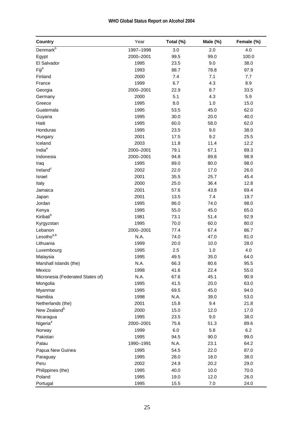| <b>Country</b>                   | Year      | Total (%) | Male (%) | Female (%) |
|----------------------------------|-----------|-----------|----------|------------|
| Denmark <sup>b</sup>             | 1997-1998 | 3.0       | 2.0      | 4.0        |
| Egypt                            | 2000-2001 | 99.5      | 99.0     | 100.0      |
| El Salvador                      | 1995      | 23.5      | 9.0      | 38.0       |
| Fijib                            | 1993      | 88.7      | 78.8     | 97.9       |
| Finland                          | 2000      | 7.4       | 7.1      | 7.7        |
| France                           | 1999      | 6.7       | 4.3      | 8.9        |
| Georgia                          | 2000-2001 | 22.9      | 8.7      | 33.5       |
| Germany                          | 2000      | 5.1       | 4.3      | 5.9        |
| Greece                           | 1995      | 8.0       | 1.0      | 15.0       |
| Guatemala                        | 1995      | 53.5      | 45.0     | 62.0       |
| Guyana                           | 1995      | 30.0      | 20.0     | 40.0       |
| Haiti                            | 1995      | 60.0      | 58.0     | 62.0       |
| Honduras                         | 1995      | 23.5      | 9.0      | 38.0       |
| Hungary                          | 2001      | 17.5      | 9.2      | 25.5       |
| Iceland                          | 2003      | 11.8      | 11.4     | 12.2       |
| India <sup>a</sup>               | 2000-2001 | 79.1      | 67.1     | 89.3       |
| Indonesia                        | 2000-2001 | 94.8      | 89.8     | 98.9       |
| Iraq                             | 1995      | 89.0      | 80.0     | 98.0       |
| Ireland <sup>c</sup>             | 2002      | 22.0      | 17.0     | 26.0       |
| Israel                           | 2001      | 35.5      | 25.7     | 45.4       |
| Italy                            | 2000      | 25.0      | 36.4     | 12.8       |
| Jamaica                          | 2001      | 57.6      | 43.8     | 69.4       |
| Japan                            | 2001      | 13.5      | 7.4      | 19.7       |
| Jordan                           | 1995      | 86.0      | 74.0     | 98.0       |
| Kenya                            | 1995      | 55.0      | 45.0     | 65.0       |
| Kiribati <sup>b</sup>            | 1981      | 73.1      | 51.4     | 92.9       |
| Kyrgyzstan                       | 1995      | 70.0      | 60.0     | 80.0       |
| Lebanon                          | 2000-2001 | 77.4      | 67.4     | 86.7       |
| Lesothoa,b                       | N.A.      | 74.0      | 47.0     | 81.0       |
| Lithuania                        | 1999      | 20.0      | 10.0     | 28.0       |
| Luxembourg                       | 1995      | 2.5       | 1.0      | 4.0        |
| Malaysia                         | 1995      | 49.5      | 35.0     | 64.0       |
| Marshall Islands (the)           | N.A.      | 66.3      | 80.6     | 95.5       |
| Mexico                           | 1998      | 41.6      | 22.4     | 55.0       |
| Micronesia (Federated States of) | N.A.      | 67.6      | 45.1     | 90.9       |
| Mongolia                         | 1995      | 41.5      | 20.0     | 63.0       |
| Myanmar                          | 1995      | 69.5      | 45.0     | 94.0       |
| Namibia                          | 1998      | N.A.      | 39.0     | 53.0       |
| Netherlands (the)                | 2001      | 15.8      | 9.4      | 21.8       |
| New Zealand <sup>b</sup>         | 2000      | 15.0      | 12.0     | 17.0       |
| Nicaragua                        | 1995      | 23.5      | 9.0      | 38.0       |
| Nigeria <sup>a</sup>             | 2000-2001 | 75.6      | 51.3     | 89.6       |
| Norway                           | 1999      | 6.0       | 5.8      | 6.2        |
| Pakistan                         | 1995      | 94.5      | 90.0     | 99.0       |
| Palau                            | 1990-1991 | N.A.      | 23.1     | 64.2       |
| Papua New Guinea                 | 1995      | 54.5      | 22.0     | 87.0       |
| Paraguay                         | 1995      | 28.0      | 18.0     | 38.0       |
| Peru                             | 2002      | 24.9      | 20.2     | 29.0       |
| Philippines (the)                | 1995      | 40.0      | 10.0     | 70.0       |
| Poland                           | 1995      | 19.0      | 12.0     | 26.0       |
| Portugal                         | 1995      | 15.5      | 7.0      | 24.0       |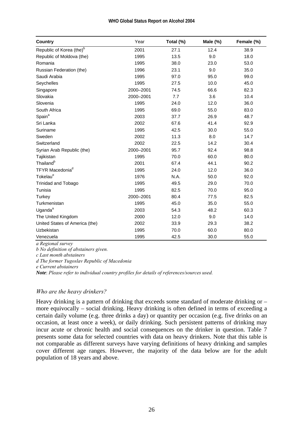| Country                              | Year      | Total (%) | Male (%) | Female (%) |
|--------------------------------------|-----------|-----------|----------|------------|
| Republic of Korea (the) <sup>b</sup> | 2001      | 27.1      | 12.4     | 38.9       |
| Republic of Moldova (the)            | 1995      | 13.5      | 9.0      | 18.0       |
| Romania                              | 1995      | 38.0      | 23.0     | 53.0       |
| Russian Federation (the)             | 1996      | 23.1      | 9.0      | 35.0       |
| Saudi Arabia                         | 1995      | 97.0      | 95.0     | 99.0       |
| Seychelles                           | 1995      | 27.5      | 10.0     | 45.0       |
| Singapore                            | 2000-2001 | 74.5      | 66.6     | 82.3       |
| Slovakia                             | 2000-2001 | 7.7       | 3.6      | 10.4       |
| Slovenia                             | 1995      | 24.0      | 12.0     | 36.0       |
| South Africa                         | 1995      | 69.0      | 55.0     | 83.0       |
| Spain <sup>a</sup>                   | 2003      | 37.7      | 26.9     | 48.7       |
| Sri Lanka                            | 2002      | 67.6      | 41.4     | 92.9       |
| Suriname                             | 1995      | 42.5      | 30.0     | 55.0       |
| Sweden                               | 2002      | 11.3      | 8.0      | 14.7       |
| Switzerland                          | 2002      | 22.5      | 14.2     | 30.4       |
| Syrian Arab Republic (the)           | 2000-2001 | 95.7      | 92.4     | 98.8       |
| Tajikistan                           | 1995      | 70.0      | 60.0     | 80.0       |
| Thailand <sup>b</sup>                | 2001      | 67.4      | 44.1     | 90.2       |
| TFYR Macedonia <sup>d</sup>          | 1995      | 24.0      | 12.0     | 36.0       |
| Tokelau <sup>e</sup>                 | 1976      | N.A.      | 50.0     | 92.0       |
| <b>Trinidad and Tobago</b>           | 1995      | 49.5      | 29.0     | 70.0       |
| Tunisia                              | 1995      | 82.5      | 70.0     | 95.0       |
| Turkey                               | 2000-2001 | 80.4      | 77.5     | 82.5       |
| Turkmenistan                         | 1995      | 45.0      | 35.0     | 55.0       |
| Uganda <sup>a</sup>                  | 2003      | 54.3      | 48.2     | 60.3       |
| The United Kingdom                   | 2000      | 12.0      | 9.0      | 14.0       |
| United States of America (the)       | 2002      | 33.9      | 29.3     | 38.2       |
| Uzbekistan                           | 1995      | 70.0      | 60.0     | 80.0       |
| Venezuela                            | 1995      | 42.5      | 30.0     | 55.0       |

*a Regional survey* 

*b No definition of abstainers given.* 

*c Last month abstainers* 

*d The former Yugoslav Republic of Macedonia* 

*e Current abstainers* 

*Note*: *Please refer to individual country profiles for details of references/sources used.* 

#### *Who are the heavy drinkers?*

Heavy drinking is a pattern of drinking that exceeds some standard of moderate drinking or – more equivocally – social drinking. Heavy drinking is often defined in terms of exceeding a certain daily volume (e.g. three drinks a day) or quantity per occasion (e.g. five drinks on an occasion, at least once a week), or daily drinking. Such persistent patterns of drinking may incur acute or chronic health and social consequences on the drinker in question. Table 7 presents some data for selected countries with data on heavy drinkers. Note that this table is not comparable as different surveys have varying definitions of heavy drinking and samples cover different age ranges. However, the majority of the data below are for the adult population of 18 years and above.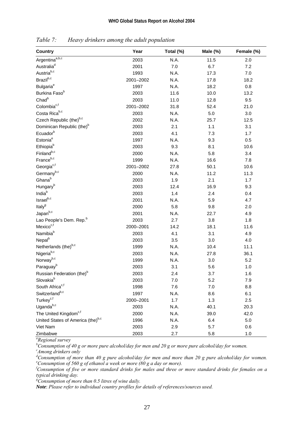| <b>Country</b>                        | Year      | Total (%) | Male (%) | Female (%) |
|---------------------------------------|-----------|-----------|----------|------------|
| Argentina <sup>a,b,c</sup>            | 2003      | N.A.      | 11.5     | 2.0        |
| Australia <sup>d</sup>                | 2001      | 7.0       | 6.7      | 7.2        |
| Austria <sup>b,c</sup>                | 1993      | N.A.      | 17.3     | $7.0$      |
| Brazil <sup>b,c</sup>                 | 2001-2002 | N.A.      | 17.8     | 18.2       |
| <b>Bulgaria</b> <sup>e</sup>          | 1997      | N.A.      | 18.2     | $0.8\,$    |
| Burkina Faso <sup>b</sup>             | 2003      | 11.6      | 10.0     | 13.2       |
| Chad <sup>b</sup>                     | 2003      | 11.0      | 12.8     | 9.5        |
| Colombia <sup>c,f</sup>               | 2001-2002 | 31.8      | 52.4     | 21.0       |
| Costa Ricab,c                         | 2003      | N.A.      | $5.0\,$  | $3.0\,$    |
| Czech Republic (the)b,c               | 2002      | N.A.      | 25.7     | 12.5       |
| Dominican Republic (the) <sup>b</sup> | 2003      | 2.1       | 1.1      | 3.1        |
| Ecuador <sup>b</sup>                  | 2003      | 4.1       | 7.3      | 1.7        |
| Estonia <sup>e</sup>                  | 1997      | N.A.      | 9.3      | 0.5        |
| Ethiopia <sup>b</sup>                 | 2003      | 9.3       | 8.1      | 10.6       |
| Finland <sup>b,c</sup>                | 2000      | N.A.      | 5.8      | 3.4        |
| Franceb,c                             | 1999      | N.A.      | 16.6     | 7.8        |
| Georgia <sup>c,f</sup>                | 2001-2002 | 27.8      | 50.1     | 10.6       |
| Germanyb,c                            | 2000      | N.A.      | 11.2     | 11.3       |
| Ghanab                                | 2003      | 1.9       | 2.1      | 1.7        |
| Hungary <sup>b</sup>                  | 2003      | 12.4      | 16.9     | 9.3        |
| India <sup>b</sup>                    | 2003      | $1.4$     | 2.4      | 0.4        |
| Israel <sup>b,c</sup>                 | 2001      | N.A.      | 5.9      | 4.7        |
| Italy <sup>9</sup>                    | 2000      | 5.8       | 9.8      | 2.0        |
| Japan <sup>b,c</sup>                  | 2001      | N.A.      | 22.7     | 4.9        |
| Lao People's Dem. Rep. <sup>b</sup>   | 2003      | 2.7       | 3.8      | 1.8        |
| Mexico <sup>c,f</sup>                 | 2000-2001 | 14.2      | 18.1     | 11.6       |
| Namibia <sup>b</sup>                  | 2003      | 4.1       | 3.1      | 4.9        |
| Nepal <sup>b</sup>                    | 2003      | 3.5       | 3.0      | 4.0        |
| Netherlands (the)b,c                  | 1999      | N.A.      | 10.4     | 11.1       |
| Nigeriab,c                            | 2003      | N.A.      | 27.8     | 36.1       |
| Norwayb,c                             | 1999      | N.A.      | 3.0      | 5.2        |
| Paraguay <sup>b</sup>                 | 2003      | 3.1       | 5.6      | 1.0        |
| Russian Federation (the) <sup>b</sup> | 2003      | 2.4       | 3.7      | 1.6        |
| Slovakiab                             | 2003      | 7.0       | 5.2      | 7.9        |
| South Africa <sup>c,f</sup>           | 1998      | 7.6       | 7.0      | 8.8        |
| Switzerlandb,c                        | 1997      | N.A.      | 8.6      | 6.1        |
| Turkey <sup>c,f</sup>                 | 2000-2001 | 1.7       | 1.3      | 2.5        |
| Uganda <sup>b,c</sup>                 | 2003      | N.A.      | 40.1     | 20.3       |
| The United Kingdom <sup>c,f</sup>     | 2000      | N.A.      | 39.0     | 42.0       |
| United States of America (the)b,c     | 1996      | N.A.      | 6.4      | 5.0        |
| Viet Nam                              | 2003      | 2.9       | 5.7      | 0.6        |
| Zimbabwe                              | 2003      | 2.7       | 5.8      | 1.0        |

*Table 7: Heavy drinkers among the adult population* 

*a Regional survey* 

*b Consumption of 40 g or more pure alcohol/day for men and 20 g or more pure alcohol/day for women.* 

*c Among drinkers only d Consumption of more than 40 g pure alcohol/day for men and more than 20 g pure alcohol/day for women. e Consumption of 560 g of ethanol a week or more (80 g a day or more).* 

*f Consumption of five or more standard drinks for males and three or more standard drinks for females on a typical drinking day.* 

*g Consumption of more than 0.5 litres of wine daily.* 

*Note*: *Please refer to individual country profiles for details of references/sources used.*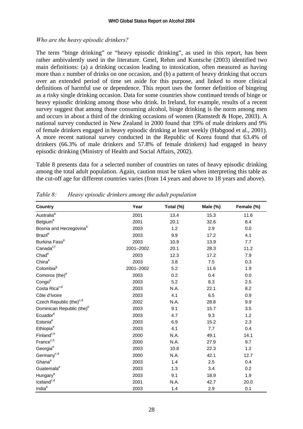### *Who are the heavy episodic drinkers?*

The term "binge drinking" or "heavy episodic drinking", as used in this report, has been rather ambivalently used in the literature. Gmel, Rehm and Kuntsche (2003) identified two main definitions: (a) a drinking occasion leading to intoxication, often measured as having more than *x* number of drinks on one occasion, and (b) a pattern of heavy drinking that occurs over an extended period of time set aside for this purpose, and linked to more clinical definitions of harmful use or dependence. This report uses the former definition of bingeing as a risky single drinking occasion. Data for some countries show continued trends of binge or heavy episodic drinking among those who drink. In Ireland, for example, results of a recent survey suggest that among those consuming alcohol, binge drinking is the norm among men and occurs in about a third of the drinking occasions of women (Ramstedt & Hope, 2003). A national survey conducted in New Zealand in 2000 found that 19% of male drinkers and 9% of female drinkers engaged in heavy episodic drinking at least weekly (Habgood et al., 2001). A more recent national survey conducted in the Republic of Korea found that 63.4% of drinkers (66.3% of male drinkers and 57.8% of female drinkers) had engaged in heavy episodic drinking (Ministry of Health and Social Affairs, 2002).

Table 8 presents data for a selected number of countries on rates of heavy episodic drinking among the total adult population. Again, caution must be taken when interpreting this table as the cut-off age for different countries varies (from 14 years and above to 18 years and above).

| <b>Country</b>                        | Year      | Total (%) | Male (%) | Female (%) |
|---------------------------------------|-----------|-----------|----------|------------|
| Australia <sup>a</sup>                | 2001      | 13.4      | 15.3     | 11.6       |
| Belgium <sup>b</sup>                  | 2001      | 20.1      | 32.6     | 8.4        |
| Bosnia and Herzegovina <sup>e</sup>   | 2003      | 1.2       | 2.9      | 0.0        |
| <b>Brazil</b> <sup>e</sup>            | 2003      | 9.9       | 17.2     | 4.1        |
| Burkina Faso <sup>e</sup>             | 2003      | 10.9      | 13.9     | 7.7        |
| Canada <sup>c,f</sup>                 | 2001-2002 | 20.1      | 28.3     | 11.2       |
| Chade                                 | 2003      | 12.3      | 17.2     | 7.9        |
| China <sup>e</sup>                    | 2003      | 3.8       | 7.5      | 0.3        |
| Colombia <sup>9</sup>                 | 2001-2002 | 5.2       | 11.6     | 1.9        |
| Comoros (the) <sup>e</sup>            | 2003      | 0.2       | 0.4      | 0.0        |
| Congo <sup>e</sup>                    | 2003      | 5.2       | 8.3      | 2.5        |
| Costa Rica <sup>c,d</sup>             | 2003      | N.A.      | 22.1     | 8.2        |
| Côte d'Ivoire                         | 2003      | 4.1       | 6.5      | 0.9        |
| Czech Republic (the) <sup>c,d</sup>   | 2002      | N.A.      | 28.8     | 9.9        |
| Dominican Republic (the) <sup>e</sup> | 2003      | 9.1       | 15.7     | 3.5        |
| Ecuador <sup>e</sup>                  | 2003      | 4.7       | 9.3      | 1.2        |
| Estonia <sup>e</sup>                  | 2003      | 6.9       | 15.2     | 2.3        |
| Ethiopia <sup>e</sup>                 | 2003      | 4.1       | 7.7      | 0.4        |
| Finland <sup>c,h</sup>                | 2000      | N.A.      | 49.1     | 14.1       |
| $France^{c,h}$                        | 2000      | N.A.      | 27.9     | 9.7        |
| Georgia <sup>e</sup>                  | 2003      | 10.8      | 22.3     | 1.2        |
| Germany <sup>c.d</sup>                | 2000      | N.A.      | 42.1     | 12.7       |
| Ghana <sup>e</sup>                    | 2003      | 1.4       | 2.5      | 0.4        |
| Guatemala <sup>e</sup>                | 2003      | 1.3       | 3.4      | 0.2        |
| Hungary <sup>e</sup>                  | 2003      | 9.1       | 18.9     | 1.9        |
| Iceland <sup>c,d</sup>                | 2001      | N.A.      | 42.7     | 20.0       |
| India <sup>e</sup>                    | 2003      | 1.4       | 2.9      | 0.1        |

*Table 8: Heavy episodic drinkers among the adult population*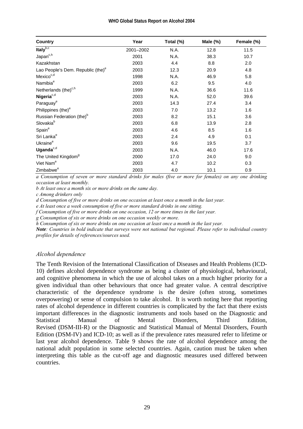| Country                                       | Year      | Total (%) | Male $(\%)$ | Female (%) |
|-----------------------------------------------|-----------|-----------|-------------|------------|
| Italy $b,c$                                   | 2001-2002 | N.A.      | 12.8        | 11.5       |
| Japan <sup>c,h</sup>                          | 2001      | N.A.      | 38.3        | 10.7       |
| Kazakhstan                                    | 2003      | 4.4       | 8.8         | 2.0        |
| Lao People's Dem. Republic (the) <sup>e</sup> | 2003      | 12.3      | 20.9        | 4.8        |
| Mexico <sup>c,d</sup>                         | 1998      | N.A.      | 46.9        | 5.8        |
| Namibia <sup>e</sup>                          | 2003      | 6.2       | 9.5         | 4.0        |
| Netherlands (the) <sup>c,h</sup>              | 1999      | N.A.      | 36.6        | 11.6       |
| Nigeria <sup>c,d</sup>                        | 2003      | N.A.      | 52.0        | 39.6       |
| Paraguay <sup>e</sup>                         | 2003      | 14.3      | 27.4        | 3.4        |
| Philippines (the) <sup>e</sup>                | 2003      | 7.0       | 13.2        | 1.6        |
| Russian Federation (the) <sup>b</sup>         | 2003      | 8.2       | 15.1        | 3.6        |
| Slovakiab                                     | 2003      | 6.8       | 13.9        | 2.8        |
| Spain <sup>e</sup>                            | 2003      | 4.6       | 8.5         | 1.6        |
| Sri Lanka <sup>e</sup>                        | 2003      | 2.4       | 4.9         | 0.1        |
| Ukraine <sup>e</sup>                          | 2003      | 9.6       | 19.5        | 3.7        |
| Uganda $c,d$                                  | 2003      | N.A.      | 46.0        | 17.6       |
| The United Kingdom <sup>g</sup>               | 2000      | 17.0      | 24.0        | 9.0        |
| Viet Nam <sup>e</sup>                         | 2003      | 4.7       | 10.2        | 0.3        |
| Zimbabwe <sup>e</sup>                         | 2003      | 4.0       | 10.1        | 0.9        |

*a Consumption of seven or more standard drinks for males (five or more for females) on any one drinking occasion at least monthly.* 

*b At least once a month six or more drinks on the same day.* 

*c Among drinkers only* 

*d Consumption of five or more drinks on one occasion at least once a month in the last year.* 

*e At least once a week consumption of five or more standard drinks in one sitting.* 

*f Consumption of five or more drinks on one occasion, 12 or more times in the last year.* 

*g Consumption of six or more drinks on one occasion weekly or more.* 

*h Consumption of six or more drinks on one occasion at least once a month in the last year.* 

*Note: Countries in bold indicate that surveys were not national but regional. Please refer to individual country profiles for details of references/sources used.* 

#### *Alcohol dependence*

The Tenth Revision of the International Classification of Diseases and Health Problems (ICD-10) defines alcohol dependence syndrome as being a cluster of physiological, behavioural, and cognitive phenomena in which the use of alcohol takes on a much higher priority for a given individual than other behaviours that once had greater value. A central descriptive characteristic of the dependence syndrome is the desire (often strong, sometimes overpowering) or sense of compulsion to take alcohol. It is worth noting here that reporting rates of alcohol dependence in different countries is complicated by the fact that there exists important differences in the diagnostic instruments and tools based on the Diagnostic and Statistical Manual of Mental Disorders, Third Edition, Revised (DSM-III-R) or the Diagnostic and Statistical Manual of Mental Disorders, Fourth Edition (DSM-IV) and ICD-10; as well as if the prevalence rates measured refer to lifetime or last year alcohol dependence. Table 9 shows the rate of alcohol dependence among the national adult population in some selected countries. Again, caution must be taken when interpreting this table as the cut-off age and diagnostic measures used differed between countries.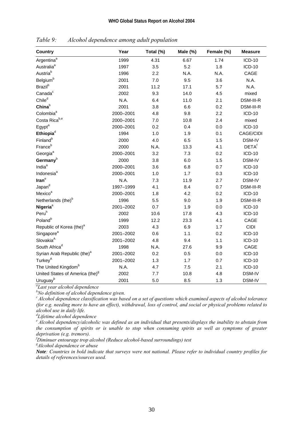| <b>Country</b>                              | Year      | Total (%) | Male (%) | Female (%) | <b>Measure</b>           |
|---------------------------------------------|-----------|-----------|----------|------------|--------------------------|
| Argentina <sup>a</sup>                      | 1999      | 4.31      | 6.67     | 1.74       | ICD-10                   |
| Australia <sup>a</sup>                      | 1997      | 3.5       | 5.2      | 1.8        | ICD-10                   |
| Austriab                                    | 1996      | 2.2       | N.A.     | N.A.       | CAGE                     |
| Belgium <sup>b</sup>                        | 2001      | 7.0       | 9.5      | 3.6        | N.A.                     |
| <b>Brazil</b> <sup>b</sup>                  | 2001      | 11.2      | 17.1     | 5.7        | N.A.                     |
| Canada <sup>c</sup>                         | 2002      | 9.3       | 14.0     | 4.5        | mixed                    |
| Chile <sup>d</sup>                          | N.A.      | 6.4       | 11.0     | 2.1        | DSM-III-R                |
| Chinab                                      | 2001      | 3.8       | 6.6      | 0.2        | DSM-III-R                |
| Colombia <sup>a</sup>                       | 2000-2001 | 4.8       | 9.8      | 2.2        | ICD-10                   |
| Costa Ricab,e                               | 2000-2001 | 7.0       | 10.8     | 2.4        | mixed                    |
| $E$ gypt <sup>a</sup>                       | 2000-2001 | 0.2       | 0.4      | 0.0        | <b>ICD-10</b>            |
| Ethiopia <sup>d</sup>                       | 1994      | 1.0       | 1.9      | 0.1        | CAGE/CIDI                |
| Finland <sup>b</sup>                        | 2000      | 4.0       | 6.5      | 1.5        | DSM-IV                   |
| Franceb                                     | 2000      | N.A.      | 13.3     | 4.1        | <b>DETA</b> <sup>f</sup> |
| Georgia <sup>a</sup>                        | 2000-2001 | 3.2       | 7.3      | 0.2        | <b>ICD-10</b>            |
| Germany <sup>b</sup>                        | 2000      | 3.8       | 6.0      | 1.5        | DSM-IV                   |
| India <sup>a</sup>                          | 2000-2001 | 3.6       | 6.8      | 0.7        | ICD-10                   |
| Indonesia <sup>a</sup>                      | 2000-2001 | 1.0       | 1.7      | 0.3        | ICD-10                   |
| Iran <sup>e</sup>                           | N.A.      | 7.3       | 11.9     | 2.7        | DSM-IV                   |
| Japan <sup>d</sup>                          | 1997-1999 | 4.1       | 8.4      | 0.7        | DSM-III-R                |
| Mexico <sup>a</sup>                         | 2000-2001 | 1.8       | 4.2      | 0.2        | ICD-10                   |
| Netherlands (the) <sup>b</sup>              | 1996      | 5.5       | 9.0      | 1.9        | DSM-III-R                |
| Nigeria <sup>a</sup>                        | 2001-2002 | 0.7       | 1.9      | 0.0        | <b>ICD-10</b>            |
| Peruh                                       | 2002      | 10.6      | 17.8     | 4.3        | ICD-10                   |
| Poland <sup>b</sup>                         | 1999      | 12.2      | 23.3     | 4.1        | CAGE                     |
| Republic of Korea (the) <sup>a</sup>        | 2003      | 4.3       | 6.9      | 1.7        | <b>CIDI</b>              |
| Singapore <sup>a</sup>                      | 2001-2002 | 0.6       | 1.1      | 0.2        | ICD-10                   |
| Slovakia <sup>A</sup>                       | 2001-2002 | 4.8       | 9.4      | 1.1        | ICD-10                   |
| South Africa <sup>d</sup>                   | 1998      | N.A.      | 27.6     | 9.9        | CAGE                     |
| Syrian Arab Republic (the) <sup>a</sup>     | 2001-2002 | 0.2       | 0.5      | 0.0        | ICD-10                   |
| Turkey <sup>A</sup>                         | 2001-2002 | 1.3       | 1.7      | 0.7        | ICD-10                   |
| The United Kingdom <sup>b</sup>             | N.A.      | 4.7       | 7.5      | 2.1        | ICD-10                   |
| United States of America (the) <sup>9</sup> | 2002      | 7.7       | 10.8     | 4.8        | DSM-IV                   |
| Uruguay <sup>b</sup>                        | 2001      | 5.0       | 8.5      | 1.3        | DSM-IV                   |

*Table 9: Alcohol dependence among adult population* 

*a Last year alcohol dependence* 

*b No definition of alcohol dependence given.* 

*c Alcohol dependence classification was based on a set of questions which examined aspects of alcohol tolerance (for e.g. needing more to have an effect), withdrawal, loss of control, and social or physical problems related to alcohol use in daily life.* 

*d Lifetime alcohol dependence* 

*e Alcohol dependency/alcoholic was defined as an individual that presents/displays the inability to abstain from the consumption of spirits or is unable to stop when consuming spirits as well as symptoms of greater deprivation (e.g. tremors).* 

*f Diminuer entourage trop alcohol (Reduce alcohol-based surroundings) test* 

*g Alcohol dependence or abuse* 

*Note: Countries in bold indicate that surveys were not national. Please refer to individual country profiles for details of references/sources used.*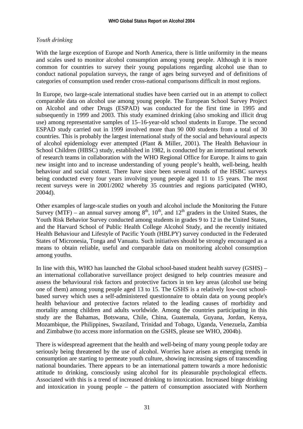# *Youth drinking*

With the large exception of Europe and North America, there is little uniformity in the means and scales used to monitor alcohol consumption among young people. Although it is more common for countries to survey their young populations regarding alcohol use than to conduct national population surveys, the range of ages being surveyed and of definitions of categories of consumption used render cross-national comparisons difficult in most regions.

In Europe, two large-scale international studies have been carried out in an attempt to collect comparable data on alcohol use among young people. The European School Survey Project on Alcohol and other Drugs (ESPAD) was conducted for the first time in 1995 and subsequently in 1999 and 2003. This study examined drinking (also smoking and illicit drug use) among representative samples of 15–16-year-old school students in Europe. The second ESPAD study carried out in 1999 involved more than 90 000 students from a total of 30 countries. This is probably the largest international study of the social and behavioural aspects of alcohol epidemiology ever attempted (Plant & Miller, 2001). The Health Behaviour in School Children (HBSC) study, established in 1982, is conducted by an international network of research teams in collaboration with the WHO Regional Office for Europe. It aims to gain new insight into and to increase understanding of young people's health, well-being, health behaviour and social context. There have since been several rounds of the HSBC surveys being conducted every four years involving young people aged 11 to 15 years. The most recent surveys were in 2001/2002 whereby 35 countries and regions participated (WHO, 2004d).

Other examples of large-scale studies on youth and alcohol include the Monitoring the Future Survey (MTF) – an annual survey among  $8<sup>th</sup>$ ,  $10<sup>th</sup>$ , and  $12<sup>th</sup>$  graders in the United States, the Youth Risk Behavior Survey conducted among students in grades 9 to 12 in the United States, and the Harvard School of Public Health College Alcohol Study, and the recently initiated Health Behaviour and Lifestyle of Pacific Youth (HBLPY) survey conducted in the Federated States of Micronesia, Tonga and Vanuatu. Such initiatives should be strongly encouraged as a means to obtain reliable, useful and comparable data on monitoring alcohol consumption among youths.

In line with this, WHO has launched the Global school-based student health survey (GSHS) – an international collaborative surveillance project designed to help countries measure and assess the behavioural risk factors and protective factors in ten key areas (alcohol use being one of them) among young people aged 13 to 15. The GSHS is a relatively low-cost schoolbased survey which uses a self-administered questionnaire to obtain data on young people's health behaviour and protective factors related to the leading causes of morbidity and mortality among children and adults worldwide. Among the countries participating in this study are the Bahamas, Botswana, Chile, China, Guatemala, Guyana, Jordan, Kenya, Mozambique, the Philippines, Swaziland, Trinidad and Tobago, Uganda, Venezuela, Zambia and Zimbabwe (to access more information on the GSHS, please see WHO, 2004b).

There is widespread agreement that the health and well-being of many young people today are seriously being threatened by the use of alcohol. Worries have arisen as emerging trends in consumption are starting to permeate youth culture, showing increasing signs of transcending national boundaries. There appears to be an international pattern towards a more hedonistic attitude to drinking, consciously using alcohol for its pleasurable psychological effects. Associated with this is a trend of increased drinking to intoxication. Increased binge drinking and intoxication in young people – the pattern of consumption associated with Northern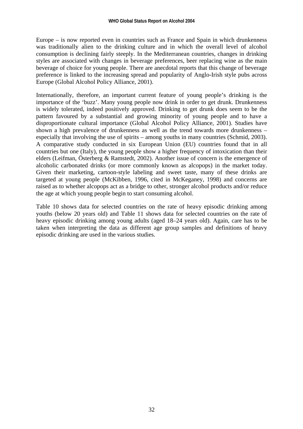Europe – is now reported even in countries such as France and Spain in which drunkenness was traditionally alien to the drinking culture and in which the overall level of alcohol consumption is declining fairly steeply. In the Mediterranean countries, changes in drinking styles are associated with changes in beverage preferences, beer replacing wine as the main beverage of choice for young people. There are anecdotal reports that this change of beverage preference is linked to the increasing spread and popularity of Anglo-Irish style pubs across Europe (Global Alcohol Policy Alliance, 2001).

Internationally, therefore, an important current feature of young people's drinking is the importance of the 'buzz'. Many young people now drink in order to get drunk. Drunkenness is widely tolerated, indeed positively approved. Drinking to get drunk does seem to be the pattern favoured by a substantial and growing minority of young people and to have a disproportionate cultural importance (Global Alcohol Policy Alliance, 2001). Studies have shown a high prevalence of drunkenness as well as the trend towards more drunkenness – especially that involving the use of spirits – among youths in many countries (Schmid, 2003). A comparative study conducted in six European Union (EU) countries found that in all countries but one (Italy), the young people show a higher frequency of intoxication than their elders (Leifman, Österberg & Ramstedt, 2002). Another issue of concern is the emergence of alcoholic carbonated drinks (or more commonly known as alcopops) in the market today. Given their marketing, cartoon-style labeling and sweet taste, many of these drinks are targeted at young people (McKibben, 1996, cited in McKeganey, 1998) and concerns are raised as to whether alcopops act as a bridge to other, stronger alcohol products and/or reduce the age at which young people begin to start consuming alcohol.

Table 10 shows data for selected countries on the rate of heavy episodic drinking among youths (below 20 years old) and Table 11 shows data for selected countries on the rate of heavy episodic drinking among young adults (aged 18–24 years old). Again, care has to be taken when interpreting the data as different age group samples and definitions of heavy episodic drinking are used in the various studies.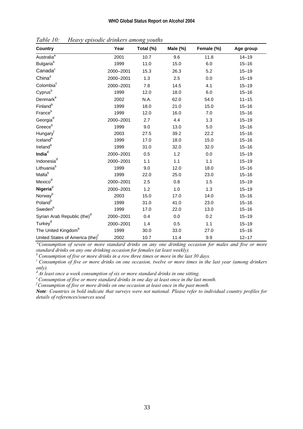| <b>Country</b>                              | Year      | Total (%) | Male (%) | Female (%) | Age group |
|---------------------------------------------|-----------|-----------|----------|------------|-----------|
| Australia <sup>a</sup>                      | 2001      | 10.7      | 9.6      | 11.8       | $14 - 19$ |
| <b>Bulgaria</b> <sup>b</sup>                | 1999      | 11.0      | 15.0     | 6.0        | $15 - 16$ |
| Canada <sup>c</sup>                         | 2000-2001 | 15.3      | 26.3     | 5.2        | $15 - 19$ |
| China <sup>d</sup>                          | 2000-2001 | 1.3       | 2.5      | 0.0        | $15 - 19$ |
| Colombia <sup>c</sup>                       | 2000-2001 | 7.8       | 14.5     | 4.1        | $15 - 19$ |
| Cyprus <sup>b</sup>                         | 1999      | 12.0      | 18.0     | 6.0        | $15 - 16$ |
| Denmark <sup>e</sup>                        | 2002      | N.A.      | 62.0     | 54.0       | $11 - 15$ |
| Finland <sup>b</sup>                        | 1999      | 18.0      | 21.0     | 15.0       | $15 - 16$ |
| Franceb                                     | 1999      | 12.0      | 16.0     | 7.0        | $15 - 16$ |
| Georgia <sup>d</sup>                        | 2000-2001 | 2.7       | 4.4      | 1.3        | $15 - 19$ |
| Greece <sup>b</sup>                         | 1999      | 9.0       | 13.0     | 5.0        | $15 - 16$ |
| Hungary <sup>f</sup>                        | 2003      | 27.5      | 39.2     | 22.2       | $15 - 16$ |
| Iceland <sup>b</sup>                        | 1999      | 17.0      | 18.0     | 15.0       | $15 - 16$ |
| Ireland <sup>b</sup>                        | 1999      | 31.0      | 32.0     | 32.0       | $15 - 16$ |
| India <sup>d</sup>                          | 2000-2001 | 0.5       | 1.2      | 0.0        | $15 - 19$ |
| Indonesia <sup>d</sup>                      | 2000-2001 | 1.1       | 1.1      | 1.1        | $15 - 19$ |
| Lithuania <sup>b</sup>                      | 1999      | 9.0       | 12.0     | 18.0       | $15 - 16$ |
| Maltab                                      | 1999      | 22.0      | 25.0     | 23.0       | $15 - 16$ |
| Mexico <sup>d</sup>                         | 2000-2001 | 2.5       | 0.8      | 1.5        | $15 - 19$ |
| Nigeria <sup>d</sup>                        | 2000-2001 | 1.2       | 1.0      | 1.3        | $15 - 19$ |
| Norway <sup>b</sup>                         | 2003      | 15.0      | 17.0     | 14.0       | $15 - 16$ |
| Poland <sup>b</sup>                         | 1999      | 31.0      | 41.0     | 23.0       | $15 - 16$ |
| Sweden <sup>b</sup>                         | 1999      | 17.0      | 22.0     | 13.0       | $15 - 16$ |
| Syrian Arab Republic (the) <sup>d</sup>     | 2000-2001 | 0.4       | 0.0      | 0.2        | $15 - 19$ |
| Turkey <sup>d</sup>                         | 2000-2001 | 1.4       | 0.5      | 1.1        | $15 - 19$ |
| The United Kingdom <sup>b</sup>             | 1999      | 30.0      | 33.0     | 27.0       | $15 - 16$ |
| United States of America (the) <sup>†</sup> | 2002      | 10.7      | 11.4     | 9.9        | $12 - 17$ |

*Table 10: Heavy episodic drinkers among youths* 

*aConsumption of seven or more standard drinks on any one drinking occasion for males and five or more standard drinks on any one drinking occasion for females (at least weekly).* 

*b Consumption of five or more drinks in a row three times or more in the last 30 days.* 

*c Consumption of five or more drinks on one occasion, twelve or more times in the last year (among drinkers*  only).<br><sup>*d*</sup> At least once a week consumption of six or more standard drinks in one sitting.

*d At least once a week consumption of six or more standard drinks in one sitting. e Consumption of five or more standard drinks in one day at least once in the last month.* 

*f Consumption of five or more drinks on one occasion at least once in the past month.* 

*Note: Countries in bold indicate that surveys were not national. Please refer to individual country profiles for details of references/sources used.*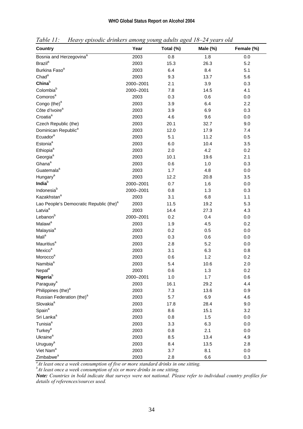| <b>Country</b>                                      | Year      | Total (%) | Male (%) | Female (%) |  |
|-----------------------------------------------------|-----------|-----------|----------|------------|--|
| Bosnia and Herzegovina <sup>a</sup>                 | 2003      | 0.8       | 1.8      | 0.0        |  |
| <b>Brazil</b> <sup>a</sup>                          | 2003      | 15.3      | 26.3     | 5.2        |  |
| Burkina Faso <sup>a</sup>                           | 2003      | 6.4       | 8.4      | 5.1        |  |
| Chad <sup>a</sup>                                   | 2003      | 9.3       | 13.7     | 5.6        |  |
| Chinab                                              | 2000-2001 | 2.1       | 3.9      | 0.3        |  |
| Colombiab                                           | 2000-2001 | 7.8       | 14.5     | 4.1        |  |
| Comoros <sup>a</sup>                                | 2003      | 0.3       | 0.6      | 0.0        |  |
| Congo (the) <sup>a</sup>                            | 2003      | 3.9       | 6.4      | 2.2        |  |
| Côte d'Ivoire <sup>a</sup>                          | 2003      | 3.9       | 6.9      | 0.3        |  |
| Croatia <sup>a</sup>                                | 2003      | 4.6       | 9.6      | 0.0        |  |
| Czech Republic (the)                                | 2003      | 20.1      | 32.7     | 9.0        |  |
| Dominican Republic <sup>a</sup>                     | 2003      | 12.0      | 17.9     | 7.4        |  |
| Ecuador <sup>a</sup>                                | 2003      | 5.1       | 11.2     | 0.5        |  |
| Estonia <sup>a</sup>                                | 2003      | 6.0       | 10.4     | 3.5        |  |
| Ethiopia <sup>a</sup>                               | 2003      | 2.0       | 4.2      | 0.2        |  |
| Georgia <sup>a</sup>                                | 2003      | 10.1      | 19.6     | 2.1        |  |
| Ghana <sup>a</sup>                                  | 2003      | 0.6       | 1.0      | 0.3        |  |
| Guatemala <sup>a</sup>                              | 2003      | 1.7       | 4.8      | 0.0        |  |
| Hungary <sup>a</sup>                                | 2003      | 12.2      | 20.8     | 3.5        |  |
| India <sup>b</sup>                                  | 2000-2001 | 0.7       | 1.6      | 0.0        |  |
| Indonesia <sup>b</sup>                              | 2000-2001 | 0.8       | 1.3      | 0.3        |  |
| Kazakhstan <sup>a</sup>                             | 2003      | 3.1       | 6.8      | 1.1        |  |
| Lao People's Democratic Republic (the) <sup>a</sup> | 2003      | 11.5      | 19.2     | 5.3        |  |
| Latvia <sup>a</sup>                                 | 2003      | 14.4      | 27.3     | 4.3        |  |
| Lebanon <sup>b</sup>                                | 2000-2001 | 0.2       | 0.4      | 0.0        |  |
| Malawi <sup>a</sup>                                 | 2003      | 1.9       | 4.5      | 0.2        |  |
| Malaysia <sup>a</sup>                               | 2003      | 0.2       | 0.5      | 0.0        |  |
| Mali <sup>a</sup>                                   | 2003      | 0.3       | 0.6      | 0.0        |  |
| Mauritius <sup>a</sup>                              | 2003      | 2.8       | 5.2      | 0.0        |  |
| Mexico <sup>a</sup>                                 | 2003      | 3.1       | 6.3      | 0.8        |  |
| Morocco <sup>a</sup>                                | 2003      | 0.6       | 1.2      | 0.2        |  |
| Namibia <sup>a</sup>                                | 2003      | 5.4       | 10.6     | 2.0        |  |
| Nepal <sup>a</sup>                                  | 2003      | 0.6       | 1.3      | 0.2        |  |
| Nigeria <sup>b</sup>                                | 2000-2001 | 1.0       | 1.7      | 0.6        |  |
| Paraguay <sup>a</sup>                               | 2003      | 16.1      | 29.2     | 4.4        |  |
| Philippines (the) <sup>a</sup>                      | 2003      | 7.3       | 13.6     | 0.9        |  |
| Russian Federation (the) <sup>a</sup>               | 2003      | 5.7       | 6.9      | 4.6        |  |
| Slovakia <sup>a</sup>                               | 2003      | 17.8      | 28.4     | 9.0        |  |
| Spain <sup>a</sup>                                  | 2003      | 8.6       | 15.1     | 3.2        |  |
| Sri Lanka <sup>a</sup>                              | 2003      | 0.8       | 1.5      | 0.0        |  |
| Tunisia <sup>a</sup>                                | 2003      | 3.3       | 6.3      | 0.0        |  |
| Turkey <sup>a</sup>                                 | 2003      | 0.8       | 2.1      | 0.0        |  |
| Ukraine <sup>a</sup>                                | 2003      | 8.5       | 13.4     | 4.9        |  |
| Uruguay <sup>a</sup>                                | 2003      | 8.4       | 13.5     | 2.8        |  |
| Viet Nam <sup>a</sup>                               | 2003      | 3.7       | 8.1      | 0.0        |  |
| Zimbabwe <sup>a</sup>                               | 2003      | 2.8       | 6.6      | 0.3        |  |

*Table 11: Heavy episodic drinkers among young adults aged 18–24 years old* 

<sup>*a*</sup>At least once a week consumption of five or more standard drinks in one sitting.<br><sup>b</sup>At least once a week consumption of six or more drinks in one sitting.

*Note: Countries in bold indicate that surveys were not national. Please refer to individual country profiles for details of references/sources used.*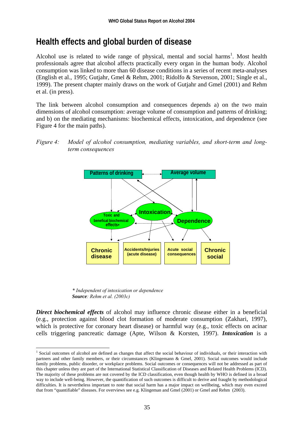# **Health effects and global burden of disease**

Alcohol use is related to wide range of physical, mental and social harms<sup>1</sup>. Most health professionals agree that alcohol affects practically every organ in the human body. Alcohol consumption was linked to more than 60 disease conditions in a series of recent meta-analyses (English et al., 1995; Gutjahr, Gmel & Rehm, 2001; Ridolfo & Stevenson, 2001; Single et al., 1999). The present chapter mainly draws on the work of Gutjahr and Gmel (2001) and Rehm et al. (in press).

The link between alcohol consumption and consequences depends a) on the two main dimensions of alcohol consumption: average volume of consumption and patterns of drinking; and b) on the mediating mechanisms: biochemical effects, intoxication, and dependence (see Figure 4 for the main paths).

# *Figure 4: Model of alcohol consumption, mediating variables, and short-term and longterm consequences*



*\* Independent of intoxication or dependence Source: Rehm et al. (2003c)* 

 $\overline{a}$ 

*Direct biochemical effects* of alcohol may influence chronic disease either in a beneficial (e.g., protection against blood clot formation of moderate consumption (Zakhari, 1997), which is protective for coronary heart disease) or harmful way (e.g., toxic effects on acinar cells triggering pancreatic damage (Apte, Wilson & Korsten, 1997). *Intoxication* is a

 $1$  Social outcomes of alcohol are defined as changes that affect the social behaviour of individuals, or their interaction with partners and other family members, or their circumstances (Klingemann & Gmel, 2001). Social outcomes would include family problems, public disorder, or workplace problems. Social outcomes or consequences will not be addressed as part of this chapter unless they are part of the International Statistical Classification of Diseases and Related Health Problems (ICD). The majority of these problems are not covered by the ICD classification, even though health by WHO is defined in a broad way to include well-being. However, the quantification of such outcomes is difficult to derive and fraught by methodological difficulties. It is nevertheless important to note that social harm has a major impact on wellbeing, which may even exceed that from "quantifiable" diseases. For overviews see e.g. Klingeman and Gmel (2001) or Gmel and Rehm (2003).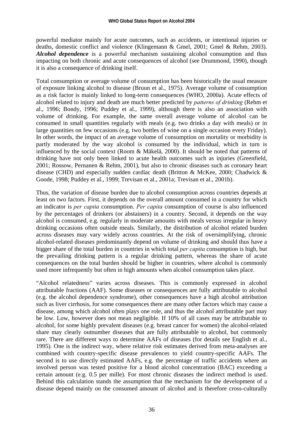powerful mediator mainly for acute outcomes, such as accidents, or intentional injuries or deaths, domestic conflict and violence (Klingemann & Gmel, 2001; Gmel & Rehm, 2003). *Alcohol dependence* is a powerful mechanism sustaining alcohol consumption and thus impacting on both chronic and acute consequences of alcohol (see Drummond, 1990), though it is also a consequence of drinking itself.

Total consumption or average volume of consumption has been historically the usual measure of exposure linking alcohol to disease (Bruun et al., 1975). Average volume of consumption as a risk factor is mainly linked to long-term consequences (WHO, 2000a). Acute effects of alcohol related to injury and death are much better predicted by *patterns of drinking* (Rehm et al., 1996; Bondy, 1996; Puddey et al., 1999), although there is also an association with volume of drinking. For example, the same overall average volume of alcohol can be consumed in small quantities regularly with meals (e.g. two drinks a day with meals) or in large quantities on few occasions (e.g. two bottles of wine on a single occasion every Friday). In other words, the impact of an average volume of consumption on mortality or morbidity is partly moderated by the way alcohol is consumed by the individual, which in turn is influenced by the social context (Room & Mäkelä, 2000). It should be noted that patterns of drinking have not only been linked to acute health outcomes such as injuries (Greenfield, 2001; Rossow, Pernanen & Rehm, 2001), but also to chronic diseases such as coronary heart disease (CHD) and especially sudden cardiac death (Britton & McKee, 2000; Chadwick & Goode, 1998; Puddey et al., 1999; Trevisan et al., 2001a; Trevisan et al., 2001b).

Thus, the variation of disease burden due to alcohol consumption across countries depends at least on two factors. First, it depends on the overall amount consumed in a country for which an indicator is *per capita* consumption. *Per capita* consumption of course is also influenced by the percentages of drinkers (or abstainers) in a country. Second, it depends on the way alcohol is consumed, e.g. regularly in moderate amounts with meals versus irregular in heavy drinking occasions often outside meals. Similarly, the distribution of alcohol related burden across diseases may vary widely across countries. At the risk of oversimplifying, chronic alcohol-related diseases predominantly depend on volume of drinking and should thus have a bigger share of the total burden in countries in which total *per capita* consumption is high, but the prevailing drinking pattern is a regular drinking pattern, whereas the share of acute consequences on the total burden should be higher in countries, where alcohol is commonly used more infrequently but often in high amounts when alcohol consumption takes place.

"Alcohol relatedness" varies across diseases. This is commonly expressed in alcohol attributable fractions (AAF). Some diseases or consequences are fully attributable to alcohol (e.g. the alcohol dependence syndrome), other consequences have a high alcohol attribution such as liver cirrhosis, for some consequences there are many other factors which may cause a disease, among which alcohol often plays one role, and thus the alcohol attributable part may be low. Low, however does not mean negligible. If 10% of all cases may be attributable to alcohol, for some highly prevalent diseases (e.g. breast cancer for women) the alcohol-related share may clearly outnumber diseases that are fully attributable to alcohol, but commonly rare. There are different ways to determine AAFs of diseases (for details see English et al., 1995). One is the indirect way, where relative risk estimates derived from meta-analyses are combined with country-specific disease prevalences to yield country-specific AAFs. The second is to use directly estimated AAFs, e.g. the percentage of traffic accidents where an involved person was tested positive for a blood alcohol concentration (BAC) exceeding a certain amount (e.g. 0.5 per mille). For most chronic diseases the indirect method is used. Behind this calculation stands the assumption that the mechanism for the development of a disease depend mainly on the consumed amount of alcohol and is therefore cross-culturally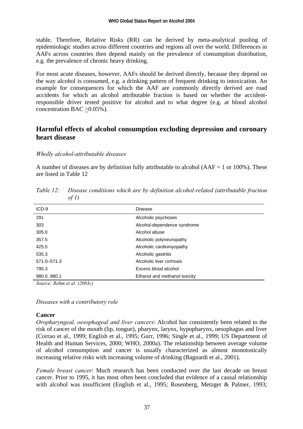stable. Therefore, Relative Risks (RR) can be derived by meta-analytical pooling of epidemiologic studies across different countries and regions all over the world. Differences in AAFs across countries then depend mainly on the prevalence of consumption distribution, e.g. the prevalence of chronic heavy drinking.

For most acute diseases, however, AAFs should be derived directly, because they depend on the way alcohol is consumed, e.g. a drinking pattern of frequent drinking to intoxication. An example for consequences for which the AAF are commonly directly derived are road accidents for which an alcohol attributable fraction is based on whether the accidentresponsible driver tested positive for alcohol and to what degree (e.g. at blood alcohol concentration BAC >0.05%).

# **Harmful effects of alcohol consumption excluding depression and coronary heart disease**

## *Wholly alcohol-attributable diseases*

A number of diseases are by definition fully attributable to alcohol ( $AAF = 1$  or 100%). These are listed in Table 12

| $ICD-9$                                                                  | Disease                       |
|--------------------------------------------------------------------------|-------------------------------|
| 291                                                                      | Alcoholic psychoses           |
| 303                                                                      | Alcohol-dependence syndrome   |
| 305.0                                                                    | Alcohol abuse                 |
| 357.5                                                                    | Alcoholic polyneuropathy      |
| 425.5                                                                    | Alcoholic cardiomyopathy      |
| 535.3                                                                    | Alcoholic gastritis           |
| 571.0-571.3                                                              | Alcoholic liver cirrhosis     |
| 790.3                                                                    | Excess blood alcohol          |
| 980.0, 980.1                                                             | Ethanol and methanol toxicity |
| $\sim$ $\sim$ $\sim$ $\sim$ $\sim$<br>$\sim$ $\sim$ $\sim$ $\sim$ $\sim$ |                               |

*Table 12: Disease conditions which are by definition alcohol-related (attributable fraction of 1)* 

*Source: Rehm et al. (2003c)* 

*Diseases with a contributory role* 

# **Cancer**

*Oropharyngeal, oesophageal and liver cancers*: Alcohol has consistently been related to the risk of cancer of the mouth (lip, tongue), pharynx, larynx, hypopharynx, oesophagus and liver (Corrao et al., 1999; English et al., 1995; Gurr, 1996; Single et al., 1999; US Department of Health and Human Services, 2000; WHO, 2000a). The relationship between average volume of alcohol consumption and cancer is usually characterized as almost monotonically increasing relative risks with increasing volume of drinking (Bagnardi et al., 2001).

*Female breast cancer*: Much research has been conducted over the last decade on breast cancer. Prior to 1995, it has most often been concluded that evidence of a causal relationship with alcohol was insufficient (English et al., 1995; Rosenberg, Metzger & Palmer, 1993;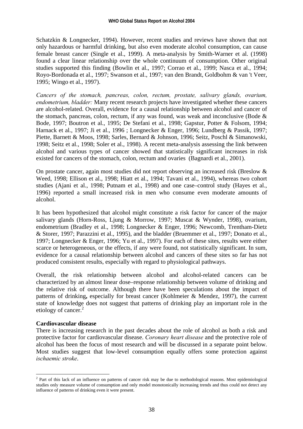Schatzkin & Longnecker, 1994). However, recent studies and reviews have shown that not only hazardous or harmful drinking, but also even moderate alcohol consumption, can cause female breast cancer (Single et al., 1999). A meta-analysis by Smith-Warner et al. (1998) found a clear linear relationship over the whole continuum of consumption. Other original studies supported this finding (Bowlin et al., 1997; Corrao et al., 1999; Nasca et al., 1994; Royo-Bordonada et al., 1997; Swanson et al., 1997; van den Brandt, Goldbohm & van 't Veer, 1995; Wingo et al., 1997).

*Cancers of the stomach, pancreas, colon, rectum, prostate, salivary glands, ovarium, endometrium, bladder:* Many recent research projects have investigated whether these cancers are alcohol-related. Overall, evidence for a causal relationship between alcohol and cancer of the stomach, pancreas, colon, rectum, if any was found, was weak and inconclusive (Bode & Bode, 1997; Boutron et al., 1995; De Stefani et al., 1998; Gapstur, Potter & Folsom, 1994; Harnack et al., 1997; Ji et al., 1996 ; Longnecker & Enger, 1996; Lundberg & Passik, 1997; Piette, Barnett & Moos, 1998; Sarles, Bernard & Johnson, 1996; Seitz, Poschl & Simanowski, 1998; Seitz et al., 1998; Soler et al., 1998). A recent meta-analysis assessing the link between alcohol and various types of cancer showed that statistically significant increases in risk existed for cancers of the stomach, colon, rectum and ovaries (Bagnardi et al., 2001).

On prostate cancer, again most studies did not report observing an increased risk (Breslow & Weed, 1998; Ellison et al., 1998; Hiatt et al., 1994; Tavani et al., 1994), whereas two cohort studies (Ajani et al., 1998; Putnam et al., 1998) and one case–control study (Hayes et al., 1996) reported a small increased risk in men who consume even moderate amounts of alcohol.

It has been hypothesized that alcohol might constitute a risk factor for cancer of the major salivary glands (Horn-Ross, Ljung & Morrow, 1997; Muscat & Wynder, 1998), ovarium, endometrium (Bradley et al., 1998; Longnecker & Enger, 1996; Newcomb, Trentham-Dietz & Storer, 1997; Parazzini et al., 1995), and the bladder (Bruemmer et al., 1997; Donato et al., 1997; Longnecker & Enger, 1996; Yu et al., 1997). For each of these sites, results were either scarce or heterogeneous, or the effects, if any were found, not statistically significant. In sum, evidence for a causal relationship between alcohol and cancers of these sites so far has not produced consistent results, especially with regard to physiological pathways.

Overall, the risk relationship between alcohol and alcohol-related cancers can be characterized by an almost linear dose–response relationship between volume of drinking and the relative risk of outcome. Although there have been speculations about the impact of patterns of drinking**,** especially for breast cancer (Kohlmeier & Mendez, 1997), the current state of knowledge does not suggest that patterns of drinking play an important role in the etiology of cancer.<sup>2</sup>

#### **Cardiovascular disease**

 $\overline{a}$ 

There is increasing research in the past decades about the role of alcohol as both a risk and protective factor for cardiovascular disease. *Coronary heart disease* and the protective role of alcohol has been the focus of most research and will be discussed in a separate point below. Most studies suggest that low-level consumption equally offers some protection against *ischaemic stroke*.

<sup>&</sup>lt;sup>2</sup> Part of this lack of an influence on patterns of cancer risk may be due to methodological reasons. Most epidemiological studies only measure volume of consumption and only model monotonically increasing trends and thus could not detect any influence of patterns of drinking even it were present.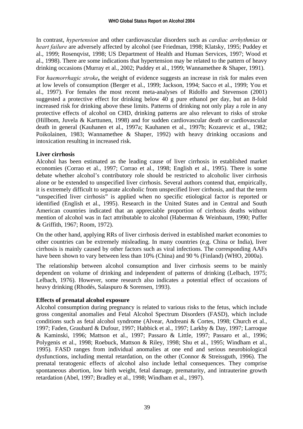In contrast, *hypertension* and other cardiovascular disorders such as *cardiac arrhythmias* or *heart failure* are adversely affected by alcohol (see Friedman, 1998; Klatsky, 1995; Puddey et al., 1999; Rosenqvist, 1998; US Department of Health and Human Services, 1997; Wood et al., 1998). There are some indications that hypertension may be related to the pattern of heavy drinking occasions (Murray et al., 2002; Puddey et al., 1999; Wannamethee & Shaper, 1991).

For *haemorrhagic stroke***,** the weight of evidence suggests an increase in risk for males even at low levels of consumption (Berger et al., 1999; Jackson, 1994; Sacco et al., 1999; You et al., 1997). For females the most recent meta-analyses of Ridolfo and Stevenson (2001) suggested a protective effect for drinking below 40 g pure ethanol per day, but an 8-fold increased risk for drinking above these limits. Patterns of drinking not only play a role in any protective effects of alcohol on CHD, drinking patterns are also relevant to risks of stroke (Hillbom, Juvela & Karttunen, 1998) and for sudden cardiovascular death or cardiovascular death in general (Kauhanen et al., 1997a; Kauhanen et al., 1997b; Kozarevic et al., 1982; Poikolainen, 1983; Wannamethee & Shaper, 1992) with heavy drinking occasions and intoxication resulting in increased risk.

# **Liver cirrhosis**

Alcohol has been estimated as the leading cause of liver cirrhosis in established market economies (Corrao et al., 1997; Corrao et al., 1998; English et al., 1995). There is some debate whether alcohol's contributory role should be restricted to alcoholic liver cirrhosis alone or be extended to unspecified liver cirrhosis. Several authors contend that, empirically, it is extremely difficult to separate alcoholic from unspecified liver cirrhosis, and that the term "unspecified liver cirrhosis" is applied when no specific etiological factor is reported or identified (English et al., 1995). Research in the United States and in Central and South American countries indicated that an appreciable proportion of cirrhosis deaths without mention of alcohol was in fact attributable to alcohol (Haberman & Weinbaum, 1990; Puffer & Griffith, 1967; Room, 1972).

On the other hand, applying RRs of liver cirrhosis derived in established market economies to other countries can be extremely misleading. In many countries (e.g. China or India), liver cirrhosis is mainly caused by other factors such as viral infections. The corresponding AAFs have been shown to vary between less than 10% (China) and 90 % (Finland) (WHO, 2000a).

The relationship between alcohol consumption and liver cirrhosis seems to be mainly dependent on volume of drinking and independent of patterns of drinking (Lelbach, 1975; Lelbach, 1976). However, some research also indicates a potential effect of occasions of heavy drinking (Rhodés, Salaspuro & Sorensen, 1993).

# **Effects of prenatal alcohol exposure**

Alcohol consumption during pregnancy is related to various risks to the fetus, which include gross congenital anomalies and Fetal Alcohol Spectrum Disorders (FASD), which include conditions such as fetal alcohol syndrome (Alvear, Andreani & Cortes, 1998; Church et al., 1997; Faden, Graubard & Dufour, 1997; Habbick et al., 1997; Larkby & Day, 1997; Larroque & Kaminski, 1996; Mattson et al., 1997; Passaro & Little, 1997; Passaro et al., 1996; Polygenis et al., 1998; Roebuck, Mattson & Riley, 1998; Shu et al., 1995; Windham et al., 1995). FASD ranges from individual anomalies at one end and serious neurobiological dysfunctions, including mental retardation, on the other (Connor & Streissguth, 1996). The prenatal teratogenic effects of alcohol also include lethal consequences. They comprise spontaneous abortion, low birth weight, fetal damage, prematurity, and intrauterine growth retardation (Abel, 1997; Bradley et al., 1998; Windham et al., 1997).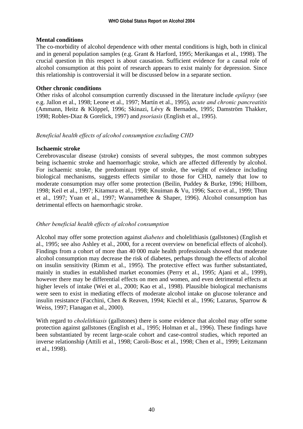## **Mental conditions**

The co-morbidity of alcohol dependence with other mental conditions is high, both in clinical and in general population samples (e.g. Grant & Harford, 1995; Merikangas et al., 1998). The crucial question in this respect is about causation. Sufficient evidence for a causal role of alcohol consumption at this point of research appears to exist mainly for depression. Since this relationship is controversial it will be discussed below in a separate section.

#### **Other chronic conditions**

Other risks of alcohol consumption currently discussed in the literature include *epilepsy* (see e.g. Jallon et al., 1998; Leone et al., 1997; Martín et al., 1995), *acute and chronic pancreatitis* (Ammann, Heitz & Klöppel, 1996; Skinazi, Lévy & Bernades, 1995; Damström Thakker, 1998; Robles-Diaz & Gorelick, 1997) and *psoriasis* (English et al., 1995).

## *Beneficial health effects of alcohol consumption excluding CHD*

## **Ischaemic stroke**

Cerebrovascular disease (stroke) consists of several subtypes, the most common subtypes being ischaemic stroke and haemorrhagic stroke, which are affected differently by alcohol. For ischaemic stroke, the predominant type of stroke, the weight of evidence including biological mechanisms, suggests effects similar to those for CHD, namely that low to moderate consumption may offer some protection (Beilin, Puddey & Burke, 1996; Hillbom, 1998; Keil et al., 1997; Kitamura et al., 1998; Knuiman & Vu, 1996; Sacco et al., 1999; Thun et al., 1997; Yuan et al., 1997; Wannamethee & Shaper, 1996). Alcohol consumption has detrimental effects on haemorrhagic stroke.

# *Other beneficial health effects of alcohol consumption*

Alcohol may offer some protection against *diabetes* and cholelithiasis (gallstones) (English et al., 1995; see also Ashley et al., 2000, for a recent overview on beneficial effects of alcohol). Findings from a cohort of more than 40 000 male health professionals showed that moderate alcohol consumption may decrease the risk of diabetes, perhaps through the effects of alcohol on insulin sensitivity (Rimm et al., 1995). The protective effect was further substantiated, mainly in studies in established market economies (Perry et al., 1995; Ajani et al., 1999), however there may be differential effects on men and women, and even detrimental effects at higher levels of intake (Wei et al., 2000; Kao et al., 1998). Plausible biological mechanisms were seen to exist in mediating effects of moderate alcohol intake on glucose tolerance and insulin resistance (Facchini, Chen & Reaven, 1994; Kiechl et al., 1996; Lazarus, Sparrow & Weiss, 1997; Flanagan et al., 2000).

With regard to *cholelithiasis* (gallstones) there is some evidence that alcohol may offer some protection against gallstones (English et al., 1995; Holman et al., 1996). These findings have been substantiated by recent large-scale cohort and case-control studies, which reported an inverse relationship (Attili et al., 1998; Caroli-Bosc et al., 1998; Chen et al., 1999; Leitzmann et al., 1998).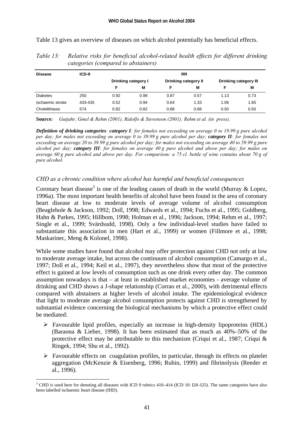*Table 13: Relative risks for beneficial alcohol-related health effects for different drinking* 

| <b>Disease</b>   | $ICD-9$ | <b>RR</b>                                          |      |                              |      |      |      |  |  |  |
|------------------|---------|----------------------------------------------------|------|------------------------------|------|------|------|--|--|--|
|                  |         | Drinking category I<br><b>Drinking category II</b> |      | <b>Drinking category III</b> |      |      |      |  |  |  |
|                  |         | F                                                  | M    |                              | M    |      | М    |  |  |  |
| <b>Diabetes</b>  | 250     | 0.92                                               | 0.99 | 0.87                         | 0.57 | 1.13 | 0.73 |  |  |  |
| Ischaemic stroke | 433-435 | 0.52                                               | 0.94 | 0.64                         | 1.33 | 1.06 | 1.65 |  |  |  |
| Cholelithiasis   | 574     | 0.82                                               | 0.82 | 0.68                         | 0.68 | 0.50 | 0.50 |  |  |  |

Table 13 gives an overview of diseases on which alcohol potentially has beneficial effects.

**Source***: Gutjahr, Gmel & Rehm (2001), Ridolfo & Stevenson (2001); Rehm et al. (in press).* 

*categories (compared to abstainers)* 

*Definition of drinking categories: category I: for females not exceeding on average 0 to 19.99 g pure alcohol per day; for males not exceeding on average 0 to 39.99 g pure alcohol per day; category II: for females not exceeding on average 20 to 39.99 g pure alcohol per day; for males not exceeding on average 40 to 59.99 g pure alcohol per day; category III: for females on average 40 g pure alcohol and above per day; for males on average 60 g pure alcohol and above per day. For comparison: a 75 cl. bottle of wine contains about 70 g of pure alcohol.* 

# *CHD as a chronic condition where alcohol has harmful and beneficial consequences*

Coronary heart disease<sup>3</sup> is one of the leading causes of death in the world (Murray & Lopez, 1996a). The most important health benefits of alcohol have been found in the area of coronary heart disease at low to moderate levels of average volume of alcohol consumption (Beaglehole & Jackson, 1992; Doll, 1998; Edwards et al., 1994; Fuchs et al., 1995; Goldberg, Hahn & Parkes, 1995; Hillbom, 1998; Holman et al., 1996; Jackson, 1994; Rehm et al., 1997; Single et al., 1999; Svärdsudd, 1998). Only a few individual-level studies have failed to substantiate this association in men (Hart et al., 1999) or women (Fillmore et al., 1998; Maskarinec, Meng & Kolonel, 1998).

While some studies have found that alcohol may offer protection against CHD not only at low to moderate average intake, but across the continuum of alcohol consumption (Camargo et al., 1997; Doll et al., 1994; Keil et al., 1997), they nevertheless show that most of the protective effect is gained at low levels of consumption such as one drink every other day. The common assumption nowadays is that – at least in established market economies - average volume of drinking and CHD shows a J-shape relationship (Corrao et al., 2000), with detrimental effects compared with abstainers at higher levels of alcohol intake. The epidemiological evidence that light to moderate average alcohol consumption protects against CHD is strengthened by substantial evidence concerning the biological mechanisms by which a protective effect could be mediated:

- $\triangleright$  Favourable lipid profiles, especially an increase in high-density lipoproteins (HDL) (Baraona & Lieber, 1998). It has been estimated that as much as 40%–50% of the protective effect may be attributable to this mechanism (Criqui et al., 1987; Criqui  $\&$ Ringek, 1994; Shu et al., 1992).
- $\triangleright$  Favourable effects on coagulation profiles, in particular, through its effects on platelet aggregation (McKenzie & Eisenberg, 1996; Rubin, 1999) and fibrinolysis (Reeder et al., 1996).

 $\overline{a}$  $3$  CHD is used here for denoting all diseases with ICD 9 rubrics 410–414 (ICD 10: I20–I25). The same categories have also been labelled ischaemic heart disease (IHD).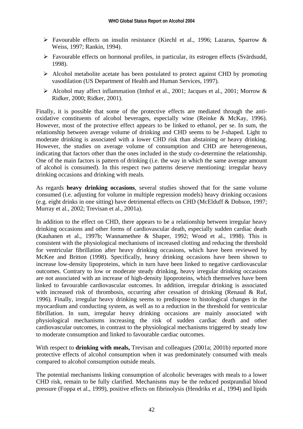- $\triangleright$  Favourable effects on insulin resistance (Kiechl et al., 1996; Lazarus, Sparrow & Weiss, 1997; Rankin, 1994).
- ¾ Favourable effects on hormonal profiles, in particular, its estrogen effects (Svärdsudd, 1998).
- $\triangleright$  Alcohol metabolite acetate has been postulated to protect against CHD by promoting vasodilation (US Department of Health and Human Services, 1997).
- $\blacktriangleright$  Alcohol may affect inflammation (Imhof et al., 2001; Jacques et al., 2001; Morrow & Ridker, 2000; Ridker, 2001).

Finally, it is possible that some of the protective effects are mediated through the antioxidative constituents of alcohol beverages, especially wine (Reinke & McKay, 1996). However, most of the protective effect appears to be linked to ethanol, per se. In sum, the relationship between average volume of drinking and CHD seems to be J-shaped. Light to moderate drinking is associated with a lower CHD risk than abstaining or heavy drinking. However, the studies on average volume of consumption and CHD are heterogeneous, indicating that factors other than the ones included in the study co-determine the relationship. One of the main factors is pattern of drinking (i.e. the way in which the same average amount of alcohol is consumed). In this respect two patterns deserve mentioning: irregular heavy drinking occasions and drinking with meals.

As regards **heavy drinking occasions**, several studies showed that for the same volume consumed (i.e. adjusting for volume in multiple regression models) heavy drinking occasions (e.g. eight drinks in one sitting) have detrimental effects on CHD (McElduff & Dobson, 1997; Murray et al., 2002; Trevisan et al., 2001a).

In addition to the effect on CHD, there appears to be a relationship between irregular heavy drinking occasions and other forms of cardiovascular death, especially sudden cardiac death (Kauhanen et al., 1997b; Wannamethee & Shaper, 1992; Wood et al., 1998). This is consistent with the physiological mechanisms of increased clotting and reducing the threshold for ventricular fibrillation after heavy drinking occasions, which have been reviewed by McKee and Britton (1998). Specifically, heavy drinking occasions have been shown to increase low-density lipoproteins, which in turn have been linked to negative cardiovascular outcomes. Contrary to low or moderate steady drinking, heavy irregular drinking occasions are not associated with an increase of high-density lipoproteins, which themselves have been linked to favourable cardiovascular outcomes. In addition, irregular drinking is associated with increased risk of thrombosis, occurring after cessation of drinking (Renaud & Ruf, 1996). Finally, irregular heavy drinking seems to predispose to histological changes in the myocardium and conducting system, as well as to a reduction in the threshold for ventricular fibrillation. In sum, irregular heavy drinking occasions are mainly associated with physiological mechanisms increasing the risk of sudden cardiac death and other cardiovascular outcomes, in contrast to the physiological mechanisms triggered by steady low to moderate consumption and linked to favourable cardiac outcomes.

With respect to **drinking with meals**, Trevisan and colleagues (2001a; 2001b) reported more protective effects of alcohol consumption when it was predominately consumed with meals compared to alcohol consumption outside meals.

The potential mechanisms linking consumption of alcoholic beverages with meals to a lower CHD risk, remain to be fully clarified. Mechanisms may be the reduced postprandial blood pressure (Foppa et al., 1999), positive effects on fibrinolysis (Hendriks et al., 1994) and lipids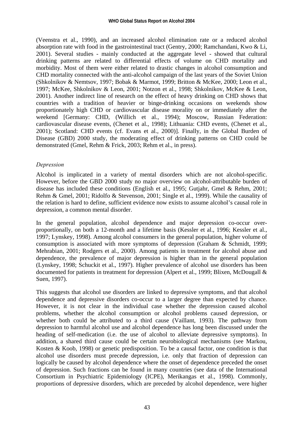(Veenstra et al., 1990), and an increased alcohol elimination rate or a reduced alcohol absorption rate with food in the gastrointestinal tract (Gentry, 2000; Ramchandani, Kwo & Li, 2001). Several studies - mainly conducted at the aggregate level - showed that cultural drinking patterns are related to differential effects of volume on CHD mortality and morbidity. Most of them were either related to drastic changes in alcohol consumption and CHD mortality connected with the anti-alcohol campaign of the last years of the Soviet Union (Shkolnikov & Nemtsov, 1997; Bobak & Marmot, 1999; Britton & McKee, 2000; Leon et al., 1997; McKee, Shkolnikov & Leon, 2001; Notzon et al., 1998; Shkolnikov, McKee & Leon, 2001). Another indirect line of research on the effect of heavy drinking on CHD shows that countries with a tradition of heavier or binge-drinking occasions on weekends show proportionately high CHD or cardiovascular disease morality on or immediately after the weekend [Germany: CHD, (Willich et al., 1994); Moscow, Russian Federation: cardiovascular disease events, (Chenet et al., 1998); Lithuania: CHD events, (Chenet et al., 2001); Scotland: CHD events (cf. Evans et al., 2000)]. Finally, in the Global Burden of Disease (GBD) 2000 study, the moderating effect of drinking patterns on CHD could be demonstrated (Gmel, Rehm & Frick, 2003; Rehm et al., in press).

#### *Depression*

Alcohol is implicated in a variety of mental disorders which are not alcohol-specific. However, before the GBD 2000 study no major overview on alcohol-attributable burden of disease has included these conditions (English et al., 1995; Gutjahr, Gmel & Rehm, 2001; Rehm & Gmel, 2001; Ridolfo & Stevenson, 2001; Single et al., 1999). While the causality of the relation is hard to define, sufficient evidence now exists to assume alcohol's causal role in depression, a common mental disorder.

In the general population, alcohol dependence and major depression co-occur overproportionally, on both a 12-month and a lifetime basis (Kessler et al., 1996; Kessler et al., 1997; Lynskey, 1998). Among alcohol consumers in the general population, higher volume of consumption is associated with more symptoms of depression (Graham & Schmidt, 1999; Mehrabian, 2001; Rodgers et al., 2000). Among patients in treatment for alcohol abuse and dependence, the prevalence of major depression is higher than in the general population (Lynskey, 1998; Schuckit et al., 1997). Higher prevalence of alcohol use disorders has been documented for patients in treatment for depression (Alpert et al., 1999; Blixen, McDougall & Suen, 1997).

This suggests that alcohol use disorders are linked to depressive symptoms, and that alcohol dependence and depressive disorders co-occur to a larger degree than expected by chance. However, it is not clear in the individual case whether the depression caused alcohol problems, whether the alcohol consumption or alcohol problems caused depression, or whether both could be attributed to a third cause (Vaillant, 1993). The pathway from depression to harmful alcohol use and alcohol dependence has long been discussed under the heading of self-medication (i.e. the use of alcohol to alleviate depressive symptoms). In addition, a shared third cause could be certain neurobiological mechanisms (see Markou, Kosten & Koob, 1998) or genetic predisposition. To be a causal factor, one condition is that alcohol use disorders must precede depression, i.e. only that fraction of depression can logically be caused by alcohol dependence where the onset of dependence preceded the onset of depression. Such fractions can be found in many countries (see data of the International Consortium in Psychiatric Epidemiology (ICPE), Merikangas et al., 1998). Commonly, proportions of depressive disorders, which are preceded by alcohol dependence, were higher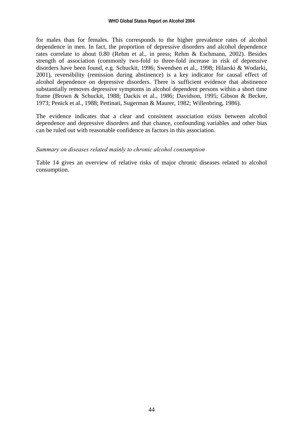for males than for females. This corresponds to the higher prevalence rates of alcohol dependence in men. In fact, the proportion of depressive disorders and alcohol dependence rates correlate to about 0.80 (Rehm et al., in press; Rehm & Eschmann, 2002). Besides strength of association (commonly two-fold to three-fold increase in risk of depressive disorders have been found, e.g. Schuckit, 1996; Swendsen et al., 1998; Hilarski & Wodarki, 2001), reversibility (remission during abstinence) is a key indicator for causal effect of alcohol dependence on depressive disorders. There is sufficient evidence that abstinence substantially removes depressive symptoms in alcohol dependent persons within a short time frame (Brown & Schuckit, 1988; Dackis et al., 1986; Davidson, 1995; Gibson & Becker, 1973; Penick et al., 1988; Pettinati, Sugerman & Maurer, 1982; Willenbring, 1986).

The evidence indicates that a clear and consistent association exists between alcohol dependence and depressive disorders and that chance, confounding variables and other bias can be ruled out with reasonable confidence as factors in this association.

## *Summary on diseases related mainly to chronic alcohol consumption*

Table 14 gives an overview of relative risks of major chronic diseases related to alcohol consumption.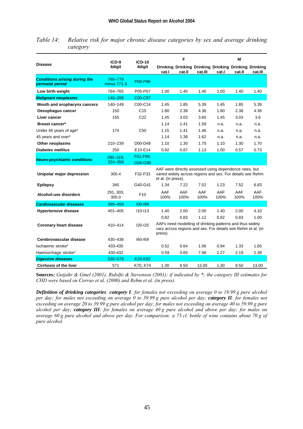|                                                          | $ICD-9$                | <b>ICD-10</b>       |                                                                                                                                            | F                                                               |             |             | M           |             |  |  |
|----------------------------------------------------------|------------------------|---------------------|--------------------------------------------------------------------------------------------------------------------------------------------|-----------------------------------------------------------------|-------------|-------------|-------------|-------------|--|--|
| <b>Disease</b>                                           | 4digit                 | 4digit              | cat.I                                                                                                                                      | Drinking Drinking Drinking Drinking Drinking Drinking<br>cat.II | cat.III     | cat.I       | cat.II      | cat.III     |  |  |
| <b>Conditions arising during the</b><br>perinatal period | 760-779<br>minus 771.3 | P00-P96             |                                                                                                                                            |                                                                 |             |             |             |             |  |  |
| Low birth weight                                         | 764-765                | P05-P07             | 1.00                                                                                                                                       | 1.40                                                            | 1.40        | 1.00        | 1.40        | 1.40        |  |  |
| <b>Malignant neoplasms</b>                               | 140-208                | C00-C97             |                                                                                                                                            |                                                                 |             |             |             |             |  |  |
| Mouth and oropharynx cancers                             | 140-149                | C00-C14             | 1.45                                                                                                                                       | 1.85                                                            | 5.39        | 1.45        | 1.85        | 5.39        |  |  |
| Oesophagus cancer                                        | 150                    | C <sub>15</sub>     | 1.80                                                                                                                                       | 2.38                                                            | 4.36        | 1.80        | 2.38        | 4.36        |  |  |
| Liver cancer                                             | 155                    | C <sub>22</sub>     | 1.45                                                                                                                                       | 3.03                                                            | 3.60        | 1.45        | 3.03        | 3.6         |  |  |
| Breast cancer*                                           |                        |                     | 1.14                                                                                                                                       | 1.41                                                            | 1.59        | n.a.        | n.a.        | n.a.        |  |  |
| Under 45 years of age*                                   | 174                    | C <sub>50</sub>     | 1.15                                                                                                                                       | 1.41                                                            | 1.46        | n.a.        | n.a.        | n.a.        |  |  |
| 45 years and over*                                       |                        |                     | 1.14                                                                                                                                       | 1.38                                                            | 1.62        | n.a.        | n.a.        | n.a.        |  |  |
| Other neoplasms                                          | 210-239                | D00-D48             | 1.10                                                                                                                                       | 1.30                                                            | 1.70        | 1.10        | 1.30        | 1.70        |  |  |
| <b>Diabetes mellitus</b>                                 | 250                    | E10-E14             | 0.92                                                                                                                                       | 0.87                                                            | 1.13        | 1.00        | 0.57        | 0.73        |  |  |
| <b>Neuro-psychiatric conditions</b>                      | 290-319.<br>324-359    | F01-F99.<br>G06-G98 |                                                                                                                                            |                                                                 |             |             |             |             |  |  |
| Unipolar major depression                                | 300.4                  | F32-F33             | AAF were directly assessed using dependence rates, but<br>varied widely across regions and sex. For details see Rehm<br>et al. (in press). |                                                                 |             |             |             |             |  |  |
| <b>Epilepsy</b>                                          | 345                    | G40-G41             | 1.34                                                                                                                                       | 7.22                                                            | 7.52        | 1.23        | 7.52        | 6.83        |  |  |
| Alcohol-use disorders                                    | 291, 303,<br>305.0     | F <sub>10</sub>     | AAF<br>100%                                                                                                                                | AAF<br>100%                                                     | AAF<br>100% | AAF<br>100% | AAF<br>100% | AAF<br>100% |  |  |
| <b>Cardiovascular diseases</b>                           | 390-459                | $100 - 199$         |                                                                                                                                            |                                                                 |             |             |             |             |  |  |
| <b>Hypertensive disease</b>                              | $401 - 405$            | $110 - 113$         | 1.40                                                                                                                                       | 2.00                                                            | 2.00        | 1.40        | 2.00        | 4.10        |  |  |
|                                                          |                        |                     | 0.82                                                                                                                                       | 0.83                                                            | 1.12        | 0.82        | 0.83        | 1.00        |  |  |
| <b>Coronary heart disease</b>                            | 410-414                | $120 - 125$         | AAFs need modelling of drinking patterns and thus widely<br>vary across regions and sex. For details see Rehm et al. (in<br>press).        |                                                                 |             |             |             |             |  |  |
| Cerebrovascular disease                                  | 430-438                | $160 - 169$         |                                                                                                                                            |                                                                 |             |             |             |             |  |  |
| Ischaemic stroke*                                        | 433-435                |                     | 0.52                                                                                                                                       | 0.64                                                            | 1.06        | 0.94        | 1.33        | 1.65        |  |  |
| Haemorrhagic stroke*                                     | 430-432                |                     | 0.59                                                                                                                                       | 0.65                                                            | 7.98        | 1.27        | 2.19        | 2.38        |  |  |
| <b>Digestive diseases</b>                                | 530-579                | K20-K92             |                                                                                                                                            |                                                                 |             |             |             |             |  |  |
| <b>Cirrhosis of the liver</b>                            | 571                    | K70, K74            | 1.30                                                                                                                                       | 9.50                                                            | 13.00       | 1.30        | 9.50        | 13.00       |  |  |

| Table 14: Relative risk for major chronic disease categories by sex and average drinking |  |
|------------------------------------------------------------------------------------------|--|
| category                                                                                 |  |

**Sources***: Gutjahr & Gmel (2001), Ridolfo & Stevenson (2001); if indicated by \*; the category III estimates for CHD were based on Corrao et al. (2000) and Rehm et al. (in press).* 

*Definition of drinking categories: category I: for females not exceeding on average 0 to 19.99 g pure alcohol per day; for males not exceeding on average 0 to 39.99 g pure alcohol per day; category II: for females not exceeding on average 20 to 39.99 g pure alcohol per day; for males not exceeding on average 40 to 59.99 g pure alcohol per day; category III: for females on average 40 g pure alcohol and above per day; for males on average 60 g pure alcohol and above per day. For comparison: a 75 cl. bottle of wine contains about 70 g of pure alcohol.*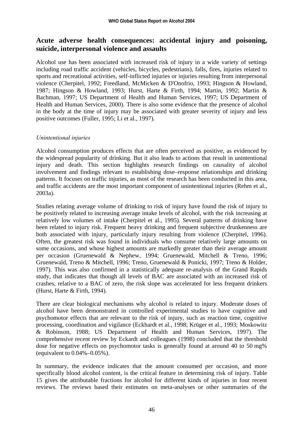# **Acute adverse health consequences: accidental injury and poisoning, suicide, interpersonal violence and assaults**

Alcohol use has been associated with increased risk of injury in a wide variety of settings including road traffic accident (vehicles, bicycles, pedestrians), falls, fires, injuries related to sports and recreational activities, self-inflicted injuries or injuries resulting from interpersonal violence (Cherpitel, 1992; Freedland, McMicken & D'Onofrio, 1993; Hingson & Howland, 1987; Hingson & Howland, 1993; Hurst, Harte & Firth, 1994; Martin, 1992; Martin & Bachman, 1997; US Department of Health and Human Services, 1997; US Department of Health and Human Services, 2000). There is also some evidence that the presence of alcohol in the body at the time of injury may be associated with greater severity of injury and less positive outcomes (Fuller, 1995; Li et al., 1997).

# *Unintentional injuries*

Alcohol consumption produces effects that are often perceived as positive, as evidenced by the widespread popularity of drinking. But it also leads to actions that result in unintentional injury and death. This section highlights research findings on causality of alcohol involvement and findings relevant to establishing dose–response relationships and drinking patterns. It focuses on traffic injuries, as most of the research has been conducted in this area, and traffic accidents are the most important component of unintentional injuries (Rehm et al., 2003a).

Studies relating average volume of drinking to risk of injury have found the risk of injury to be positively related to increasing average intake levels of alcohol, with the risk increasing at relatively low volumes of intake (Cherpitel et al., 1995). Several patterns of drinking have been related to injury risk. Frequent heavy drinking and frequent subjective drunkenness are both associated with injury, particularly injury resulting from violence (Cherpitel, 1996). Often, the greatest risk was found in individuals who consume relatively large amounts on some occasions, and whose highest amounts are markedly greater than their average amount per occasion (Gruenewald & Nephew, 1994; Gruenewald, Mitchell & Treno, 1996; Gruenewald, Treno & Mitchell, 1996; Treno, Gruenewald & Ponicki, 1997; Treno & Holder, 1997). This was also confirmed in a statistically adequate re-analysis of the Grand Rapids study, that indicates that though all levels of BAC are associated with an increased risk of crashes, relative to a BAC of zero, the risk slope was accelerated for less frequent drinkers (Hurst, Harte & Firth, 1994).

There are clear biological mechanisms why alcohol is related to injury. Moderate doses of alcohol have been demonstrated in controlled experimental studies to have cognitive and psychomotor effects that are relevant to the risk of injury, such as reaction time, cognitive processing, coordination and vigilance (Eckhardt et al., 1998; Krüger et al., 1993; Moskowitz & Robinson, 1988; US Department of Health and Human Services, 1997). The comprehensive recent review by Eckardt and colleagues (1998) concluded that the threshold dose for negative effects on psychomotor tasks is generally found at around 40 to 50 mg% (equivalent to 0.04%–0.05%).

In summary, the evidence indicates that the amount consumed per occasion, and more specifically blood alcohol content, is the critical feature in determining risk of injury. Table 15 gives the attributable fractions for alcohol for different kinds of injuries in four recent reviews. The reviews based their estimates on meta-analyses or other summaries of the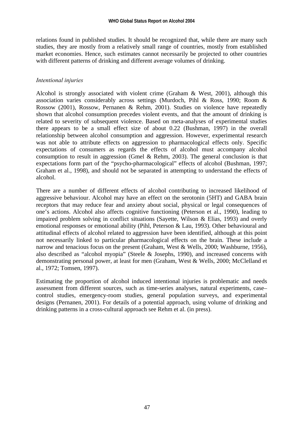relations found in published studies. It should be recognized that, while there are many such studies, they are mostly from a relatively small range of countries, mostly from established market economies. Hence, such estimates cannot necessarily be projected to other countries with different patterns of drinking and different average volumes of drinking.

# *Intentional injuries*

Alcohol is strongly associated with violent crime (Graham & West, 2001), although this association varies considerably across settings (Murdoch, Pihl & Ross, 1990; Room & Rossow (2001), Rossow, Pernanen & Rehm, 2001). Studies on violence have repeatedly shown that alcohol consumption precedes violent events, and that the amount of drinking is related to severity of subsequent violence. Based on meta-analyses of experimental studies there appears to be a small effect size of about 0.22 (Bushman, 1997) in the overall relationship between alcohol consumption and aggression. However, experimental research was not able to attribute effects on aggression to pharmacological effects only. Specific expectations of consumers as regards the effects of alcohol must accompany alcohol consumption to result in aggression (Gmel & Rehm, 2003). The general conclusion is that expectations form part of the "psycho-pharmacological" effects of alcohol (Bushman, 1997; Graham et al., 1998), and should not be separated in attempting to understand the effects of alcohol.

There are a number of different effects of alcohol contributing to increased likelihood of aggressive behaviour. Alcohol may have an effect on the serotonin (5HT) and GABA brain receptors that may reduce fear and anxiety about social, physical or legal consequences of one's actions. Alcohol also affects cognitive functioning (Peterson et al., 1990), leading to impaired problem solving in conflict situations (Sayette, Wilson & Elias, 1993) and overly emotional responses or emotional ability (Pihl, Peterson & Lau, 1993). Other behavioural and attitudinal effects of alcohol related to aggression have been identified, although at this point not necessarily linked to particular pharmacological effects on the brain. These include a narrow and tenacious focus on the present (Graham, West & Wells, 2000; Washburne, 1956), also described as "alcohol myopia" (Steele & Josephs, 1990), and increased concerns with demonstrating personal power, at least for men (Graham, West & Wells, 2000; McClelland et al., 1972; Tomsen, 1997).

Estimating the proportion of alcohol induced intentional injuries is problematic and needs assessment from different sources, such as time-series analyses, natural experiments, case– control studies, emergency-room studies, general population surveys, and experimental designs (Pernanen, 2001). For details of a potential approach, using volume of drinking and drinking patterns in a cross-cultural approach see Rehm et al. (in press).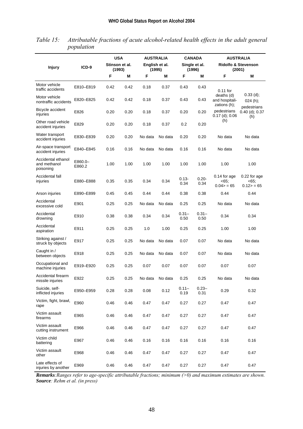|                                                 |                   | <b>USA</b>               |      |         | <b>AUSTRALIA</b> |                  | <b>CANADA</b>           |                                              | <b>AUSTRALIA</b>                         |
|-------------------------------------------------|-------------------|--------------------------|------|---------|------------------|------------------|-------------------------|----------------------------------------------|------------------------------------------|
| <b>Injury</b>                                   | ICD-9             | Stinson et al.<br>(1993) |      | (1995)  | English et al.   |                  | Single et al.<br>(1996) |                                              | <b>Ridolfo &amp; Stevenson</b><br>(2001) |
|                                                 |                   | F                        | Μ    | F       | Μ                | F                | Μ                       | F                                            | Μ                                        |
| Motor vehicle<br>traffic accidents              | E810-E819         | 0.42                     | 0.42 | 0.18    | 0.37             | 0.43             | 0.43                    | 0.11 for                                     |                                          |
| Motor vehicle<br>nontraffic accidents           | E820-E825         | 0.42                     | 0.42 | 0.18    | 0.37             | 0.43             | 0.43                    | deaths (d)<br>and hospitali-<br>zations (h); | $0.33$ (d);<br>024(h);                   |
| Bicycle accident<br>injuries                    | E826              | 0.20                     | 0.20 | 0.18    | 0.37             | 0.20             | 0.20                    | pedestrians<br>$0.17$ (d); $0.06$            | pedestrians<br>$0.40$ (d); $0.37$<br>(h) |
| Other road vehicle<br>accident injuries         | E829              | 0.20                     | 0.20 | 0.18    | 0.37             | 0.2              | 0.20                    | (h)                                          |                                          |
| Water transport<br>accident injuries            | E830-E839         | 0.20                     | 0.20 | No data | No data          | 0.20             | 0.20                    | No data                                      | No data                                  |
| Air-space transport<br>accident injuries        | E840-E845         | 0.16                     | 0.16 | No data | No data          | 0.16             | 0.16                    | No data                                      | No data                                  |
| Accidental ethanol<br>and methanol<br>poisoning | E860.0-<br>E860.2 | 1.00                     | 1.00 | 1.00    | 1.00             | 1.00             | 1.00                    | 1.00                                         | 1.00                                     |
| Accidental fall<br>injuries                     | E880-E888         | 0.35                     | 0.35 | 0.34    | 0.34             | $0.13 -$<br>0.34 | $0.20 -$<br>0.34        | $0.14$ for age<br><65:<br>0.04 > 65          | $0.22$ for age<br><65;<br>0.12 > 65      |
| Arson injuries                                  | E890-E899         | 0.45                     | 0.45 | 0.44    | 0.44             | 0.38             | 0.38                    | 0.44                                         | 0.44                                     |
| Accidental<br>excessive cold                    | E901              | 0.25                     | 0.25 | No data | No data          | 0.25             | 0.25                    | No data                                      | No data                                  |
| Accidental<br>drowning                          | E910              | 0.38                     | 0.38 | 0.34    | 0.34             | $0.31 -$<br>0.50 | $0.31 -$<br>0.50        | 0.34                                         | 0.34                                     |
| Accidental<br>aspiration                        | E911              | 0.25                     | 0.25 | 1.0     | 1.00             | 0.25             | 0.25                    | 1.00                                         | 1.00                                     |
| Striking against /<br>struck by objects         | E917              | 0.25                     | 0.25 | No data | No data          | 0.07             | 0.07                    | No data                                      | No data                                  |
| Caught in /<br>between objects                  | E918              | 0.25                     | 0.25 | No data | No data          | 0.07             | 0.07                    | No data                                      | No data                                  |
| Occupational and<br>machine injuries            | E919-E920         | 0.25                     | 0.25 | 0.07    | 0.07             | 0.07             | 0.07                    | 0.07                                         | 0.07                                     |
| Accidental firearm<br>missile injuries          | E922              | 0.25                     | 0.25 | No data | No data          | 0.25             | 0.25                    | No data                                      | No data                                  |
| Suicide, self-<br>inflicted injuries            | E950-E959         | 0.28                     | 0.28 | 0.08    | 0.12             | $0.11 -$<br>0.19 | $0.23 -$<br>0.31        | 0.29                                         | 0.32                                     |
| Victim, fight, brawl,<br>rape                   | E960              | 0.46                     | 0.46 | 0.47    | 0.47             | 0.27             | 0.27                    | 0.47                                         | 0.47                                     |
| Victim assault<br>firearms                      | E965              | 0.46                     | 0.46 | 0.47    | 0.47             | 0.27             | 0.27                    | 0.47                                         | 0.47                                     |
| Victim assault<br>cutting instrument            | E966              | 0.46                     | 0.46 | 0.47    | 0.47             | 0.27             | 0.27                    | 0.47                                         | 0.47                                     |
| Victim child<br>battering                       | E967              | 0.46                     | 0.46 | 0.16    | 0.16             | 0.16             | 0.16                    | 0.16                                         | 0.16                                     |
| Victim assault<br>other                         | E968              | 0.46                     | 0.46 | 0.47    | 0.47             | 0.27             | 0.27                    | 0.47                                         | 0.47                                     |
| Late effects of<br>injuries by another          | E969              | 0.46                     | 0.46 | 0.47    | 0.47             | 0.27             | 0.27                    | 0.47                                         | 0.47                                     |

*Table 15: Attributable fractions of acute alcohol-related health effects in the adult general population* 

*Remarks:Ranges refer to age-specific attributable fractions; minimum (>0) and maximum estimates are shown. Source: Rehm et al. (in press)*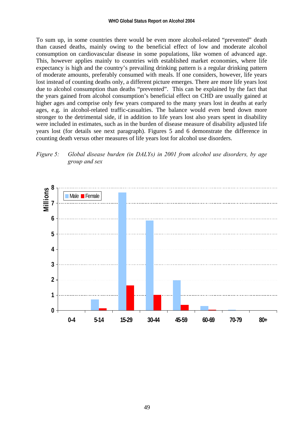To sum up, in some countries there would be even more alcohol-related "prevented" death than caused deaths, mainly owing to the beneficial effect of low and moderate alcohol consumption on cardiovascular disease in some populations, like women of advanced age. This, however applies mainly to countries with established market economies, where life expectancy is high and the country's prevailing drinking pattern is a regular drinking pattern of moderate amounts, preferably consumed with meals. If one considers, however, life years lost instead of counting deaths only, a different picture emerges. There are more life years lost due to alcohol consumption than deaths "prevented". This can be explained by the fact that the years gained from alcohol consumption's beneficial effect on CHD are usually gained at higher ages and comprise only few years compared to the many years lost in deaths at early ages, e.g. in alcohol-related traffic-casualties. The balance would even bend down more stronger to the detrimental side, if in addition to life years lost also years spent in disability were included in estimates, such as in the burden of disease measure of disability adjusted life years lost (for details see next paragraph). Figures 5 and 6 demonstrate the difference in counting death versus other measures of life years lost for alcohol use disorders.

*Figure 5: Global disease burden (in DALYs) in 2001 from alcohol use disorders, by age group and sex* 

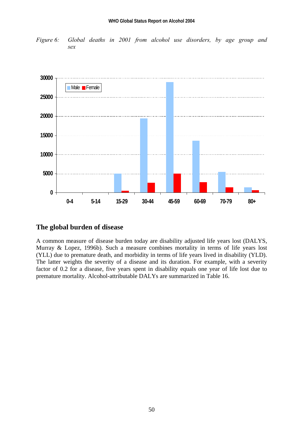*Figure 6: Global deaths in 2001 from alcohol use disorders, by age group and sex*



# **The global burden of disease**

A common measure of disease burden today are disability adjusted life years lost (DALYS, Murray & Lopez, 1996b). Such a measure combines mortality in terms of life years lost (YLL) due to premature death, and morbidity in terms of life years lived in disability (YLD). The latter weights the severity of a disease and its duration. For example, with a severity factor of 0.2 for a disease, five years spent in disability equals one year of life lost due to premature mortality. Alcohol-attributable DALYs are summarized in Table 16.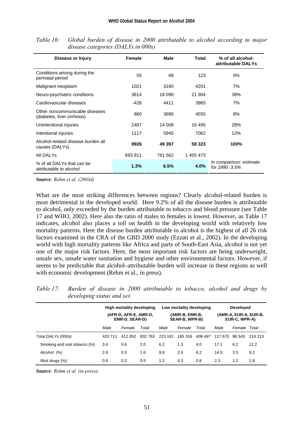| Disease or Injury                                             | Female  | <b>Male</b> | Total     | % of all alcohol-<br>attributable DALYs   |  |  |  |
|---------------------------------------------------------------|---------|-------------|-----------|-------------------------------------------|--|--|--|
| Conditions arising during the<br>perinatal period             | 55      | 68          | 123       | 0%                                        |  |  |  |
| Malignant neoplasm                                            | 1021    | 3180        | 4201      | 7%                                        |  |  |  |
| Neuro-psychiatric conditions                                  | 3814    | 18 090      | 21 904    | 38%                                       |  |  |  |
| Cardiovascular diseases                                       | -428    | 4411        | 3983      | 7%                                        |  |  |  |
| Other noncommunicable diseases<br>(diabetes, liver cirrhosis) | 860     | 3695        | 4555      | 8%                                        |  |  |  |
| Unintentional injuries                                        | 2487    | 14 008      | 16 495    | 28%                                       |  |  |  |
| Intentional injuries                                          | 1117    | 5945        | 7062      | 12%                                       |  |  |  |
| Alcohol-related disease burden all<br>causes (DALYs)          | 8926    | 49 397      | 58 323    | 100%                                      |  |  |  |
| All DALYS                                                     | 693 911 | 761 562     | 1 455 473 |                                           |  |  |  |
| % of all DALYs that can be<br>attributable to alcohol         | 1.3%    | 6.5%        | 4.0%      | In comparison: estimate<br>for 1990: 3.5% |  |  |  |

*Table 16: Global burden of disease in 2000 attributable to alcohol according to major disease categories (DALYs in 000s)* 

*Source: Rehm et al. (2003d)* 

What are the most striking differences between regions? Clearly alcohol-related burden is most detrimental in the developed world. Here 9.2% of all the disease burden is attributable to alcohol, only exceeded by the burden attributable to tobacco and blood pressure (see Table 17 and WHO, 2002). Here also the ratio of males to females is lowest. However, as Table 17 indicates, alcohol also places a toll on health in the developing world with relatively low mortality patterns. Here the disease burden attributable to alcohol is the highest of all 26 risk factors examined in the CRA of the GBD 2000 study (Ezzati et al., 2002). In the developing world with high mortality patterns like Africa and parts of South-East Asia, alcohol is not yet one of the major risk factors. Here, the most important risk factors are being underweight, unsafe sex, unsafe water sanitation and hygiene and other environmental factors. However, if seems to be predictable that alcohol–attributable burden will increase in these regions as well with economic development (Rehm et al., in press).

*Table 17: Burden of disease in 2000 attributable to tobacco, alcohol and drugs by developing status and sex* 

|                              | High mortality developing<br>(AFR-D, AFR-E, AMR-D,<br>EMR-D, SEAR-D) |         | Low mortality developing<br>(AMR-B, EMR-B,<br>SEAR-B, WPR-B) |         |         | <b>Developed</b><br>(AMR-A, EUR-A, EUR-B,<br>EUR-C, WPR-A) |         |        |         |
|------------------------------|----------------------------------------------------------------------|---------|--------------------------------------------------------------|---------|---------|------------------------------------------------------------|---------|--------|---------|
|                              | Male                                                                 | Female  | Total                                                        | Male    | Female  | Total                                                      | Male    | Female | Total   |
| Total DALYs (000s)           | 420 711                                                              | 412 052 | 832 763                                                      | 223 181 | 185 316 | 408 497                                                    | 117 670 | 96 543 | 214 213 |
| Smoking and oral tobacco (%) | 3.4                                                                  | 0.6     | 2.0                                                          | 6.2     | 1.3     | 4.0                                                        | 17.1    | 6.2    | 12.2    |
| Alcohol (%)                  | 2.6                                                                  | 0.5     | 1.6                                                          | 9.8     | 2.0     | 6.2                                                        | 14.0    | 3.3    | 9.2     |
| Illicit drugs (%)            | 0.8                                                                  | 0.2     | 0.5                                                          | 1.2     | 0.3     | 0.8                                                        | 2.3     | 1.2    | 1.8     |

*Source: Rehm et al. (in press).*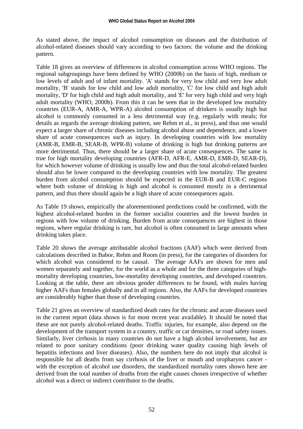As stated above, the impact of alcohol consumption on diseases and the distribution of alcohol-related diseases should vary according to two factors: the volume and the drinking pattern.

Table 18 gives an overview of differences in alcohol consumption across WHO regions. The regional subgroupings have been defined by WHO (2000b) on the basis of high, medium or low levels of adult and of infant mortality. 'A' stands for very low child and very low adult mortality, 'B' stands for low child and low adult mortality, 'C' for low child and high adult mortality, 'D' for high child and high adult mortality, and 'E' for very high child and very high adult mortality (WHO, 2000b). From this it can be seen that in the developed low mortality countries (EUR-A, AMR-A, WPR-A) alcohol consumption of drinkers is usually high but alcohol is commonly consumed in a less detrimental way (e.g. regularly with meals; for details as regards the average drinking pattern, see Rehm et al., in press), and thus one would expect a larger share of chronic diseases including alcohol abuse and dependence, and a lower share of acute consequences such as injury. In developing countries with low mortality (AMR-B, EMR-B, SEAR-B, WPR-B) volume of drinking is high but drinking patterns are more detrimental. Thus, there should be a larger share of acute consequences. The same is true for high mortality developing countries (AFR-D, AFR-E, AMR-D, EMR-D, SEAR-D), for which however volume of drinking is usually low and thus the total alcohol-related burden should also be lower compared to the developing countries with low mortality. The greatest burden from alcohol consumption should be expected in the EUR-B and EUR-C regions where both volume of drinking is high and alcohol is consumed mostly in a detrimental pattern, and thus there should again be a high share of acute consequences again.

As Table 19 shows, empirically the aforementioned predictions could be confirmed, with the highest alcohol-related burden in the former socialist countries and the lowest burden in regions with low volume of drinking. Burden from acute consequences are highest in those regions, where regular drinking is rare, but alcohol is often consumed in large amounts when drinking takes place.

Table 20 shows the average attributable alcohol fractions (AAF) which were derived from calculations described in Babor, Rehm and Room (in press), for the categories of disorders for which alcohol was considered to be causal. The average AAFs are shown for men and women separately and together, for the world as a whole and for the three categories of highmortality developing countries, low-mortality developing countries, and developed countries. Looking at the table, there are obvious gender differences to be found, with males having higher AAFs than females globally and in all regions. Also, the AAFs for developed countries are considerably higher than those of developing countries.

Table 21 gives an overview of standardized death rates for the chronic and acute diseases used in the current report (data shown is for most recent year available). It should be noted that these are not purely alcohol-related deaths. Traffic injuries, for example, also depend on the development of the transport system in a country, traffic or car densities, or road safety issues. Similarly, liver cirrhosis in many countries do not have a high alcohol involvement, but are related to poor sanitary conditions (poor drinking water quality causing high levels of hepatitis infections and liver diseases). Also, the numbers here do not imply that alcohol is responsible for all deaths from say cirrhosis of the liver or mouth and oropharynx cancer with the exception of alcohol use disorders, the standardized mortality rates shown here are derived from the total number of deaths from the eight causes chosen irrespective of whether alcohol was a direct or indirect contributor to the deaths.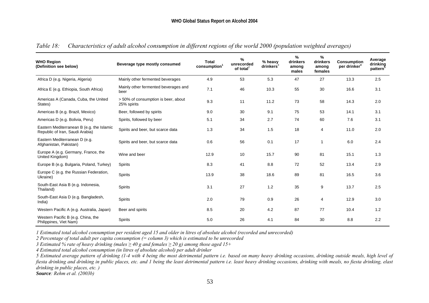| <b>WHO Region</b><br>(Definition see below)                                  | Beverage type mostly consumed                      | <b>Total</b><br>consumption <sup>1</sup> | %<br>unrecorded<br>of total <sup>2</sup> | % heavy<br>drinkers <sup>3</sup> | %<br>drinkers<br>among<br>males | %<br>drinkers<br>among<br>females | <b>Consumption</b><br>per drinker <sup>4</sup> | Average<br>drinking<br>pattern <sup>5</sup> |
|------------------------------------------------------------------------------|----------------------------------------------------|------------------------------------------|------------------------------------------|----------------------------------|---------------------------------|-----------------------------------|------------------------------------------------|---------------------------------------------|
| Africa D (e.g. Nigeria, Algeria)                                             | Mainly other fermented beverages                   | 4.9                                      | 53                                       | 5.3                              | 47                              | 27                                | 13.3                                           | 2.5                                         |
| Africa E (e.g. Ethiopia, South Africa)                                       | Mainly other fermented beverages and<br>beer       | 7.1                                      | 46                                       | 10.3                             | 55                              | 30                                | 16.6                                           | 3.1                                         |
| Americas A (Canada, Cuba, the United<br>States)                              | > 50% of consumption is beer, about<br>25% spirits | 9.3                                      | 11                                       | 11.2                             | 73                              | 58                                | 14.3                                           | 2.0                                         |
| Americas B (e.g. Brazil, Mexico)                                             | Beer, followed by spirits                          | 9.0                                      | 30                                       | 9.1                              | 75                              | 53                                | 14.1                                           | 3.1                                         |
| Americas D (e.g. Bolivia, Peru)                                              | Spirits, followed by beer                          | 5.1                                      | 34                                       | 2.7                              | 74                              | 60                                | 7.6                                            | 3.1                                         |
| Eastern Mediterranean B (e.g. the Islamic<br>Republic of Iran, Saudi Arabia) | Spirits and beer, but scarce data                  | 1.3                                      | 34                                       | 1.5                              | 18                              | 4                                 | 11.0                                           | 2.0                                         |
| Eastern Mediterranean D (e.g.<br>Afghanistan, Pakistan)                      | Spirits and beer, but scarce data                  | 0.6                                      | 56                                       | 0.1                              | 17                              | 1                                 | 6.0                                            | 2.4                                         |
| Europe A (e.g. Germany, France, the<br>United Kingdom)                       | Wine and beer                                      | 12.9                                     | 10                                       | 15.7                             | 90                              | 81                                | 15.1                                           | 1.3                                         |
| Europe B (e.g. Bulgaria, Poland, Turkey)                                     | Spirits                                            | 8.3                                      | 41                                       | 8.8                              | 72                              | 52                                | 13.4                                           | 2.9                                         |
| Europe C (e.g. the Russian Federation,<br>Ukraine)                           | <b>Spirits</b>                                     | 13.9                                     | 38                                       | 18.6                             | 89                              | 81                                | 16.5                                           | 3.6                                         |
| South-East Asia B (e.g. Indonesia,<br>Thailand)                              | <b>Spirits</b>                                     | 3.1                                      | 27                                       | 1.2                              | 35                              | 9                                 | 13.7                                           | 2.5                                         |
| South-East Asia D (e.g. Bangladesh,<br>India)                                | Spirits                                            | 2.0                                      | 79                                       | 0.9                              | 26                              | 4                                 | 12.9                                           | 3.0                                         |
| Western Pacific A (e.g. Australia, Japan)                                    | Beer and spirits                                   | 8.5                                      | 20                                       | 4.2                              | 87                              | 77                                | 10.4                                           | 1.2                                         |
| Western Pacific B (e.g. China, the<br>Philippines, Viet Nam)                 | <b>Spirits</b>                                     | $5.0\,$                                  | 26                                       | 4.1                              | 84                              | 30                                | 8.8                                            | 2.2                                         |

*Table 18: Characteristics of adult alcohol consumption in different regions of the world 2000 (population weighted averages)* 

*1 Estimated total alcohol consumption per resident aged 15 and older in litres of absolute alcohol (recorded and unrecorded)* 

*2 Percentage of total adult per capita consumption (= column 3) which is estimated to be unrecorded* 

*3 Estimated % rate of heavy drinking (males ≥ 40 g and females ≥ 20 g) among those aged 15+* 

*4 Estimated total alcohol consumption (in litres of absolute alcohol) per adult drinker* 

*5 Estimated average pattern of drinking (1-4 with 4 being the most detrimental pattern i.e. based on many heavy drinking occasions, drinking outside meals, high level of fiesta drinking and drinking in public places, etc. and 1 being the least detrimental pattern i.e. least heavy drinking occasions, drinking with meals, no fiesta drinking, elast drinking in public places, etc. )* 

*Source: Rehm et al. (2003b)*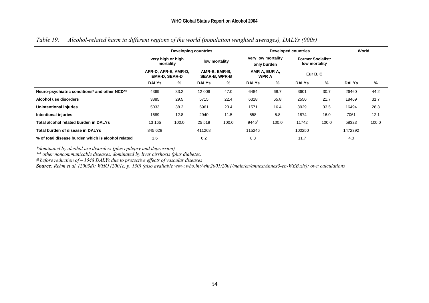|                                                    |                                                                                | <b>Developing countries</b> |               |                                                                       | <b>Developed countries</b>        |       |                                           |       | World        |       |
|----------------------------------------------------|--------------------------------------------------------------------------------|-----------------------------|---------------|-----------------------------------------------------------------------|-----------------------------------|-------|-------------------------------------------|-------|--------------|-------|
|                                                    | very high or high<br>mortality<br>AFR-D, AFR-E, AMR-D,<br><b>EMR-D, SEAR-D</b> |                             | low mortality |                                                                       | very low mortality<br>only burden |       | <b>Former Socialist:</b><br>low mortality |       |              |       |
|                                                    |                                                                                |                             |               | AMR-B, EMR-B,<br>AMR A, EUR A,<br><b>SEAR-B, WPR-B</b><br><b>WPRA</b> |                                   |       | Eur B, C                                  |       |              |       |
|                                                    | <b>DALYs</b>                                                                   | %                           | <b>DALYs</b>  | %                                                                     | <b>DALYs</b>                      | %     | <b>DALYs</b>                              | %     | <b>DALYs</b> | %     |
| Neuro-psychiatric conditions* and other NCD**      | 4369                                                                           | 33.2                        | 12 006        | 47.0                                                                  | 6484                              | 68.7  | 3601                                      | 30.7  | 26460        | 44.2  |
| Alcohol use disorders                              | 3885                                                                           | 29.5                        | 5715          | 22.4                                                                  | 6318                              | 65.8  | 2550                                      | 21.7  | 18469        | 31.7  |
| Unintentional injuries                             | 5033                                                                           | 38.2                        | 5961          | 23.4                                                                  | 1571                              | 16.4  | 3929                                      | 33.5  | 16494        | 28.3  |
| Intentional injuries                               | 1689                                                                           | 12.8                        | 2940          | 11.5                                                                  | 558                               | 5.8   | 1874                                      | 16.0  | 7061         | 12.1  |
| Total alcohol related burden in DALYs              | 13 165                                                                         | 100.0                       | 25 519        | 100.0                                                                 | $9445^{\rm \#}$                   | 100.0 | 11742                                     | 100.0 | 58323        | 100.0 |
| Total burden of disease in DALYs                   | 845 628                                                                        |                             | 411268        |                                                                       | 115246                            |       | 100250                                    |       | 1472392      |       |
| % of total disease burden which is alcohol related | 1.6                                                                            |                             | 6.2           |                                                                       | 8.3                               |       | 11.7                                      |       | 4.0          |       |

*Table 19: Alcohol-related harm in different regions of the world (population weighted averages), DALYs (000s)* 

*\*dominated by alcohol use disorders (plus epilepsy and depression)* 

*\*\* other noncommunicable diseases, dominated by liver cirrhosis (plus diabetes)* 

*# before reduction of – 1548 DALYs due to protective effects of vascular diseases* 

*Source: Rehm et al. (2003d); WHO (2001c, p. 150) (also available www.who.int/whr2001/2001/main/en/annex/Annex3-en-WEB.xls); own calculations*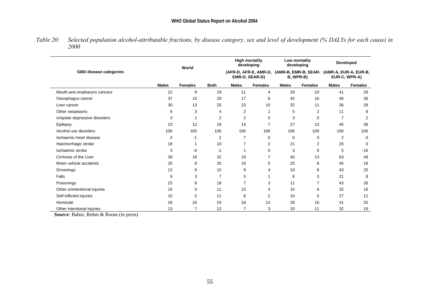| Table 20: Selected population alcohol-attributable fractions, by disease category, sex and level of development (% DALYs for each cause) in |  |
|---------------------------------------------------------------------------------------------------------------------------------------------|--|
| 2000                                                                                                                                        |  |

|                               | World        |                |                | <b>High mortality</b><br>developing |                | Low mortality<br>developing |                                                         | Developed      |                                        |  |
|-------------------------------|--------------|----------------|----------------|-------------------------------------|----------------|-----------------------------|---------------------------------------------------------|----------------|----------------------------------------|--|
| <b>GBD disease categories</b> |              |                |                |                                     | EMR-D, SEAR-D) |                             | (AFR-D, AFR-E, AMR-D, (AMR-B, EMR-B, SEAR-<br>B, WPR-B) |                | (AMR-A, EUR-A, EUR-B,<br>EUR-C, WPR-A) |  |
|                               | <b>Males</b> | <b>Females</b> | <b>Both</b>    | <b>Males</b>                        | <b>Females</b> | <b>Males</b>                | <b>Females</b>                                          | <b>Males</b>   | <b>Females</b>                         |  |
| Mouth and oropharynx cancers  | 22           | 9              | 19             | 11                                  | 4              | 28                          | 10                                                      | 41             | 28                                     |  |
| Oesophagus cancer             | 37           | 15             | 29             | 17                                  | 6              | 42                          | 16                                                      | 46             | 36                                     |  |
| Liver cancer                  | 30           | 13             | 25             | 23                                  | 10             | 32                          | 11                                                      | 36             | 28                                     |  |
| Other neoplasms               | 6            | 3              | 4              | $\overline{2}$                      | 1              | 5                           | $\overline{2}$                                          | 11             | 8                                      |  |
| Unipolar depressive disorders | 3            |                | 2              | $\overline{2}$                      | 0              | 3                           | 0                                                       | $\overline{7}$ | 2                                      |  |
| Epilepsy                      | 23           | 12             | 18             | 14                                  | 7              | 27                          | 13                                                      | 45             | 36                                     |  |
| Alcohol use disorders         | 100          | 100            | 100            | 100                                 | 100            | 100                         | 100                                                     | 100            | 100                                    |  |
| Ischaemic heart disease       | 4            | $-1$           | 2              | 7                                   | 0              | 5                           | 0                                                       | $\overline{2}$ | $-3$                                   |  |
| Haemorrhagic stroke           | 18           |                | 10             | 7                                   | $\overline{2}$ | 21                          | $\overline{2}$                                          | 26             | $\Omega$                               |  |
| Ischaemic stroke              | 3            | -6             | $-1$           |                                     | 0              | 3                           | 0                                                       | 5              | $-16$                                  |  |
| Cirrhosis of the Liver        | 39           | 18             | 32             | 19                                  | 7              | 45                          | 13                                                      | 63             | 49                                     |  |
| Motor vehicle accidents       | 25           | 8              | 20             | 19                                  | 5              | 25                          | 8                                                       | 45             | 18                                     |  |
| Drownings                     | 12           | 6              | 10             | 8                                   | 4              | 10                          | 6                                                       | 43             | 25                                     |  |
| Falls                         | 9            | 3              | $\overline{7}$ | 5                                   | 1              | 8                           | 3                                                       | 21             | 8                                      |  |
| Poisonings                    | 23           | 9              | 18             | 7                                   | 3              | 11                          | $\overline{7}$                                          | 43             | 26                                     |  |
| Other unintentional injuries  | 15           | 5              | 11             | 10                                  | 4              | 15                          | 6                                                       | 32             | 16                                     |  |
| Self-inflicted injuries       | 15           | 5              | 11             | 8                                   | 2              | 10                          | 5                                                       | 27             | 12                                     |  |
| Homicide                      | 26           | 16             | 24             | 18                                  | 12             | 28                          | 16                                                      | 41             | 32                                     |  |
| Other Intentional injuries    | 13           | 7              | 12             |                                     | 3              | 20                          | 11                                                      | 32             | 19                                     |  |

*Source*: Babor, Rehm & Room (in press)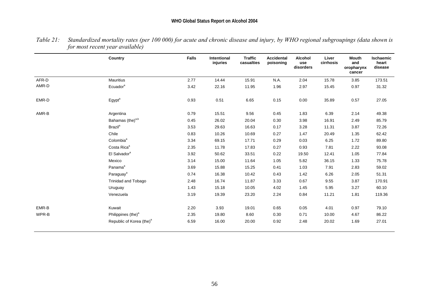## **WHO Global Status Report on Alcohol 2004**

|         | Country                              | <b>Falls</b> | Intentional<br>injuries | <b>Traffic</b><br>casualties | <b>Accidental</b><br>poisoning | Alcohol<br>use<br>disorders | Liver<br>cirrhosis | Mouth<br>and<br>oropharynx<br>cancer | Ischaemic<br>heart<br>disease |
|---------|--------------------------------------|--------------|-------------------------|------------------------------|--------------------------------|-----------------------------|--------------------|--------------------------------------|-------------------------------|
| AFR-D   | Mauritius                            | 2.77         | 14.44                   | 15.91                        | N.A.                           | 2.04                        | 15.78              | 3.85                                 | 173.51                        |
| AMR-D   | Ecuador <sup>a</sup>                 | 3.42         | 22.16                   | 11.95                        | 1.96                           | 2.97                        | 15.45              | 0.97                                 | 31.32                         |
| EMR-D   | $E$ gypt <sup>a</sup>                | 0.93         | 0.51                    | 6.65                         | 0.15                           | 0.00                        | 35.89              | 0.57                                 | 27.05                         |
| AMR-B   | Argentina                            | 0.79         | 15.51                   | 9.56                         | 0.45                           | 1.83                        | 6.39               | 2.14                                 | 49.38                         |
|         | Bahamas (the) <sup>a,b</sup>         | 0.45         | 26.02                   | 20.04                        | 0.30                           | 3.98                        | 16.91              | 2.49                                 | 85.79                         |
|         | <b>Brazil</b> <sup>a</sup>           | 3.53         | 29.63                   | 16.63                        | 0.17                           | 3.28                        | 11.31              | 3.87                                 | 72.26                         |
|         | Chile                                | 0.83         | 10.26                   | 10.69                        | 0.27                           | 1.47                        | 20.49              | 1.35                                 | 62.42                         |
|         | Colombia <sup>ª</sup>                | 3.34         | 69.15                   | 17.71                        | 0.29                           | 0.03                        | 6.25               | 1.72                                 | 89.80                         |
|         | Costa Rica <sup>a</sup>              | 2.35         | 11.78                   | 17.83                        | 0.27                           | 0.93                        | 7.81               | 2.22                                 | 93.08                         |
|         | El Salvador <sup>a</sup>             | 3.92         | 50.62                   | 33.51                        | 0.22                           | 19.50                       | 12.41              | 1.05                                 | 77.84                         |
|         | Mexico                               | 3.14         | 15.00                   | 11.64                        | 1.05                           | 5.82                        | 36.15              | 1.33                                 | 75.78                         |
|         | Panama <sup>a</sup>                  | 3.69         | 15.88                   | 15.25                        | 0.41                           | 1.03                        | 7.91               | 2.83                                 | 59.02                         |
|         | Paraguay <sup>a</sup>                | 0.74         | 16.38                   | 10.42                        | 0.43                           | 1.42                        | 6.26               | 2.05                                 | 51.31                         |
|         | <b>Trinidad and Tobago</b>           | 2.48         | 16.74                   | 11.87                        | 3.33                           | 0.67                        | 9.55               | 3.87                                 | 170.91                        |
|         | Uruguay                              | 1.43         | 15.18                   | 10.05                        | 4.02                           | 1.45                        | 5.95               | 3.27                                 | 60.10                         |
|         | Venezuela                            | 3.19         | 19.39                   | 23.20                        | 2.24                           | 0.84                        | 11.21              | 1.81                                 | 119.36                        |
| $EMR-B$ | Kuwait                               | 2.20         | 3.93                    | 19.01                        | 0.65                           | 0.05                        | 4.01               | 0.97                                 | 79.10                         |
| WPR-B   | Philippines (the) <sup>a</sup>       | 2.35         | 19.80                   | 8.60                         | 0.30                           | 0.71                        | 10.00              | 4.67                                 | 86.22                         |
|         | Republic of Korea (the) <sup>a</sup> | 6.59         | 16.00                   | 20.00                        | 0.92                           | 2.48                        | 20.02              | 1.69                                 | 27.01                         |

*Table 21: Standardized mortality rates (per 100 000) for acute and chronic disease and injury, by WHO regional subgroupings (data shown is for most recent year available)*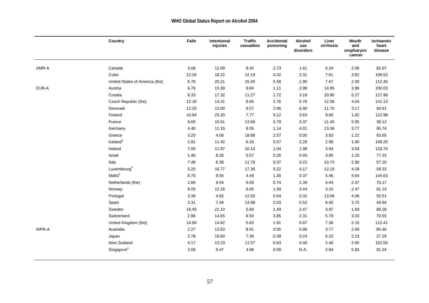|       | Country                        | <b>Falls</b> | Intentional<br>injuries | <b>Traffic</b><br>casualties | <b>Accidental</b><br>poisoning | Alcohol<br>use<br>disorders | Liver<br>cirrhosis | <b>Mouth</b><br>and<br>oropharynx<br>cancer | Ischaemic<br>heart<br>disease |
|-------|--------------------------------|--------------|-------------------------|------------------------------|--------------------------------|-----------------------------|--------------------|---------------------------------------------|-------------------------------|
| AMR-A | Canada                         | 3.08         | 12.09                   | 8.45                         | 2.73                           | 1.61                        | 5.24               | 2.06                                        | 82.97                         |
|       | Cuba                           | 12.26        | 18.22                   | 12.19                        | 0.32                           | 2.31                        | 7.61               | 3.82                                        | 108.52                        |
|       | United States of America (the) | 6.78         | 20.21                   | 15.00                        | 0.58                           | 1.90                        | 7.47               | 2.00                                        | 112.40                        |
| EUR-A | Austria                        | 6.76         | 15.38                   | 9.84                         | 1.11                           | 2.98                        | 14.95              | 3.96                                        | 100.03                        |
|       | Croatia                        | 8.33         | 17.32                   | 11.27                        | 1.72                           | 3.18                        | 20.90              | 5.27                                        | 127.98                        |
|       | Czech Republic (the)           | 12.18        | 14.31                   | 8.65                         | 2.76                           | 0.76                        | 12.36              | 4.04                                        | 141.13                        |
|       | Denmark                        | 12.20        | 13.00                   | 9.57                         | 2.96                           | 6.90                        | 11.70              | 3.17                                        | 90.91                         |
|       | Finland                        | 10.84        | 23.20                   | 7.77                         | 9.12                           | 3.63                        | 9.60               | 1.82                                        | 122.98                        |
|       | France                         | 8.69         | 15.01                   | 13.06                        | 0.79                           | 3.37                        | 11.45              | 5.85                                        | 39.12                         |
|       | Germany                        | 4.40         | 11.15                   | 8.05                         | 1.14                           | 4.01                        | 13.36              | 3.77                                        | 95.74                         |
|       | Greece                         | 3.20         | 4.06                    | 18.88                        | 2.57                           | 0.05                        | 3.83               | 1.22                                        | 63.65                         |
|       | Iceland <sup>b</sup>           | 2.81         | 11.42                   | 6.16                         | 0.57                           | 2.29                        | 2.58               | 1.60                                        | 108.20                        |
|       | Ireland                        | 7.00         | 11.97                   | 10.14                        | 1.04                           | 1.98                        | 3.94               | 3.04                                        | 133.70                        |
|       | Israel                         | 1.46         | 8.26                    | 5.57                         | 0.26                           | 0.93                        | 3.85               | 1.20                                        | 77.33                         |
|       | Italy                          | 7.48         | 6.38                    | 11.76                        | 0.37                           | 0.22                        | 10.73              | 2.90                                        | 57.20                         |
|       | Luxembourgb                    | 5.25         | 16.77                   | 17.36                        | 5.22                           | 4.17                        | 12.19              | 4.28                                        | 59.33                         |
|       | Maltab                         | 8.70         | 9.55                    | 4.49                         | 1.30                           | 0.37                        | 5.46               | 4.64                                        | 144.63                        |
|       | Netherlands (the)              | 2.66         | 9.54                    | 6.59                         | 0.74                           | 1.39                        | 4.44               | 2.47                                        | 70.17                         |
|       | Norway                         | 8.05         | 12.16                   | 6.05                         | 1.99                           | 3.44                        | 3.10               | 2.47                                        | 81.19                         |
|       | Portugal                       | 3.38         | 4.82                    | 12.50                        | 0.64                           | 0.32                        | 13.08              | 4.06                                        | 50.51                         |
|       | Spain                          | 2.31         | 7.49                    | 13.98                        | 2.03                           | 0.52                        | 8.45               | 3.75                                        | 49.94                         |
|       | Sweden                         | 18.45        | 21.10                   | 5.84                         | 1.49                           | 2.47                        | 3.97               | 1.69                                        | 89.28                         |
|       | Switzerland                    | 2.88         | 14.65                   | 6.50                         | 3.85                           | 2.31                        | 5.79               | 3.33                                        | 70.55                         |
|       | United Kingdom (the)           | 14.80        | 14.62                   | 5.62                         | 1.91                           | 0.87                        | 7.36               | 2.15                                        | 112.41                        |
| WPR-A | Australia                      | 2.27         | 13.63                   | 8.91                         | 3.05                           | 0.99                        | 3.77               | 2.69                                        | 85.46                         |
|       | Japan                          | 2.78         | 18.80                   | 7.38                         | 0.38                           | 0.24                        | 6.15               | 2.23                                        | 27.29                         |
|       | New Zealand                    | 4.17         | 13.23                   | 11.57                        | 0.83                           | 0.46                        | 2.40               | 2.65                                        | 102.50                        |
|       | Singapore <sup>a</sup>         | 3.09         | 9.47                    | 4.96                         | 0.09                           | N.A.                        | 2.84               | 5.83                                        | 91.24                         |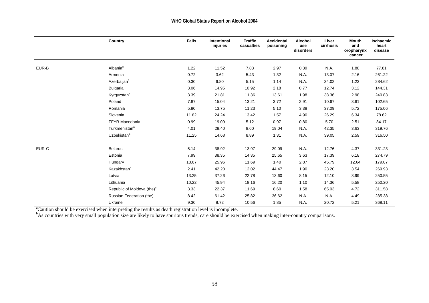|       | Country                                | <b>Falls</b> | Intentional<br>injuries | <b>Traffic</b><br>casualties | <b>Accidental</b><br>poisoning | <b>Alcohol</b><br>use<br>disorders | Liver<br>cirrhosis | Mouth<br>and<br>oropharynx<br>cancer | Ischaemic<br>heart<br>disease |
|-------|----------------------------------------|--------------|-------------------------|------------------------------|--------------------------------|------------------------------------|--------------------|--------------------------------------|-------------------------------|
| EUR-B | Albania <sup>a</sup>                   | 1.22         | 11.52                   | 7.83                         | 2.97                           | 0.39                               | N.A.               | 1.88                                 | 77.81                         |
|       | Armenia                                | 0.72         | 3.62                    | 5.43                         | 1.32                           | N.A.                               | 13.07              | 2.16                                 | 261.22                        |
|       | Azerbaijan <sup>a</sup>                | 0.30         | 6.80                    | 5.15                         | 1.14                           | N.A.                               | 34.02              | 1.23                                 | 284.62                        |
|       | <b>Bulgaria</b>                        | 3.06         | 14.95                   | 10.92                        | 2.18                           | 0.77                               | 12.74              | 3.12                                 | 144.31                        |
|       | Kyrgyzstan <sup>a</sup>                | 3.39         | 21.81                   | 11.36                        | 13.61                          | 1.98                               | 38.36              | 2.98                                 | 240.83                        |
|       | Poland                                 | 7.87         | 15.04                   | 13.21                        | 3.72                           | 2.91                               | 10.67              | 3.61                                 | 102.65                        |
|       | Romania                                | 5.80         | 13.75                   | 11.23                        | 5.10                           | 3.38                               | 37.09              | 5.72                                 | 175.06                        |
|       | Slovenia                               | 11.82        | 24.24                   | 13.42                        | 1.57                           | 4.90                               | 26.29              | 6.34                                 | 78.62                         |
|       | <b>TFYR Macedonia</b>                  | 0.99         | 19.09                   | 5.12                         | 0.97                           | 0.80                               | 5.70               | 2.51                                 | 84.17                         |
|       | Turkmenistan <sup>a</sup>              | 4.01         | 28.40                   | 8.60                         | 19.04                          | N.A.                               | 42.35              | 3.63                                 | 319.76                        |
|       | Uzbekistan <sup>a</sup>                | 11.25        | 14.68                   | 8.89                         | 1.31                           | N.A.                               | 39.05              | 2.59                                 | 316.50                        |
| EUR-C | <b>Belarus</b>                         | 5.14         | 38.92                   | 13.97                        | 29.09                          | N.A.                               | 12.76              | 4.37                                 | 331.23                        |
|       | Estonia                                | 7.99         | 38.35                   | 14.35                        | 25.65                          | 3.63                               | 17.39              | 6.18                                 | 274.79                        |
|       | Hungary                                | 18.67        | 25.96                   | 11.69                        | 1.40                           | 2.87                               | 45.79              | 12.64                                | 179.07                        |
|       | Kazakhstan <sup>a</sup>                | 2.41         | 42.20                   | 12.02                        | 44.47                          | 1.90                               | 23.20              | 3.54                                 | 269.93                        |
|       | Latvia                                 | 13.25        | 37.26                   | 22.78                        | 13.60                          | 8.15                               | 12.10              | 3.99                                 | 250.55                        |
|       | Lithuania                              | 10.22        | 45.94                   | 18.16                        | 16.20                          | 1.10                               | 14.36              | 5.58                                 | 250.20                        |
|       | Republic of Moldova (the) <sup>a</sup> | 3.33         | 22.37                   | 11.69                        | 8.60                           | 1.58                               | 65.03              | 4.72                                 | 311.58                        |
|       | Russian Federation (the)               | 8.42         | 61.42                   | 25.82                        | 36.62                          | N.A.                               | N.A.               | 4.49                                 | 285.38                        |
|       | Ukraine                                | 9.30         | 8.72                    | 10.56                        | 1.85                           | N.A.                               | 20.72              | 5.21                                 | 368.11                        |

aCaution should be exercised when interpreting the results as death registration level is incomplete.

<sup>b</sup>As countries with very small population size are likely to have spurious trends, care should be exercised when making inter-country comparisons.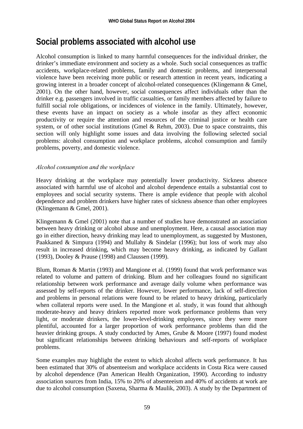# **Social problems associated with alcohol use**

Alcohol consumption is linked to many harmful consequences for the individual drinker, the drinker's immediate environment and society as a whole. Such social consequences as traffic accidents, workplace-related problems, family and domestic problems, and interpersonal violence have been receiving more public or research attention in recent years, indicating a growing interest in a broader concept of alcohol-related consequences (Klingemann & Gmel, 2001). On the other hand, however, social consequences affect individuals other than the drinker e.g. passengers involved in traffic casualties, or family members affected by failure to fulfill social role obligations, or incidences of violence in the family. Ultimately, however, these events have an impact on society as a whole insofar as they affect economic productivity or require the attention and resources of the criminal justice or health care system, or of other social institutions (Gmel & Rehm, 2003). Due to space constraints, this section will only highlight some issues and data involving the following selected social problems: alcohol consumption and workplace problems, alcohol consumption and family problems, poverty, and domestic violence.

# *Alcohol consumption and the workplace*

Heavy drinking at the workplace may potentially lower productivity. Sickness absence associated with harmful use of alcohol and alcohol dependence entails a substantial cost to employees and social security systems. There is ample evidence that people with alcohol dependence and problem drinkers have higher rates of sickness absence than other employees (Klingemann & Gmel, 2001).

Klingemann & Gmel (2001) note that a number of studies have demonstrated an association between heavy drinking or alcohol abuse and unemployment. Here, a causal association may go in either direction, heavy drinking may lead to unemployment, as suggested by Mustonen, Paakkaned & Simpura (1994) and Mullahy & Sindelar (1996); but loss of work may also result in increased drinking, which may become heavy drinking, as indicated by Gallant (1993), Dooley & Prause (1998) and Claussen (1999).

Blum, Roman & Martin (1993) and Mangione et al. (1999) found that work performance was related to volume and pattern of drinking. Blum and her colleagues found no significant relationship between work performance and average daily volume when performance was assessed by self-reports of the drinker. However, lower performance, lack of self-direction and problems in personal relations were found to be related to heavy drinking, particularly when collateral reports were used. In the Mangione et al. study, it was found that although moderate-heavy and heavy drinkers reported more work performance problems than very light, or moderate drinkers, the lower-level-drinking employees, since they were more plentiful, accounted for a larger proportion of work performance problems than did the heavier drinking groups. A study conducted by Ames, Grube & Moore (1997) found modest but significant relationships between drinking behaviours and self-reports of workplace problems.

Some examples may highlight the extent to which alcohol affects work performance. It has been estimated that 30% of absenteeism and workplace accidents in Costa Rica were caused by alcohol dependence (Pan American Health Organization, 1990). According to industry association sources from India, 15% to 20% of absenteeism and 40% of accidents at work are due to alcohol consumption (Saxena, Sharma & Maulik, 2003). A study by the Department of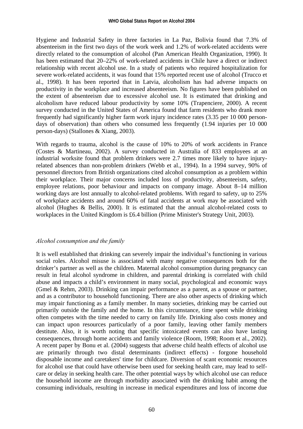Hygiene and Industrial Safety in three factories in La Paz, Bolivia found that 7.3% of absenteeism in the first two days of the work week and 1.2% of work-related accidents were directly related to the consumption of alcohol (Pan American Health Organization, 1990). It has been estimated that 20–22% of work-related accidents in Chile have a direct or indirect relationship with recent alcohol use. In a study of patients who required hospitalization for severe work-related accidents, it was found that 15% reported recent use of alcohol (Trucco et al., 1998). It has been reported that in Latvia, alcoholism has had adverse impacts on productivity in the workplace and increased absenteeism. No figures have been published on the extent of absenteeism due to excessive alcohol use. It is estimated that drinking and alcoholism have reduced labour productivity by some 10% (Trapenciere, 2000). A recent survey conducted in the United States of America found that farm residents who drank more frequently had significantly higher farm work injury incidence rates (3.35 per 10 000 persondays of observation) than others who consumed less frequently  $(1.94$  injuries per 10 000 person-days) (Stallones & Xiang, 2003).

With regards to trauma, alcohol is the cause of 10% to 20% of work accidents in France (Costes & Martineau, 2002). A survey conducted in Australia of 833 employees at an industrial worksite found that problem drinkers were 2.7 times more likely to have injuryrelated absences than non-problem drinkers (Webb et al., 1994). In a 1994 survey, 90% of personnel directors from British organizations cited alcohol consumption as a problem within their workplace. Their major concerns included loss of productivity, absenteeism, safety, employee relations, poor behaviour and impacts on company image. About 8–14 million working days are lost annually to alcohol-related problems. With regard to safety, up to 25% of workplace accidents and around 60% of fatal accidents at work may be associated with alcohol (Hughes & Bellis, 2000). It is estimated that the annual alcohol-related costs to workplaces in the United Kingdom is £6.4 billion (Prime Minister's Strategy Unit, 2003).

# *Alcohol consumption and the family*

It is well established that drinking can severely impair the individual's functioning in various social roles. Alcohol misuse is associated with many negative consequences both for the drinker's partner as well as the children. Maternal alcohol consumption during pregnancy can result in fetal alcohol syndrome in children, and parental drinking is correlated with child abuse and impacts a child's environment in many social, psychological and economic ways (Gmel & Rehm, 2003). Drinking can impair performance as a parent, as a spouse or partner, and as a contributor to household functioning. There are also other aspects of drinking which may impair functioning as a family member. In many societies, drinking may be carried out primarily outside the family and the home. In this circumstance, time spent while drinking often competes with the time needed to carry on family life. Drinking also costs money and can impact upon resources particularly of a poor family, leaving other family members destitute. Also, it is worth noting that specific intoxicated events can also have lasting consequences, through home accidents and family violence (Room, 1998; Room et al., 2002). A recent paper by Bonu et al. (2004) suggests that adverse child health effects of alcohol use are primarily through two distal determinants (indirect effects) - forgone household disposable income and caretakers' time for childcare. Diversion of scant economic resources for alcohol use that could have otherwise been used for seeking health care, may lead to selfcare or delay in seeking health care. The other potential ways by which alcohol use can reduce the household income are through morbidity associated with the drinking habit among the consuming individuals, resulting in increase in medical expenditures and loss of income due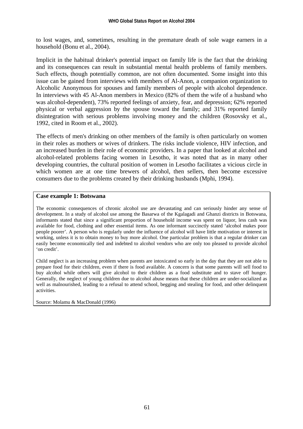to lost wages, and, sometimes, resulting in the premature death of sole wage earners in a household (Bonu et al., 2004).

Implicit in the habitual drinker's potential impact on family life is the fact that the drinking and its consequences can result in substantial mental health problems of family members. Such effects, though potentially common, are not often documented. Some insight into this issue can be gained from interviews with members of Al-Anon, a companion organization to Alcoholic Anonymous for spouses and family members of people with alcohol dependence. In interviews with 45 Al-Anon members in Mexico (82% of them the wife of a husband who was alcohol-dependent), 73% reported feelings of anxiety, fear, and depression; 62% reported physical or verbal aggression by the spouse toward the family; and 31% reported family disintegration with serious problems involving money and the children (Rosovsky et al., 1992, cited in Room et al., 2002).

The effects of men's drinking on other members of the family is often particularly on women in their roles as mothers or wives of drinkers. The risks include violence, HIV infection, and an increased burden in their role of economic providers. In a paper that looked at alcohol and alcohol-related problems facing women in Lesotho, it was noted that as in many other developing countries, the cultural position of women in Lesotho facilitates a vicious circle in which women are at one time brewers of alcohol, then sellers, then become excessive consumers due to the problems created by their drinking husbands (Mphi, 1994).

## **Case example 1: Botswana**

The economic consequences of chronic alcohol use are devastating and can seriously hinder any sense of development. In a study of alcohol use among the Basarwa of the Kgalagadi and Ghanzi districts in Botswana, informants stated that since a significant proportion of household income was spent on liquor, less cash was available for food, clothing and other essential items. As one informant succinctly stated 'alcohol makes poor people poorer'. A person who is regularly under the influence of alcohol will have little motivation or interest in working, unless it is to obtain money to buy more alcohol. One particular problem is that a regular drinker can easily become economically tied and indebted to alcohol vendors who are only too pleased to provide alcohol 'on credit'.

Child neglect is an increasing problem when parents are intoxicated so early in the day that they are not able to prepare food for their children, even if there is food available. A concern is that some parents will sell food to buy alcohol while others will give alcohol to their children as a food substitute and to stave off hunger. Generally, the neglect of young children due to alcohol abuse means that these children are under-socialized as well as malnourished, leading to a refusal to attend school, begging and stealing for food, and other delinquent activities.

Source: Molamu & MacDonald (1996)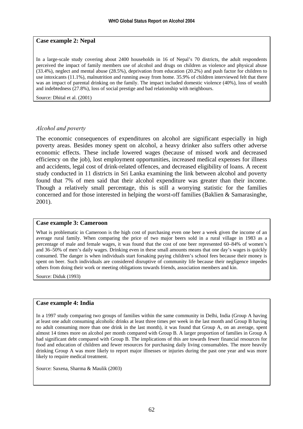#### **Case example 2: Nepal**

In a large-scale study covering about 2400 households in 16 of Nepal's 70 districts, the adult respondents perceived the impact of family members use of alcohol and drugs on children as violence and physical abuse (33.4%), neglect and mental abuse (28.5%), deprivation from education (20.2%) and push factor for children to use intoxicants (11.1%), malnutrition and running away from home. 35.9% of children interviewed felt that there was an impact of parental drinking on the family. The impact included domestic violence (40%), loss of wealth and indebtedness (27.8%), loss of social prestige and bad relationship with neighbours.

Source: Dhital et al. (2001)

#### *Alcohol and poverty*

The economic consequences of expenditures on alcohol are significant especially in high poverty areas. Besides money spent on alcohol, a heavy drinker also suffers other adverse economic effects. These include lowered wages (because of missed work and decreased efficiency on the job), lost employment opportunities, increased medical expenses for illness and accidents, legal cost of drink-related offences, and decreased eligibility of loans. A recent study conducted in 11 districts in Sri Lanka examining the link between alcohol and poverty found that 7% of men said that their alcohol expenditure was greater than their income. Though a relatively small percentage, this is still a worrying statistic for the families concerned and for those interested in helping the worst-off families (Baklien & Samarasinghe, 2001).

#### **Case example 3: Cameroon**

What is problematic in Cameroon is the high cost of purchasing even one beer a week given the income of an average rural family. When comparing the price of two major beers sold in a rural village in 1983 as a percentage of male and female wages, it was found that the cost of one beer represented 60–84% of women's and 36–50% of men's daily wages. Drinking even in these small amounts means that one day's wages is quickly consumed. The danger is when individuals start forsaking paying children's school fees because their money is spent on beer. Such individuals are considered disruptive of community life because their negligence impedes others from doing their work or meeting obligations towards friends, association members and kin.

Source: Diduk (1993)

#### **Case example 4: India**

In a 1997 study comparing two groups of families within the same community in Delhi, India (Group A having at least one adult consuming alcoholic drinks at least three times per week in the last month and Group B having no adult consuming more than one drink in the last month), it was found that Group A, on an average, spent almost 14 times more on alcohol per month compared with Group B. A larger proportion of families in Group A had significant debt compared with Group B. The implications of this are towards fewer financial resources for food and education of children and fewer resources for purchasing daily living consumables. The more heavily drinking Group A was more likely to report major illnesses or injuries during the past one year and was more likely to require medical treatment.

Source: Saxena, Sharma & Maulik (2003)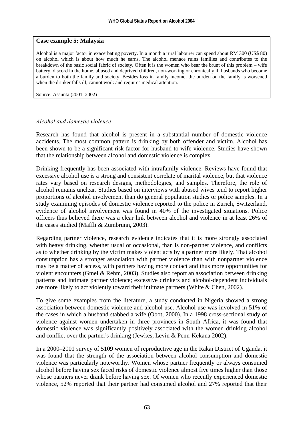#### **Case example 5: Malaysia**

Alcohol is a major factor in exacerbating poverty. In a month a rural labourer can spend about RM 300 (US\$ 80) on alcohol which is about how much he earns. The alcohol menace ruins families and contributes to the breakdown of the basic social fabric of society. Often it is the women who bear the brunt of this problem – wife battery, discord in the home, abused and deprived children, non-working or chronically ill husbands who become a burden to both the family and society. Besides loss in family income, the burden on the family is worsened when the drinker falls ill, cannot work and requires medical attention.

Source: Assunta (2001–2002)

#### *Alcohol and domestic violence*

Research has found that alcohol is present in a substantial number of domestic violence accidents. The most common pattern is drinking by both offender and victim. Alcohol has been shown to be a significant risk factor for husband-to-wife violence. Studies have shown that the relationship between alcohol and domestic violence is complex.

Drinking frequently has been associated with intrafamily violence. Reviews have found that excessive alcohol use is a strong and consistent correlate of marital violence, but that violence rates vary based on research designs, methodologies, and samples. Therefore, the role of alcohol remains unclear. Studies based on interviews with abused wives tend to report higher proportions of alcohol involvement than do general population studies or police samples. In a study examining episodes of domestic violence reported to the police in Zurich, Switzerland, evidence of alcohol involvement was found in 40% of the investigated situations. Police officers thus believed there was a clear link between alcohol and violence in at least 26% of the cases studied (Maffli & Zumbrunn, 2003).

Regarding partner violence, research evidence indicates that it is more strongly associated with heavy drinking, whether usual or occasional, than is non-partner violence, and conflicts as to whether drinking by the victim makes violent acts by a partner more likely. That alcohol consumption has a stronger association with partner violence than with nonpartner violence may be a matter of access, with partners having more contact and thus more opportunities for violent encounters (Gmel & Rehm, 2003). Studies also report an association between drinking patterns and intimate partner violence; excessive drinkers and alcohol-dependent individuals are more likely to act violently toward their intimate partners (White & Chen, 2002).

To give some examples from the literature, a study conducted in Nigeria showed a strong association between domestic violence and alcohol use. Alcohol use was involved in 51% of the cases in which a husband stabbed a wife (Obot, 2000). In a 1998 cross-sectional study of violence against women undertaken in three provinces in South Africa, it was found that domestic violence was significantly positively associated with the women drinking alcohol and conflict over the partner's drinking (Jewkes, Levin & Penn-Kekana 2002).

In a 2000–2001 survey of 5109 women of reproductive age in the Rakai District of Uganda, it was found that the strength of the association between alcohol consumption and domestic violence was particularly noteworthy. Women whose partner frequently or always consumed alcohol before having sex faced risks of domestic violence almost five times higher than those whose partners never drank before having sex. Of women who recently experienced domestic violence, 52% reported that their partner had consumed alcohol and 27% reported that their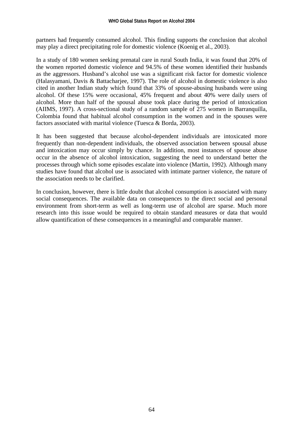partners had frequently consumed alcohol. This finding supports the conclusion that alcohol may play a direct precipitating role for domestic violence (Koenig et al., 2003).

In a study of 180 women seeking prenatal care in rural South India, it was found that 20% of the women reported domestic violence and 94.5% of these women identified their husbands as the aggressors. Husband's alcohol use was a significant risk factor for domestic violence (Halasyamani, Davis & Battacharjee, 1997). The role of alcohol in domestic violence is also cited in another Indian study which found that 33% of spouse-abusing husbands were using alcohol. Of these 15% were occasional, 45% frequent and about 40% were daily users of alcohol. More than half of the spousal abuse took place during the period of intoxication (AIIMS, 1997). A cross-sectional study of a random sample of 275 women in Barranquilla, Colombia found that habitual alcohol consumption in the women and in the spouses were factors associated with marital violence (Tuesca & Borda, 2003).

It has been suggested that because alcohol-dependent individuals are intoxicated more frequently than non-dependent individuals, the observed association between spousal abuse and intoxication may occur simply by chance. In addition, most instances of spouse abuse occur in the absence of alcohol intoxication, suggesting the need to understand better the processes through which some episodes escalate into violence (Martin, 1992). Although many studies have found that alcohol use is associated with intimate partner violence, the nature of the association needs to be clarified.

In conclusion, however, there is little doubt that alcohol consumption is associated with many social consequences. The available data on consequences to the direct social and personal environment from short-term as well as long-term use of alcohol are sparse. Much more research into this issue would be required to obtain standard measures or data that would allow quantification of these consequences in a meaningful and comparable manner.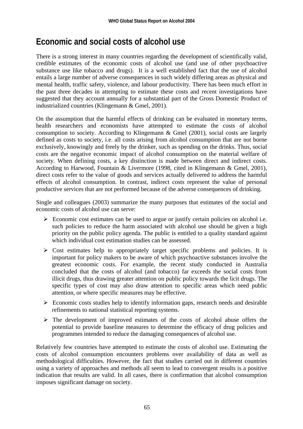# **Economic and social costs of alcohol use**

There is a strong interest in many countries regarding the development of scientifically valid, credible estimates of the economic costs of alcohol use (and use of other psychoactive substance use like tobacco and drugs). It is a well established fact that the use of alcohol entails a large number of adverse consequences in such widely differing areas as physical and mental health, traffic safety, violence, and labour productivity. There has been much effort in the past three decades in attempting to estimate these costs and recent investigations have suggested that they account annually for a substantial part of the Gross Domestic Product of industrialized countries (Klingemann & Gmel, 2001).

On the assumption that the harmful effects of drinking can be evaluated in monetary terms, health researchers and economists have attempted to estimate the costs of alcohol consumption to society. According to Klingemann & Gmel (2001), social costs are largely defined as costs to society, i.e. all costs arising from alcohol consumption that are not borne exclusively, knowingly and freely by the drinker, such as spending on the drinks. Thus, social costs are the negative economic impact of alcohol consumption on the material welfare of society. When defining costs, a key distinction is made between direct and indirect costs. According to Harwood, Fountain & Livermore (1998, cited in Klingemann & Gmel, 2001), direct costs refer to the value of goods and services actually delivered to address the harmful effects of alcohol consumption. In contrast, indirect costs represent the value of personal productive services that are not performed because of the adverse consequences of drinking.

Single and colleagues (2003) summarize the many purposes that estimates of the social and economic costs of alcohol use can serve:

- $\triangleright$  Economic cost estimates can be used to argue or justify certain policies on alcohol i.e. such policies to reduce the harm associated with alcohol use should be given a high priority on the public policy agenda. The public is entitled to a quality standard against which individual cost estimation studies can be assessed.
- $\triangleright$  Cost estimates help to appropriately target specific problems and policies. It is important for policy makers to be aware of which psychoactive substances involve the greatest economic costs. For example, the recent study conducted in Australia concluded that the costs of alcohol (and tobacco) far exceeds the social costs from illicit drugs, thus drawing greater attention on public policy towards the licit drugs. The specific types of cost may also draw attention to specific areas which need public attention, or where specific measures may be effective.
- $\triangleright$  Economic costs studies help to identify information gaps, research needs and desirable refinements to national statistical reporting systems.
- $\triangleright$  The development of improved estimates of the costs of alcohol abuse offers the potential to provide baseline measures to determine the efficacy of drug policies and programmes intended to reduce the damaging consequences of alcohol use.

Relatively few countries have attempted to estimate the costs of alcohol use. Estimating the costs of alcohol consumption encounters problems over availability of data as well as methodological difficulties. However, the fact that studies carried out in different countries using a variety of approaches and methods all seem to lead to convergent results is a positive indication that results are valid. In all cases, there is confirmation that alcohol consumption imposes significant damage on society.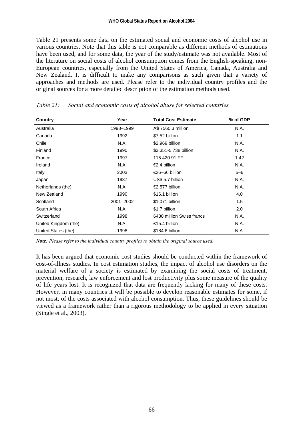Table 21 presents some data on the estimated social and economic costs of alcohol use in various countries. Note that this table is not comparable as different methods of estimations have been used, and for some data, the year of the study/estimate was not available. Most of the literature on social costs of alcohol consumption comes from the English-speaking, non-European countries, especially from the United States of America, Canada, Australia and New Zealand. It is difficult to make any comparisons as such given that a variety of approaches and methods are used. Please refer to the individual country profiles and the original sources for a more detailed description of the estimation methods used.

| Country              | Year      | <b>Total Cost Estimate</b> | % of GDP |
|----------------------|-----------|----------------------------|----------|
| Australia            | 1998-1999 | A\$ 7560.3 million         | N.A.     |
| Canada               | 1992      | \$7.52 billion             | 1.1      |
| Chile                | N.A.      | \$2.969 billion            | N.A.     |
| Finland              | 1990      | \$3.351-5.738 billion      | N.A.     |
| France               | 1997      | 115 420.91 FF              | 1.42     |
| Ireland              | N.A.      | €2.4 billion               | N.A.     |
| Italy                | 2003      | €26-66 billion             | $5 - 6$  |
| Japan                | 1987      | US\$ 5.7 billion           | N.A.     |
| Netherlands (the)    | N.A.      | €2.577 billion             | N.A.     |
| New Zealand          | 1990      | \$16.1 billion             | 4.0      |
| Scotland             | 2001-2002 | \$1.071 billion            | 1.5      |
| South Africa         | N.A.      | \$1.7 billion              | 2.0      |
| Switzerland          | 1998      | 6480 million Swiss francs  | N.A.     |
| United Kingdom (the) | N.A.      | £15.4 billion              | N.A.     |
| United States (the)  | 1998      | \$184.6 billion            | N.A.     |

*Table 21: Social and economic costs of alcohol abuse for selected countries* 

*Note: Please refer to the individual country profiles to obtain the original source used.* 

It has been argued that economic cost studies should be conducted within the framework of cost-of-illness studies. In cost estimation studies, the impact of alcohol use disorders on the material welfare of a society is estimated by examining the social costs of treatment, prevention, research, law enforcement and lost productivity plus some measure of the quality of life years lost. It is recognized that data are frequently lacking for many of these costs. However, in many countries it will be possible to develop reasonable estimates for some, if not most, of the costs associated with alcohol consumption. Thus, these guidelines should be viewed as a framework rather than a rigorous methodology to be applied in every situation (Single et al., 2003).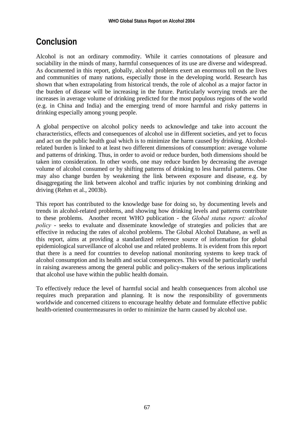## **Conclusion**

Alcohol is not an ordinary commodity. While it carries connotations of pleasure and sociability in the minds of many, harmful consequences of its use are diverse and widespread. As documented in this report, globally, alcohol problems exert an enormous toll on the lives and communities of many nations, especially those in the developing world. Research has shown that when extrapolating from historical trends, the role of alcohol as a major factor in the burden of disease will be increasing in the future. Particularly worrying trends are the increases in average volume of drinking predicted for the most populous regions of the world (e.g. in China and India) and the emerging trend of more harmful and risky patterns in drinking especially among young people.

A global perspective on alcohol policy needs to acknowledge and take into account the characteristics, effects and consequences of alcohol use in different societies, and yet to focus and act on the public health goal which is to minimize the harm caused by drinking. Alcoholrelated burden is linked to at least two different dimensions of consumption: average volume and patterns of drinking. Thus, in order to avoid or reduce burden, both dimensions should be taken into consideration. In other words, one may reduce burden by decreasing the average volume of alcohol consumed or by shifting patterns of drinking to less harmful patterns. One may also change burden by weakening the link between exposure and disease, e.g. by disaggregating the link between alcohol and traffic injuries by not combining drinking and driving (Rehm et al., 2003b).

This report has contributed to the knowledge base for doing so, by documenting levels and trends in alcohol-related problems, and showing how drinking levels and patterns contribute to these problems. Another recent WHO publication - the *Global status report: alcohol policy* - seeks to evaluate and disseminate knowledge of strategies and policies that are effective in reducing the rates of alcohol problems. The Global Alcohol Database, as well as this report, aims at providing a standardized reference source of information for global epidemiological surveillance of alcohol use and related problems. It is evident from this report that there is a need for countries to develop national monitoring systems to keep track of alcohol consumption and its health and social consequences. This would be particularly useful in raising awareness among the general public and policy-makers of the serious implications that alcohol use have within the public health domain.

To effectively reduce the level of harmful social and health consequences from alcohol use requires much preparation and planning. It is now the responsibility of governments worldwide and concerned citizens to encourage healthy debate and formulate effective public health-oriented countermeasures in order to minimize the harm caused by alcohol use.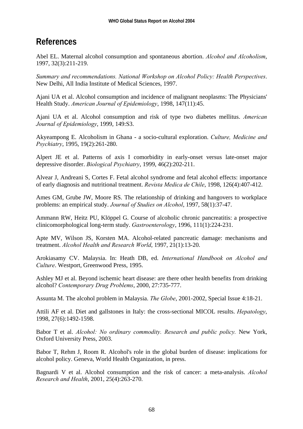## **References**

Abel EL. Maternal alcohol consumption and spontaneous abortion. *Alcohol and Alcoholism*, 1997, 32(3):211-219.

*Summary and recommendations. National Workshop on Alcohol Policy: Health Perspectives*. New Delhi, All India Institute of Medical Sciences, 1997.

Ajani UA et al. Alcohol consumption and incidence of malignant neoplasms: The Physicians' Health Study. *American Journal of Epidemiology*, 1998, 147(11):45.

Ajani UA et al. Alcohol consumption and risk of type two diabetes mellitus. *American Journal of Epidemiology*, 1999, 149:S3.

Akyeampong E. Alcoholism in Ghana - a socio-cultural exploration. *Culture, Medicine and Psychiatry*, 1995, 19(2):261-280.

Alpert JE et al. Patterns of axis I comorbidity in early-onset versus late-onset major depressive disorder. *Biological Psychiatry*, 1999, 46(2):202-211.

Alvear J, Andreani S, Cortes F. Fetal alcohol syndrome and fetal alcohol effects: importance of early diagnosis and nutritional treatment. *Revista Medica de Chile*, 1998, 126(4):407-412.

Ames GM, Grube JW, Moore RS. The relationship of drinking and hangovers to workplace problems: an empirical study. *Journal of Studies on Alcohol*, 1997, 58(1):37-47.

Ammann RW, Heitz PU, Klöppel G. Course of alcoholic chronic pancreatitis: a prospective clinicomorphological long-term study. *Gastroenterology*, 1996, 111(1):224-231.

Apte MV, Wilson JS, Korsten MA. Alcohol-related pancreatic damage: mechanisms and treatment. *Alcohol Health and Research World*, 1997, 21(1):13-20.

Arokiasamy CV. Malaysia. In: Heath DB, ed. *International Handbook on Alcohol and Culture*. Westport, Greenwood Press, 1995.

Ashley MJ et al. Beyond ischemic heart disease: are there other health benefits from drinking alcohol? *Contemporary Drug Problems*, 2000, 27:735-777.

Assunta M. The alcohol problem in Malaysia. *The Globe*, 2001-2002, Special Issue 4:18-21.

Attili AF et al. Diet and gallstones in Italy: the cross-sectional MICOL results. *Hepatology*, 1998, 27(6):1492-1598.

Babor T et al. *Alcohol: No ordinary commodity. Research and public policy.* New York, Oxford University Press, 2003.

Babor T, Rehm J, Room R. Alcohol's role in the global burden of disease: implications for alcohol policy. Geneva, World Health Organization, in press.

Bagnardi V et al. Alcohol consumption and the risk of cancer: a meta-analysis. *Alcohol Research and Health*, 2001, 25(4):263-270.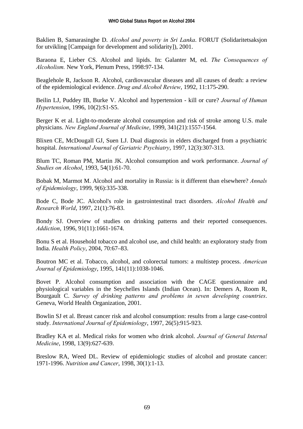Baklien B, Samarasinghe D. *Alcohol and poverty in Sri Lanka*. FORUT (Solidaritetsaksjon for utvikling [Campaign for development and solidarity]), 2001.

Baraona E, Lieber CS. Alcohol and lipids. In: Galanter M, ed. *The Consequences of Alcoholism.* New York, Plenum Press, 1998:97-134.

Beaglehole R, Jackson R. Alcohol, cardiovascular diseases and all causes of death: a review of the epidemiological evidence. *Drug and Alcohol Review*, 1992, 11:175-290.

Beilin LJ, Puddey IB, Burke V. Alcohol and hypertension - kill or cure? *Journal of Human Hypertension*, 1996, 10(2):S1-S5.

Berger K et al. Light-to-moderate alcohol consumption and risk of stroke among U.S. male physicians. *New England Journal of Medicine*, 1999, 341(21):1557-1564.

Blixen CE, McDougall GJ, Suen LJ. Dual diagnosis in elders discharged from a psychiatric hospital. *International Journal of Geriatric Psychiatry*, 1997, 12(3):307-313.

Blum TC, Roman PM, Martin JK. Alcohol consumption and work performance. *Journal of Studies on Alcohol*, 1993, 54(1):61-70.

Bobak M, Marmot M. Alcohol and mortality in Russia: is it different than elsewhere? *Annals of Epidemiology*, 1999, 9(6):335-338.

Bode C, Bode JC. Alcohol's role in gastrointestinal tract disorders. *Alcohol Health and Research World*, 1997, 21(1):76-83.

Bondy SJ. Overview of studies on drinking patterns and their reported consequences. *Addiction*, 1996, 91(11):1661-1674.

Bonu S et al. Household tobacco and alcohol use, and child health: an exploratory study from India. *Health Policy*, 2004, 70:67–83.

Boutron MC et al. Tobacco, alcohol, and colorectal tumors: a multistep process. *American Journal of Epidemiology*, 1995, 141(11):1038-1046.

Bovet P. Alcohol consumption and association with the CAGE questionnaire and physiological variables in the Seychelles Islands (Indian Ocean). In: Demers A, Room R, Bourgault C. *Survey of drinking patterns and problems in seven developing countries*. Geneva, World Health Organization, 2001.

Bowlin SJ et al. Breast cancer risk and alcohol consumption: results from a large case-control study. *International Journal of Epidemiology*, 1997, 26(5):915-923.

Bradley KA et al. Medical risks for women who drink alcohol. *Journal of General Internal Medicine*, 1998, 13(9):627-639.

Breslow RA, Weed DL. Review of epidemiologic studies of alcohol and prostate cancer: 1971-1996. *Nutrition and Cancer*, 1998, 30(1):1-13.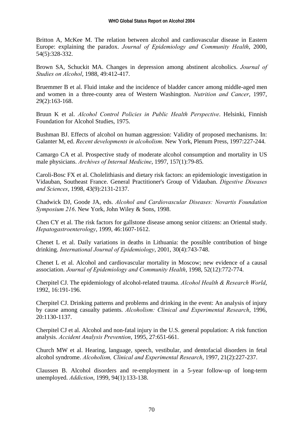Britton A, McKee M. The relation between alcohol and cardiovascular disease in Eastern Europe: explaining the paradox. *Journal of Epidemiology and Community Health*, 2000, 54(5):328-332.

Brown SA, Schuckit MA. Changes in depression among abstinent alcoholics. *Journal of Studies on Alcohol*, 1988, 49:412-417.

Bruemmer B et al. Fluid intake and the incidence of bladder cancer among middle-aged men and women in a three-county area of Western Washington. *Nutrition and Cancer*, 1997, 29(2):163-168.

Bruun K et al. *Alcohol Control Policies in Public Health Perspective*. Helsinki, Finnish Foundation for Alcohol Studies, 1975.

Bushman BJ. Effects of alcohol on human aggression: Validity of proposed mechanisms. In: Galanter M, ed. *Recent developments in alcoholism.* New York, Plenum Press, 1997:227-244.

Camargo CA et al. Prospective study of moderate alcohol consumption and mortality in US male physicians. *Archives of Internal Medicine*, 1997, 157(1):79-85.

Caroli-Bosc FX et al. Cholelithiasis and dietary risk factors: an epidemiologic investigation in Vidauban, Southeast France. General Practitioner's Group of Vidauban. *Digestive Diseases and Sciences*, 1998, 43(9):2131-2137.

Chadwick DJ, Goode JA, eds. *Alcohol and Cardiovascular Diseases: Novartis Foundation Symposium 216*. New York, John Wiley & Sons, 1998.

Chen CY et al. The risk factors for gallstone disease among senior citizens: an Oriental study. *Hepatogastroenterology*, 1999, 46:1607-1612.

Chenet L et al. Daily variations in deaths in Lithuania: the possible contribution of binge drinking. *International Journal of Epidemiology*, 2001, 30(4):743-748.

Chenet L et al. Alcohol and cardiovascular mortality in Moscow; new evidence of a causal association. *Journal of Epidemiology and Community Health*, 1998, 52(12):772-774.

Cherpitel CJ. The epidemiology of alcohol-related trauma. *Alcohol Health & Research World*, 1992, 16:191-196.

Cherpitel CJ. Drinking patterns and problems and drinking in the event: An analysis of injury by cause among casualty patients. *Alcoholism: Clinical and Experimental Research*, 1996, 20:1130-1137.

Cherpitel CJ et al. Alcohol and non-fatal injury in the U.S. general population: A risk function analysis. *Accident Analysis Prevention*, 1995, 27:651-661.

Church MW et al. Hearing, language, speech, vestibular, and dentofacial disorders in fetal alcohol syndrome. *Alcoholism, Clinical and Experimental Research*, 1997, 21(2):227-237.

Claussen B. Alcohol disorders and re-employment in a 5-year follow-up of long-term unemployed. *Addiction*, 1999, 94(1):133-138.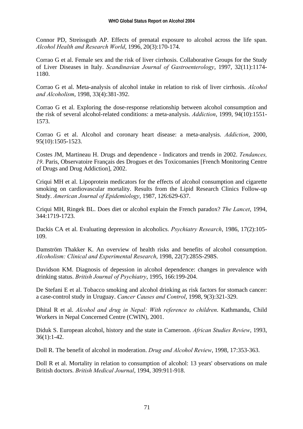Connor PD, Streissguth AP. Effects of prenatal exposure to alcohol across the life span. *Alcohol Health and Research World*, 1996, 20(3):170-174.

Corrao G et al. Female sex and the risk of liver cirrhosis. Collaborative Groups for the Study of Liver Diseases in Italy. *Scandinavian Journal of Gastroenterology*, 1997, 32(11):1174- 1180.

Corrao G et al. Meta-analysis of alcohol intake in relation to risk of liver cirrhosis. *Alcohol and Alcoholism*, 1998, 33(4):381-392.

Corrao G et al. Exploring the dose-response relationship between alcohol consumption and the risk of several alcohol-related conditions: a meta-analysis. *Addiction*, 1999, 94(10):1551- 1573.

Corrao G et al. Alcohol and coronary heart disease: a meta-analysis. *Addiction*, 2000, 95(10):1505-1523.

Costes JM, Martineau H. Drugs and dependence - Indicators and trends in 2002. *Tendances, 19*. Paris, Observatoire Français des Drogues et des Toxicomanies [French Monitoring Centre of Drugs and Drug Addiction], 2002.

Criqui MH et al. Lipoprotein medicators for the effects of alcohol consumption and cigarette smoking on cardiovascular mortality. Results from the Lipid Research Clinics Follow-up Study. *American Journal of Epidemiology*, 1987, 126:629-637.

Criqui MH, Ringek BL. Does diet or alcohol explain the French paradox? *The Lancet*, 1994, 344:1719-1723.

Dackis CA et al. Evaluating depression in alcoholics. *Psychiatry Research*, 1986, 17(2):105- 109.

Damström Thakker K. An overview of health risks and benefits of alcohol consumption. *Alcoholism: Clinical and Experimental Research*, 1998, 22(7):285S-298S.

Davidson KM. Diagnosis of depession in alcohol dependence: changes in prevalence with drinking status. *British Journal of Psychiatry*, 1995, 166:199-204.

De Stefani E et al. Tobacco smoking and alcohol drinking as risk factors for stomach cancer: a case-control study in Uruguay. *Cancer Causes and Control*, 1998, 9(3):321-329.

Dhital R et al. *Alcohol and drug in Nepal: With reference to children*. Kathmandu, Child Workers in Nepal Concerned Centre (CWIN), 2001.

Diduk S. European alcohol, history and the state in Cameroon. *African Studies Review*, 1993,  $36(1):1-42.$ 

Doll R. The benefit of alcohol in moderation. *Drug and Alcohol Review*, 1998, 17:353-363.

Doll R et al. Mortality in relation to consumption of alcohol: 13 years' observations on male British doctors. *British Medical Journal*, 1994, 309:911-918.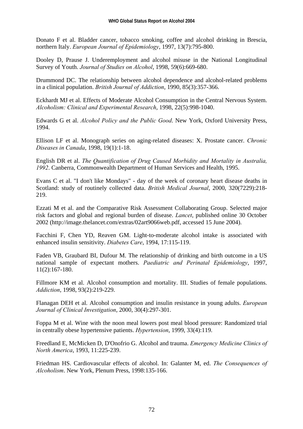Donato F et al. Bladder cancer, tobacco smoking, coffee and alcohol drinking in Brescia, northern Italy. *European Journal of Epidemiology*, 1997, 13(7):795-800.

Dooley D, Prause J. Underemployment and alcohol misuse in the National Longitudinal Survey of Youth. *Journal of Studies on Alcohol*, 1998, 59(6):669-680.

Drummond DC. The relationship between alcohol dependence and alcohol-related problems in a clinical population. *British Journal of Addiction*, 1990, 85(3):357-366.

Eckhardt MJ et al. Effects of Moderate Alcohol Consumption in the Central Nervous System. *Alcoholism: Clinical and Experimental Research*, 1998, 22(5):998-1040.

Edwards G et al. *Alcohol Policy and the Public Good*. New York, Oxford University Press, 1994.

Ellison LF et al. Monograph series on aging-related diseases: X. Prostate cancer. *Chronic Diseases in Canada*, 1998, 19(1):1-18.

English DR et al. *The Quantification of Drug Caused Morbidity and Mortality in Australia, 1992*. Canberra, Commonwealth Department of Human Services and Health, 1995.

Evans C et al. "I don't like Mondays" - day of the week of coronary heart disease deaths in Scotland: study of routinely collected data. *British Medical Journal*, 2000, 320(7229):218- 219.

Ezzati M et al. and the Comparative Risk Assessment Collaborating Group. Selected major risk factors and global and regional burden of disease. *Lancet*, published online 30 October 2002 (http://image.thelancet.com/extras/02art9066web.pdf, accessed 15 June 2004).

Facchini F, Chen YD, Reaven GM. Light-to-moderate alcohol intake is associated with enhanced insulin sensitivity. *Diabetes Care*, 1994, 17:115-119.

Faden VB, Graubard BI, Dufour M. The relationship of drinking and birth outcome in a US national sample of expectant mothers. *Paediatric and Perinatal Epidemiology*, 1997, 11(2):167-180.

Fillmore KM et al. Alcohol consumption and mortality. III. Studies of female populations. *Addiction*, 1998, 93(2):219-229.

Flanagan DEH et al. Alcohol consumption and insulin resistance in young adults. *European Journal of Clinical Investigation*, 2000, 30(4):297-301.

Foppa M et al. Wine with the noon meal lowers post meal blood pressure: Randomized trial in centrally obese hypertensive patients. *Hypertension*, 1999, 33(4):119.

Freedland E, McMicken D, D'Onofrio G. Alcohol and trauma. *Emergency Medicine Clinics of North America*, 1993, 11:225-239.

Friedman HS. Cardiovascular effects of alcohol. In: Galanter M, ed. *The Consequences of Alcoholism*. New York, Plenum Press, 1998:135-166.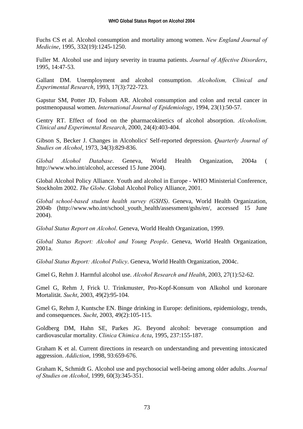Fuchs CS et al. Alcohol consumption and mortality among women. *New England Journal of Medicine*, 1995, 332(19):1245-1250.

Fuller M. Alcohol use and injury severity in trauma patients. *Journal of Affective Disorders*, 1995, 14:47-53.

Gallant DM. Unemployment and alcohol consumption. *Alcoholism, Clinical and Experimental Research*, 1993, 17(3):722-723.

Gapstur SM, Potter JD, Folsom AR. Alcohol consumption and colon and rectal cancer in postmenopausal women. *International Journal of Epidemiology*, 1994, 23(1):50-57.

Gentry RT. Effect of food on the pharmacokinetics of alcohol absorption. *Alcoholism, Clinical and Experimental Research*, 2000, 24(4):403-404.

Gibson S, Becker J. Changes in Alcoholics' Self-reported depression. *Quarterly Journal of Studies on Alcohol*, 1973, 34(3):829-836.

*Global Alcohol Database*. Geneva, World Health Organization, 2004a ( http://www.who.int/alcohol, accessed 15 June 2004).

Global Alcohol Policy Alliance. Youth and alcohol in Europe - WHO Ministerial Conference, Stockholm 2002. *The Globe*. Global Alcohol Policy Alliance, 2001.

*Global school-based student health survey (GSHS)*. Geneva, World Health Organization, 2004b (http://www.who.int/school\_youth\_health/assessment/gshs/en/, accessed 15 June 2004).

*Global Status Report on Alcohol*. Geneva, World Health Organization, 1999.

*Global Status Report: Alcohol and Young People*. Geneva, World Health Organization, 2001a.

*Global Status Report: Alcohol Policy*. Geneva, World Health Organization, 2004c.

Gmel G, Rehm J. Harmful alcohol use. *Alcohol Research and Health*, 2003, 27(1):52-62.

Gmel G, Rehm J, Frick U. Trinkmuster, Pro-Kopf-Konsum von Alkohol und koronare Mortalität. *Sucht*, 2003, 49(2):95-104.

Gmel G, Rehm J, Kuntsche EN. Binge drinking in Europe: definitions, epidemiology, trends, and consequences. *Sucht*, 2003, 49(2):105-115.

Goldberg DM, Hahn SE, Parkes JG. Beyond alcohol: beverage consumption and cardiovascular mortality. *Clinica Chimica Acta*, 1995, 237:155-187.

Graham K et al. Current directions in research on understanding and preventing intoxicated aggression. *Addiction*, 1998, 93:659-676.

Graham K, Schmidt G. Alcohol use and psychosocial well-being among older adults. *Journal of Studies on Alcohol*, 1999, 60(3):345-351.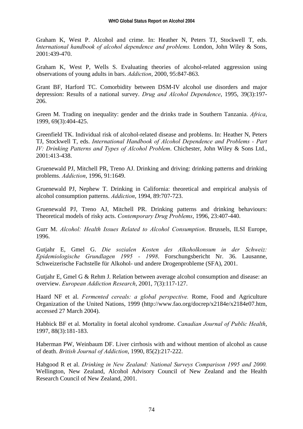Graham K, West P. Alcohol and crime. In: Heather N, Peters TJ, Stockwell T, eds. *International handbook of alcohol dependence and problems.* London, John Wiley & Sons, 2001:439-470.

Graham K, West P, Wells S. Evaluating theories of alcohol-related aggression using observations of young adults in bars. *Addiction*, 2000, 95:847-863.

Grant BF, Harford TC. Comorbidity between DSM-IV alcohol use disorders and major depression: Results of a national survey. *Drug and Alcohol Dependence*, 1995, 39(3):197- 206.

Green M. Trading on inequality: gender and the drinks trade in Southern Tanzania. *Africa*, 1999, 69(3):404-425.

Greenfield TK. Individual risk of alcohol-related disease and problems. In: Heather N, Peters TJ, Stockwell T, eds. *International Handbook of Alcohol Dependence and Problems - Part IV: Drinking Patterns and Types of Alcohol Problem*. Chichester, John Wiley & Sons Ltd., 2001:413-438.

Gruenewald PJ, Mitchell PR, Treno AJ. Drinking and driving: drinking patterns and drinking problems. *Addiction*, 1996, 91:1649.

Gruenewald PJ, Nephew T. Drinking in California: theoretical and empirical analysis of alcohol consumption patterns. *Addiction*, 1994, 89:707-723.

Gruenewald PJ, Treno AJ, Mitchell PR. Drinking patterns and drinking behaviours: Theoretical models of risky acts. *Contemporary Drug Problems*, 1996, 23:407-440.

Gurr M. *Alcohol: Health Issues Related to Alcohol Consumption*. Brussels, ILSI Europe, 1996.

Gutjahr E, Gmel G. *Die sozialen Kosten des Alkoholkonsum in der Schweiz: Epidemiologische Grundlagen 1995 - 1998*. Forschungsbericht Nr. 36. Lausanne, Schweizerische Fachstelle für Alkohol- und andere Drogenprobleme (SFA), 2001.

Gutjahr E, Gmel G & Rehm J. Relation between average alcohol consumption and disease: an overview. *European Addiction Research*, 2001, 7(3):117-127.

Haard NF et al. *Fermented cereals: a global perspective.* Rome, Food and Agriculture Organization of the United Nations, 1999 (http://www.fao.org/docrep/x2184e/x2184e07.htm, accessed 27 March 2004).

Habbick BF et al. Mortality in foetal alcohol syndrome. *Canadian Journal of Public Health*, 1997, 88(3):181-183.

Haberman PW, Weinbaum DF. Liver cirrhosis with and without mention of alcohol as cause of death. *British Journal of Addiction*, 1990, 85(2):217-222.

Habgood R et al. *Drinking in New Zealand: National Surveys Comparison 1995 and 2000.* Wellington, New Zealand, Alcohol Advisory Council of New Zealand and the Health Research Council of New Zealand, 2001.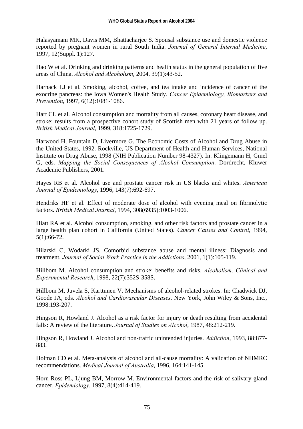Halasyamani MK, Davis MM, Bhattacharjee S. Spousal substance use and domestic violence reported by pregnant women in rural South India. *Journal of General Internal Medicine*, 1997, 12(Suppl. 1):127.

Hao W et al. Drinking and drinking patterns and health status in the general population of five areas of China. *Alcohol and Alcoholism*, 2004, 39(1):43-52.

Harnack LJ et al. Smoking, alcohol, coffee, and tea intake and incidence of cancer of the exocrine pancreas: the Iowa Women's Health Study. *Cancer Epidemiology, Biomarkers and Prevention*, 1997, 6(12):1081-1086.

Hart CL et al. Alcohol consumption and mortality from all causes, coronary heart disease, and stroke: results from a prospective cohort study of Scottish men with 21 years of follow up. *British Medical Journal*, 1999, 318:1725-1729.

Harwood H, Fountain D, Livermore G. The Economic Costs of Alcohol and Drug Abuse in the United States, 1992. Rockville, US Department of Health and Human Services, National Institute on Drug Abuse, 1998 (NIH Publication Number 98-4327). In: Klingemann H, Gmel G, eds. *Mapping the Social Consequences of Alcohol Consumption*. Dordrecht, Kluwer Academic Publishers, 2001.

Hayes RB et al. Alcohol use and prostate cancer risk in US blacks and whites. *American Journal of Epidemiology*, 1996, 143(7):692-697.

Hendriks HF et al. Effect of moderate dose of alcohol with evening meal on fibrinolytic factors. *British Medical Journal*, 1994, 308(6935):1003-1006.

Hiatt RA et al. Alcohol consumption, smoking, and other risk factors and prostate cancer in a large health plan cohort in California (United States). *Cancer Causes and Control*, 1994, 5(1):66-72.

Hilarski C, Wodarki JS. Comorbid substance abuse and mental illness: Diagnosis and treatment. *Journal of Social Work Practice in the Addictions*, 2001, 1(1):105-119.

Hillbom M. Alcohol consumption and stroke: benefits and risks. *Alcoholism, Clinical and Experimental Research*, 1998, 22(7):352S-358S.

Hillbom M, Juvela S, Karttunen V. Mechanisms of alcohol-related strokes. In: Chadwick DJ, Goode JA, eds. *Alcohol and Cardiovascular Diseases*. New York, John Wiley & Sons, Inc., 1998:193-207.

Hingson R, Howland J. Alcohol as a risk factor for injury or death resulting from accidental falls: A review of the literature. *Journal of Studies on Alcohol*, 1987, 48:212-219.

Hingson R, Howland J. Alcohol and non-traffic unintended injuries. *Addiction*, 1993, 88:877- 883.

Holman CD et al. Meta-analysis of alcohol and all-cause mortality: A validation of NHMRC recommendations. *Medical Journal of Australia*, 1996, 164:141-145.

Horn-Ross PL, Ljung BM, Morrow M. Environmental factors and the risk of salivary gland cancer. *Epidemiology*, 1997, 8(4):414-419.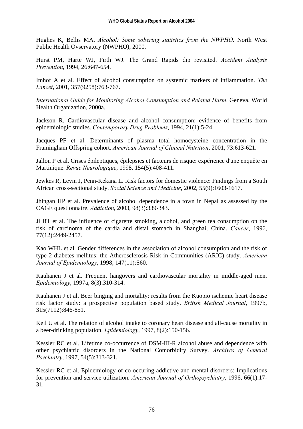Hughes K, Bellis MA. *Alcohol: Some sobering statistics from the NWPHO*. North West Public Health Ovservatory (NWPHO), 2000.

Hurst PM, Harte WJ, Firth WJ. The Grand Rapids dip revisited. *Accident Analysis Prevention*, 1994, 26:647-654.

Imhof A et al. Effect of alcohol consumption on systemic markers of inflammation. *The Lancet*, 2001, 357(9258):763-767.

*International Guide for Monitoring Alcohol Consumption and Related Harm*. Geneva, World Health Organization, 2000a.

Jackson R. Cardiovascular disease and alcohol consumption: evidence of benefits from epidemiologic studies. *Contemporary Drug Problems*, 1994, 21(1):5-24.

Jacques PF et al. Determinants of plasma total homocysteine concentration in the Framingham Offspring cohort. *American Journal of Clinical Nutrition*, 2001, 73:613-621.

Jallon P et al. Crises épileptiques, épilepsies et facteurs de risque: expérience d'une enquête en Martinique. *Revue Neurologique*, 1998, 154(5):408-411.

Jewkes R, Levin J, Penn-Kekana L. Risk factors for domestic violence: Findings from a South African cross-sectional study. *Social Science and Medicine*, 2002, 55(9):1603-1617.

Jhingan HP et al. Prevalence of alcohol dependence in a town in Nepal as assessed by the CAGE questionnaire. *Addiction*, 2003, 98(3):339-343.

Ji BT et al. The influence of cigarette smoking, alcohol, and green tea consumption on the risk of carcinoma of the cardia and distal stomach in Shanghai, China. *Cancer*, 1996, 77(12):2449-2457.

Kao WHL et al. Gender differences in the association of alcohol consumption and the risk of type 2 diabetes mellitus: the Atherosclerosis Risk in Communities (ARIC) study. *American Journal of Epidemiology*, 1998, 147(11):S60.

Kauhanen J et al. Frequent hangovers and cardiovascular mortality in middle-aged men. *Epidemiology*, 1997a, 8(3):310-314.

Kauhanen J et al. Beer binging and mortality: results from the Kuopio ischemic heart disease risk factor study: a prospective population based study. *British Medical Journal*, 1997b, 315(7112):846-851.

Keil U et al. The relation of alcohol intake to coronary heart disease and all-cause mortality in a beer-drinking population. *Epidemiology*, 1997, 8(2):150-156.

Kessler RC et al. Lifetime co-occurrence of DSM-III-R alcohol abuse and dependence with other psychiatric disorders in the National Comorbidity Survey. *Archives of General Psychiatry*, 1997, 54(5):313-321.

Kessler RC et al. Epidemiology of co-occuring addictive and mental disorders: Implications for prevention and service utilization. *American Journal of Orthopsychiatry*, 1996, 66(1):17- 31.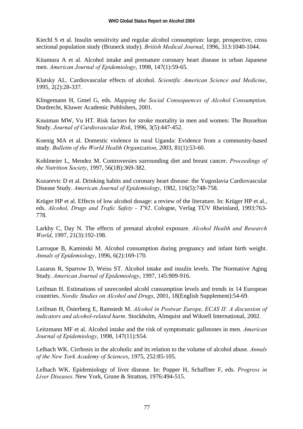Kiechl S et al. Insulin sensitivity and regular alcohol consumption: large, prospective, cross sectional population study (Bruneck study). *British Medical Journal*, 1996, 313:1040-1044.

Kitamura A et al. Alcohol intake and premature coronary heart disease in urban Japanese men. *American Journal of Epidemiology*, 1998, 147(1):59-65.

Klatsky AL. Cardiovascular effects of alcohol. *Scientific American Science and Medicine*, 1995, 2(2):28-337.

Klingemann H, Gmel G, eds. *Mapping the Social Consequences of Alcohol Consumption*. Dordrecht, Kluwer Academic Publishers, 2001.

Knuiman MW, Vu HT. Risk factors for stroke mortality in men and women: The Busselton Study. *Journal of Cardiovascular Risk*, 1996, 3(5):447-452.

Koenig MA et al. Domestic violence in rural Uganda: Evidence from a community-based study. *Bulletin of the World Health Organization*, 2003, 81(1):53-60.

Kohlmeier L, Mendez M. Controversies surrounding diet and breast cancer. *Proceedings of the Nutrition Society*, 1997, 56(1B):369-382.

Kozarevic D et al. Drinking habits and coronary heart disease: the Yugoslavia Cardiovascular Disease Study. *American Journal of Epidemiology*, 1982, 116(5):748-758.

Krüger HP et al. Effects of low alcohol dosage: a review of the literature. In: Krüger HP et al., eds. *Alcohol, Drugs and Trafic Safety - T'92*. Cologne, Verlag TÜV Rheinland, 1993:763- 778.

Larkby C, Day N. The effects of prenatal alcohol exposure. *Alcohol Health and Research World*, 1997, 21(3):192-198.

Larroque B, Kaminski M. Alcohol consumption during pregnancy and infant birth weight. *Annals of Epidemiology*, 1996, 6(2):169-170.

Lazarus R, Sparrow D, Weiss ST. Alcohol intake and insulin levels. The Normative Aging Study. *American Journal of Epidemiology*, 1997, 145:909-916.

Leifman H. Estimations of unrecorded alcohl consumption levels and trends in 14 European countries. *Nordic Studies on Alcohol and Drugs*, 2001, 18(English Supplement):54-69.

Leifman H, Österberg E, Ramstedt M. *Alcohol in Postwar Europe, ECAS II: A discussion of indicators and alcohol-related harm*. Stockholm, Almquist and Wiksell International, 2002.

Leitzmann MF et al. Alcohol intake and the risk of symptomatic gallstones in men. *American Journal of Epidemiology*, 1998, 147(11):S54.

Lelbach WK. Cirrhosis in the alcoholic and its relation to the volume of alcohol abuse. *Annals of the New York Academy of Sciences*, 1975, 252:85-105.

Lelbach WK. Epidemiology of liver disease. In: Popper H, Schaffner F, eds. *Progress in Liver Diseases*. New York, Grune & Stratton, 1976:494-515.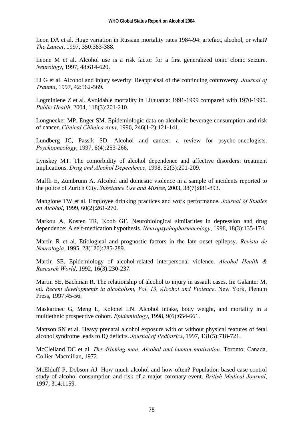Leon DA et al. Huge variation in Russian mortality rates 1984-94: artefact, alcohol, or what? *The Lancet*, 1997, 350:383-388.

Leone M et al. Alcohol use is a risk factor for a first generalized tonic clonic seizure. *Neurology*, 1997, 48:614-620.

Li G et al. Alcohol and injury severity: Reappraisal of the continuing controversy. *Journal of Trauma*, 1997, 42:562-569.

Logminiene Z et al. Avoidable mortality in Lithuania: 1991-1999 compared with 1970-1990. *Public Health*, 2004, 118(3):201-210.

Longnecker MP, Enger SM. Epidemiologic data on alcoholic beverage consumption and risk of cancer. *Clinical Chimica Acta*, 1996, 246(1-2):121-141.

Lundberg JC, Passik SD. Alcohol and cancer: a review for psycho-oncologists. *Psychooncology*, 1997, 6(4):253-266.

Lynskey MT. The comorbidity of alcohol dependence and affective disorders: treatment implications. *Drug and Alcohol Dependence*, 1998, 52(3):201-209.

Maffli E, Zumbrunn A. Alcohol and domestic violence in a sample of incidents reported to the police of Zurich City. *Substance Use and Misuse*, 2003, 38(7):881-893.

Mangione TW et al. Employee drinking practices and work performance. *Journal of Studies on Alcohol*, 1999, 60(2):261-270.

Markou A, Kosten TR, Koob GF. Neurobiological similarities in depression and drug dependence: A self-medication hypothesis. *Neuropsychopharmacology*, 1998, 18(3):135-174.

Martín R et al. Etiological and prognostic factors in the late onset epilepsy. *Revista de Neurologia*, 1995, 23(120):285-289.

Martin SE. Epidemiology of alcohol-related interpersonal violence. *Alcohol Health & Research World*, 1992, 16(3):230-237.

Martin SE, Bachman R. The relationship of alcohol to injury in assault cases. In: Galanter M, ed. *Recent developments in alcoholism, Vol. 13, Alcohol and Violence*. New York, Plenum Press, 1997:45-56.

Maskarinec G, Meng L, Kolonel LN. Alcohol intake, body weight, and mortality in a multiethnic prospective cohort. *Epidemiology*, 1998, 9(6):654-661.

Mattson SN et al. Heavy prenatal alcohol exposure with or without physical features of fetal alcohol syndrome leads to IQ deficits. *Journal of Pediatrics*, 1997, 131(5):718-721.

McClelland DC et al. *The drinking man. Alcohol and human motivation.* Toronto, Canada, Collier-Macmillan, 1972.

McElduff P, Dobson AJ. How much alcohol and how often? Population based case-control study of alcohol consumption and risk of a major coronary event. *British Medical Journal*, 1997, 314:1159.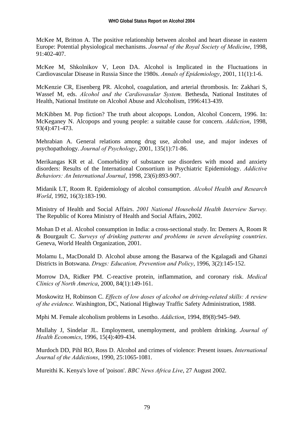McKee M, Britton A. The positive relationship between alcohol and heart disease in eastern Europe: Potential physiological mechanisms. *Journal of the Royal Society of Medicine*, 1998, 91:402-407.

McKee M, Shkolnikov V, Leon DA. Alcohol is Implicated in the Fluctuations in Cardiovascular Disease in Russia Since the 1980s. *Annals of Epidemiology*, 2001, 11(1):1-6.

McKenzie CR, Eisenberg PR. Alcohol, coagulation, and arterial thrombosis. In: Zakhari S, Wassef M, eds. *Alcohol and the Cardiovasular System.* Bethesda, National Institutes of Health, National Institute on Alcohol Abuse and Alcoholism, 1996:413-439.

McKibben M. Pop fiction? The truth about alcopops. London, Alcohol Concern, 1996. In: McKeganey N. Alcopops and young people: a suitable cause for concern. *Addiction*, 1998, 93(4):471-473.

Mehrabian A. General relations among drug use, alcohol use, and major indexes of psychopathology. *Journal of Psychology*, 2001, 135(1):71-86.

Merikangas KR et al. Comorbidity of substance use disorders with mood and anxiety disorders: Results of the International Consortium in Psychiatric Epidemiology. *Addictive Behaviors: An International Journal*, 1998, 23(6):893-907.

Midanik LT, Room R. Epidemiology of alcohol consumption. *Alcohol Health and Research World*, 1992, 16(3):183-190.

Ministry of Health and Social Affairs. *2001 National Household Health Interview Survey.* The Republic of Korea Ministry of Health and Social Affairs, 2002.

Mohan D et al. Alcohol consumption in India: a cross-sectional study. In: Demers A, Room R & Bourgault C. *Surveys of drinking patterns and problems in seven developing countries*. Geneva, World Health Organization, 2001.

Molamu L, MacDonald D. Alcohol abuse among the Basarwa of the Kgalagadi and Ghanzi Districts in Botswana. *Drugs: Education, Prevention and Policy*, 1996, 3(2):145-152.

Morrow DA, Ridker PM. C-reactive protein, inflammation, and coronary risk. *Medical Clinics of North America*, 2000, 84(1):149-161.

Moskowitz H, Robinson C. *Effects of low doses of alcohol on driving-related skills: A review of the evidence.* Washington, DC, National Highway Traffic Safety Administration, 1988.

Mphi M. Female alcoholism problems in Lesotho. *Addiction*, 1994, 89(8):945–949.

Mullahy J, Sindelar JL. Employment, unemployment, and problem drinking. *Journal of Health Economics*, 1996, 15(4):409-434.

Murdoch DD, Pihl RO, Ross D. Alcohol and crimes of violence: Present issues. *International Journal of the Addictions*, 1990, 25:1065-1081.

Mureithi K. Kenya's love of 'poison'. *BBC News Africa Live*, 27 August 2002.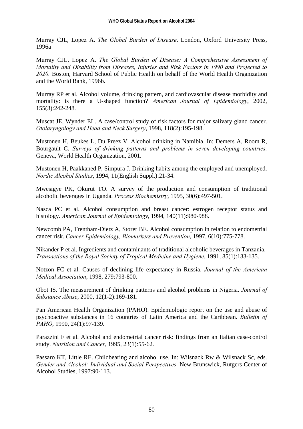Murray CJL, Lopez A. *The Global Burden of Disease*. London, Oxford University Press, 1996a

Murray CJL, Lopez A. *The Global Burden of Disease: A Comprehensive Assessment of Mortality and Disability from Diseases, Injuries and Risk Factors in 1990 and Projected to 2020.* Boston, Harvard School of Public Health on behalf of the World Health Organization and the World Bank, 1996b.

Murray RP et al. Alcohol volume, drinking pattern, and cardiovascular disease morbidity and mortality: is there a U-shaped function? *American Journal of Epidemiology*, 2002, 155(3):242-248.

Muscat JE, Wynder EL. A case/control study of risk factors for major salivary gland cancer. *Otolaryngology and Head and Neck Surgery*, 1998, 118(2):195-198.

Mustonen H, Beukes L, Du Preez V. Alcohol drinking in Namibia. In: Demers A, Room R, Bourgault C. *Surveys of drinking patterns and problems in seven developing countries.* Geneva, World Health Organization, 2001.

Mustonen H, Paakkaned P, Simpura J. Drinking habits among the employed and unemployed. *Nordic Alcohol Studies*, 1994, 11(English Suppl.):21-34.

Mwesigye PK, Okurut TO. A survey of the production and consumption of traditional alcoholic beverages in Uganda. *Process Biochemistry*, 1995, 30(6):497-501.

Nasca PC et al. Alcohol consumption and breast cancer: estrogen receptor status and histology. *American Journal of Epidemiology*, 1994, 140(11):980-988.

Newcomb PA, Trentham-Dietz A, Storer BE. Alcohol consumption in relation to endometrial cancer risk. *Cancer Epidemiology, Biomarkers and Prevention*, 1997, 6(10):775-778.

Nikander P et al. Ingredients and contaminants of traditional alcoholic beverages in Tanzania. *Transactions of the Royal Society of Tropical Medicine and Hygiene*, 1991, 85(1):133-135.

Notzon FC et al. Causes of declining life expectancy in Russia. *Journal of the American Medical Association*, 1998, 279:793-800.

Obot IS. The measurement of drinking patterns and alcohol problems in Nigeria. *Journal of Substance Abuse*, 2000, 12(1-2):169-181.

Pan American Health Organization (PAHO). Epidemiologic report on the use and abuse of psychoactive substances in 16 countries of Latin America and the Caribbean. *Bulletin of PAHO*, 1990, 24(1):97-139.

Parazzini F et al. Alcohol and endometrial cancer risk: findings from an Italian case-control study. *Nutrition and Cancer*, 1995, 23(1):55-62.

Passaro KT, Little RE. Childbearing and alcohol use. In: Wilsnack Rw & Wilsnack Sc, eds. *Gender and Alcohol: Individual and Social Perspectives*. New Brunswick, Rutgers Center of Alcohol Studies, 1997:90-113.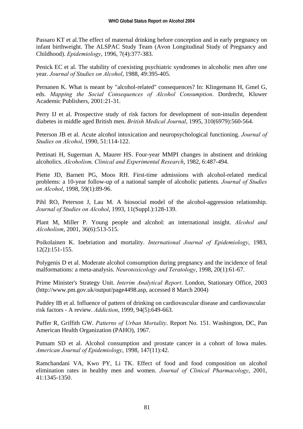Passaro KT et al.The effect of maternal drinking before conception and in early pregnancy on infant birthweight. The ALSPAC Study Team (Avon Longitudinal Study of Pregnancy and Childhood). *Epidemiology*, 1996, 7(4):377-383.

Penick EC et al. The stability of coexisting psychiatric syndromes in alcoholic men after one year. *Journal of Studies on Alcohol*, 1988, 49:395-405.

Pernanen K. What is meant by "alcohol-related" consequences? In: Klingemann H, Gmel G, eds. *Mapping the Social Consequences of Alcohol Consumption*. Dordrecht, Kluwer Academic Publishers, 2001:21-31.

Perry IJ et al. Prospective study of risk factors for development of non-insulin dependent diabetes in middle aged British men. *British Medical Journal*, 1995, 310(6979):560-564.

Peterson JB et al. Acute alcohol intoxication and neuropsychological functioning. *Journal of Studies on Alcohol*, 1990, 51:114-122.

Pettinati H, Sugerman A, Maurer HS. Four-year MMPI changes in abstinent and drinking alcoholics. *Alcoholism, Clinical and Experimental Research*, 1982, 6:487-494.

Piette JD, Barnett PG, Moos RH. First-time admissions with alcohol-related medical problems: a 10-year follow-up of a national sample of alcoholic patients. *Journal of Studies on Alcohol*, 1998, 59(1):89-96.

Pihl RO, Peterson J, Lau M. A biosocial model of the alcohol-aggression relationship. *Journal of Studies on Alcohol*, 1993, 11(Suppl.):128-139.

Plant M, Miller P. Young people and alcohol: an international insight. *Alcohol and Alcoholism*, 2001, 36(6):513-515.

Poikolainen K. Inebriation and mortality. *International Journal of Epidemiology*, 1983, 12(2):151-155.

Polygenis D et al. Moderate alcohol consumption during pregnancy and the incidence of fetal malformations: a meta-analysis. *Neurotoxicology and Teratology*, 1998, 20(1):61-67.

Prime Minister's Strategy Unit. *Interim Analytical Report*. London, Stationary Office, 2003 (http://www.pm.gov.uk/output/page4498.asp, accessed 8 March 2004)

Puddey IB et al. Influence of pattern of drinking on cardiovascular disease and cardiovascular risk factors - A review. *Addiction*, 1999, 94(5):649-663.

Puffer R, Griffith GW. *Patterns of Urban Mortality*. Report No. 151. Washington, DC, Pan American Health Organization (PAHO), 1967.

Putnam SD et al. Alcohol consumption and prostate cancer in a cohort of Iowa males. *American Journal of Epidemiology*, 1998, 147(11):42.

Ramchandani VA, Kwo PY, Li TK. Effect of food and food composition on alcohol elimination rates in healthy men and women. *Journal of Clinical Pharmacology*, 2001, 41:1345-1350.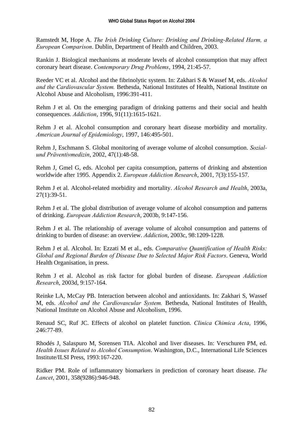Ramstedt M, Hope A. *The Irish Drinking Culture: Drinking and Drinking-Related Harm, a European Comparison*. Dublin, Department of Health and Children, 2003.

Rankin J. Biological mechanisms at moderate levels of alcohol consumption that may affect coronary heart disease. *Contemporary Drug Problems*, 1994, 21:45-57.

Reeder VC et al. Alcohol and the fibrinolytic system. In: Zakhari S & Wassef M, eds. *Alcohol and the Cardiovascular System.* Bethesda, National Institutes of Health, National Institute on Alcohol Abuse and Alcoholism, 1996:391-411.

Rehm J et al. On the emerging paradigm of drinking patterns and their social and health consequences. *Addiction*, 1996, 91(11):1615-1621.

Rehm J et al. Alcohol consumption and coronary heart disease morbidity and mortality. *American Journal of Epidemiology*, 1997, 146:495-501.

Rehm J, Eschmann S. Global monitoring of average volume of alcohol consumption. *Sozialund Präventivmedizin*, 2002, 47(1):48-58.

Rehm J, Gmel G, eds. Alcohol per capita consumption, patterns of drinking and abstention worldwide after 1995. Appendix 2. *European Addiction Research*, 2001, 7(3):155-157.

Rehm J et al. Alcohol-related morbidity and mortality. *Alcohol Research and Health*, 2003a, 27(1):39-51.

Rehm J et al. The global distribution of average volume of alcohol consumption and patterns of drinking. *European Addiction Research*, 2003b, 9:147-156.

Rehm J et al. The relationship of average volume of alcohol consumption and patterns of drinking to burden of disease: an overview. *Addiction*, 2003c, 98:1209-1228.

Rehm J et al. Alcohol. In: Ezzati M et al., eds. *Comparative Quantification of Health Risks: Global and Regional Burden of Disease Due to Selected Major Risk Factors*. Geneva, World Health Organisation, in press.

Rehm J et al. Alcohol as risk factor for global burden of disease. *European Addiction Research*, 2003d, 9:157-164.

Reinke LA, McCay PB. Interaction between alcohol and antioxidants. In: Zakhari S, Wassef M, eds. *Alcohol and the Cardiovascular System.* Bethesda, National Institutes of Health, National Institute on Alcohol Abuse and Alcoholism, 1996.

Renaud SC, Ruf JC. Effects of alcohol on platelet function. *Clinica Chimica Acta*, 1996, 246:77-89.

Rhodés J, Salaspuro M, Sorensen TIA. Alcohol and liver diseases. In: Verschuren PM, ed. *Health Issues Related to Alcohol Consumption*. Washington, D.C., International Life Sciences Institute/ILSI Press, 1993:167-220.

Ridker PM. Role of inflammatory biomarkers in prediction of coronary heart disease. *The Lancet*, 2001, 358(9286):946-948.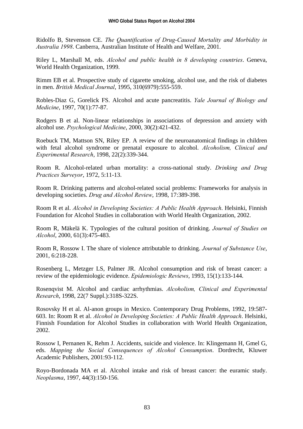Ridolfo B, Stevenson CE. *The Quantification of Drug-Caused Mortality and Morbidity in Australia 1998*. Canberra, Australian Institute of Health and Welfare, 2001.

Riley L, Marshall M, eds. *Alcohol and public health in 8 developing countries*. Geneva, World Health Organization, 1999.

Rimm EB et al. Prospective study of cigarette smoking, alcohol use, and the risk of diabetes in men. *British Medical Journal*, 1995, 310(6979):555-559.

Robles-Diaz G, Gorelick FS. Alcohol and acute pancreatitis. *Yale Journal of Biology and Medicine*, 1997, 70(1):77-87.

Rodgers B et al. Non-linear relationships in associations of depression and anxiety with alcohol use. *Psychological Medicine*, 2000, 30(2):421-432.

Roebuck TM, Mattson SN, Riley EP. A review of the neuroanatomical findings in children with fetal alcohol syndrome or prenatal exposure to alcohol. *Alcoholism, Clinical and Experimental Research*, 1998, 22(2):339-344.

Room R. Alcohol-related urban mortality: a cross-national study. *Drinking and Drug Practices Surveyor*, 1972, 5:11-13.

Room R. Drinking patterns and alcohol-related social problems: Frameworks for analysis in developing societies. *Drug and Alcohol Review*, 1998, 17:389-398.

Room R et al. *Alcohol in Developing Societies: A Public Health Approach*. Helsinki, Finnish Foundation for Alcohol Studies in collaboration with World Health Organization, 2002.

Room R, Mäkelä K. Typologies of the cultural position of drinking. *Journal of Studies on Alcohol*, 2000, 61(3):475-483.

Room R, Rossow I. The share of violence attributable to drinking. *Journal of Substance Use*, 2001, 6:218-228.

Rosenberg L, Metzger LS, Palmer JR. Alcohol consumption and risk of breast cancer: a review of the epidemiologic evidence. *Epidemiologic Reviews*, 1993, 15(1):133-144.

Rosenqvist M. Alcohol and cardiac arrhythmias. *Alcoholism, Clinical and Experimental Research*, 1998, 22(7 Suppl.):318S-322S.

Rosovsky H et al. Al-anon groups in Mexico. Contemporary Drug Problems, 1992, 19:587- 603. In: Room R et al. *Alcohol in Developing Societies: A Public Health Approach*. Helsinki, Finnish Foundation for Alcohol Studies in collaboration with World Health Organization, 2002.

Rossow I, Pernanen K, Rehm J. Accidents, suicide and violence. In: Klingemann H, Gmel G, eds. *Mapping the Social Consequences of Alcohol Consumption*. Dordrecht, Kluwer Academic Publishers, 2001:93-112.

Royo-Bordonada MA et al. Alcohol intake and risk of breast cancer: the euramic study. *Neoplasma*, 1997, 44(3):150-156.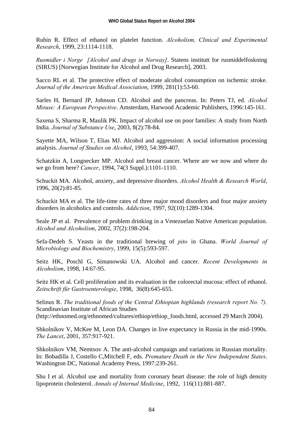Rubin R. Effect of ethanol on platelet function. *Alcoholism, Clinical and Experimental Research*, 1999, 23:1114-1118.

*Rusmidler i Norge [Alcohol and drugs in Norway]*. Statens institutt for rusmiddelfoskning (SIRUS) [Norwegian Institute for Alcohol and Drug Research], 2003.

Sacco RL et al. The protective effect of moderate alcohol consumption on ischemic stroke. *Journal of the American Medical Association*, 1999, 281(1):53-60.

Sarles H, Bernard JP, Johnson CD. Alcohol and the pancreas. In: Peters TJ, ed. *Alcohol Misuse: A European Perspective*. Amsterdam, Harwood Academic Publishers, 1996:145-161.

Saxena S, Sharma R, Maulik PK. Impact of alcohol use on poor families: A study from North India. *Journal of Substance Use*, 2003, 8(2):78-84.

Sayette MA, Wilson T, Elias MJ. Alcohol and aggression: A social information processing analysis. *Journal of Studies on Alcohol*, 1993, 54:399-407.

Schatzkin A, Longnecker MP. Alcohol and breast cancer. Where are we now and where do we go from here? *Cancer*, 1994, 74(3 Suppl.):1101-1110.

Schuckit MA. Alcohol, anxiety, and depressive disorders. *Alcohol Health & Research World*, 1996, 20(2):81-85.

Schuckit MA et al. The life-time rates of three major mood disorders and four major anxiety disorders in alcoholics and controls. *Addiction*, 1997, 92(10):1289-1304.

Seale JP et al. Prevalence of problem drinking in a Venezuelan Native American population. *Alcohol and Alcoholism*, 2002, 37(2):198-204.

Sefa-Dedeh S. Yeasts in the traditional brewing of *pito* in Ghana. *World Journal of Microbiology and Biochemistry*, 1999, 15(5):593-597.

Seitz HK, Poschl G, Simanowski UA. Alcohol and cancer. *Recent Developments in Alcoholism*, 1998, 14:67-95.

Seitz HK et al. Cell proliferation and its evaluation in the colorectal mucosa: effect of ethanol. *Zeitschrift für Gastroenterologie*, 1998, 36(8):645-655.

Selinus R. *The traditional foods of the Central Ethiopian highlands (research report No. 7).* Scandinavian Institute of African Studies (http://ethnomed.org/ethnomed/cultures/ethiop/ethiop\_foods.html, accessed 29 March 2004).

Shkolnikov V, McKee M, Leon DA. Changes in live expectancy in Russia in the mid-1990s. *The Lancet*, 2001, 357:917-921.

Shkolnikov VM, Nemtsov A. The anti-alcohol campaign and variations in Russian mortality. In: Bobadilla J, Costello C,Mitchell F, eds. *Premature Death in the New Independent States*. Washington DC, National Academy Press, 1997:239-261.

Shu I et al. Alcohol use and mortality from coronary heart disease: the role of high density lipoprotein cholesterol. *Annals of Internal Medicine*, 1992, 116(11):881-887.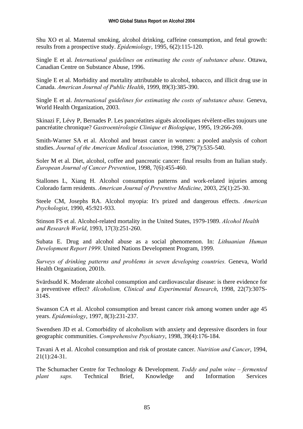Shu XO et al. Maternal smoking, alcohol drinking, caffeine consumption, and fetal growth: results from a prospective study. *Epidemiology*, 1995, 6(2):115-120.

Single E et al. *International guidelines on estimating the costs of substance abuse*. Ottawa, Canadian Centre on Substance Abuse, 1996.

Single E et al. Morbidity and mortality attributable to alcohol, tobacco, and illicit drug use in Canada. *American Journal of Public Health*, 1999, 89(3):385-390.

Single E et al. *International guidelines for estimating the costs of substance abuse.* Geneva, World Health Organization, 2003.

Skinazi F, Lévy P, Bernades P. Les pancréatites aiguës alcooliques révèlent-elles toujours une pancréatite chronique? *Gastroentérologie Clinique et Biologique*, 1995, 19:266-269.

Smith-Warner SA et al. Alcohol and breast cancer in women: a pooled analysis of cohort studies. *Journal of the American Medical Association*, 1998, 279(7):535-540.

Soler M et al. Diet, alcohol, coffee and pancreatic cancer: final results from an Italian study. *European Journal of Cancer Prevention*, 1998, 7(6):455-460.

Stallones L, Xiang H. Alcohol consumption patterns and work-related injuries among Colorado farm residents. *American Journal of Preventive Medicine*, 2003, 25(1):25-30.

Steele CM, Josephs RA. Alcohol myopia: It's prized and dangerous effects. *American Psychologist*, 1990, 45:921-933.

Stinson FS et al. Alcohol-related mortality in the United States, 1979-1989. *Alcohol Health and Research World*, 1993, 17(3):251-260.

Subata E. Drug and alcohol abuse as a social phenomenon. In: *Lithuanian Human Development Report 1999*. United Nations Development Program, 1999.

*Surveys of drinking patterns and problems in seven developing countries.* Geneva, World Health Organization, 2001b.

Svärdsudd K. Moderate alcohol consumption and cardiovascular disease: is there evidence for a preventivee effect? *Alcoholism, Clinical and Experimental Research*, 1998, 22(7):307S-314S.

Swanson CA et al. Alcohol consumption and breast cancer risk among women under age 45 years. *Epidemiology*, 1997, 8(3):231-237.

Swendsen JD et al. Comorbidity of alcoholism with anxiety and depressive disorders in four geographic communities. *Comprehensive Psychiatry*, 1998, 39(4):176-184.

Tavani A et al. Alcohol consumption and risk of prostate cancer. *Nutrition and Cancer*, 1994, 21(1):24-31.

The Schumacher Centre for Technology & Development. *Toddy and palm wine – fermented plant saps.* Technical Brief, Knowledge and Information Services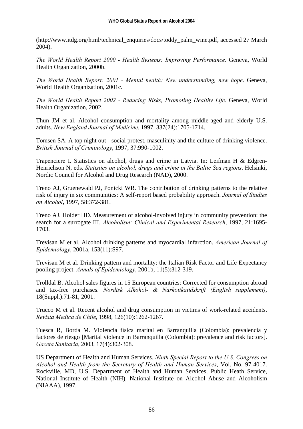(http://www.itdg.org/html/technical\_enquiries/docs/toddy\_palm\_wine.pdf, accessed 27 March 2004).

*The World Health Report 2000 - Health Systems: Improving Performance.* Geneva, World Health Organization, 2000b.

*The World Health Report: 2001 - Mental health: New understanding, new hope*. Geneva, World Health Organization, 2001c.

*The World Health Report 2002 - Reducing Risks, Promoting Healthy Life*. Geneva, World Health Organization, 2002.

Thun JM et al. Alcohol consumption and mortality among middle-aged and elderly U.S. adults. *New England Journal of Medicine*, 1997, 337(24):1705-1714.

Tomsen SA. A top night out - social protest, masculinity and the culture of drinking violence. *British Journal of Criminology*, 1997, 37:990-1002.

Trapenciere I. Statistics on alcohol, drugs and crime in Latvia. In: Leifman H & Edgren-Henrichson N, eds. *Statistics on alcohol, drugs and crime in the Baltic Sea regions*. Helsinki, Nordic Council for Alcohol and Drug Research (NAD), 2000.

Treno AJ, Gruenewald PJ, Ponicki WR. The contribution of drinking patterns to the relative risk of injury in six communities: A self-report based probability approach. *Journal of Studies on Alcohol*, 1997, 58:372-381.

Treno AJ, Holder HD. Measurement of alcohol-involved injury in community prevention: the search for a surrogate III. *Alcoholism: Clinical and Experimental Research*, 1997, 21:1695- 1703.

Trevisan M et al. Alcohol drinking patterns and myocardial infarction. *American Journal of Epidemiology*, 2001a, 153(11):S97.

Trevisan M et al. Drinking pattern and mortality: the Italian Risk Factor and Life Expectancy pooling project. *Annals of Epidemiology*, 2001b, 11(5):312-319.

Trolldal B. Alcohol sales figures in 15 European countries: Corrected for consumption abroad and tax-free purchases. *Nordisk Alkohol- & Narkotikatidskrift (English supplement)*, 18(Suppl.):71-81, 2001.

Trucco M et al. Recent alcohol and drug consumption in victims of work-related accidents. *Revista Medica de Chile*, 1998, 126(10):1262-1267.

Tuesca R, Borda M. Violencia física marital en Barranquilla (Colombia): prevalencia y factores de riesgo [Marital violence in Barranquilla (Colombia): prevalence and risk factors]. *Gaceta Sanitaria*, 2003, 17(4):302-308.

US Department of Health and Human Services. *Ninth Special Report to the U.S. Congress on Alcohol and Health from the Secretary of Health and Human Services*, Vol. No. 97-4017. Rockville, MD, U.S. Department of Health and Human Services, Public Heath Service, National Institute of Health (NIH), National Institute on Alcohol Abuse and Alcoholism (NIAAA), 1997.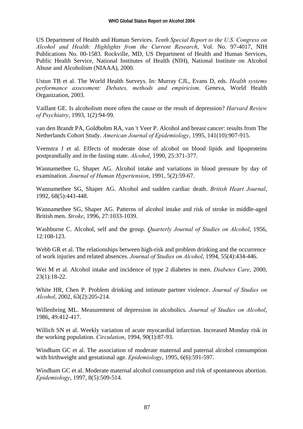US Department of Health and Human Services. *Tenth Special Report to the U.S. Congress on Alcohol and Health: Highlights from the Current Research*, Vol. No. 97-4017, NIH Publications No. 00-1583. Rockville, MD, US Department of Health and Human Services, Public Health Service, National Institutes of Health (NIH), National Institute on Alcohol Abuse and Alcoholism (NIAAA), 2000.

Ustun TB et al. The World Health Surveys. In: Murray CJL, Evans D, eds. *Health systems performance assessment: Debates, methods and empiricism*. Geneva, World Health Organization, 2003.

Vaillant GE. Is alcoholism more often the cause or the result of depression? *Harvard Review of Psychiatry*, 1993, 1(2):94-99.

van den Brandt PA, Goldbohm RA, van 't Veer P. Alcohol and breast cancer: results from The Netherlands Cohort Study. *American Journal of Epidemiology*, 1995, 141(10):907-915.

Veenstra J et al. Effects of moderate dose of alcohol on blood lipids and lipoproteins postprandially and in the fasting state. *Alcohol*, 1990, 25:371-377.

Wannamethee G, Shaper AG. Alcohol intake and variations in blood pressure by day of examination. *Journal of Human Hypertension*, 1991, 5(2):59-67.

Wannamethee SG, Shaper AG. Alcohol and sudden cardiac death. *British Heart Journal*, 1992, 68(5):443-448.

Wannamethee SG, Shaper AG. Patterns of alcohol intake and risk of stroke in middle-aged British men. *Stroke*, 1996, 27:1033-1039.

Washburne C. Alcohol, self and the group. *Quarterly Journal of Studies on Alcohol*, 1956, 12:108-123.

Webb GR et al. The relationships between high-risk and problem drinking and the occurrence of work injuries and related absences. *Journal of Studies on Alcohol*, 1994, 55(4):434-446.

Wei M et al. Alcohol intake and incidence of type 2 diabetes in men. *Diabetes Care*, 2000, 23(1):18-22.

White HR, Chen P. Problem drinking and intimate partner violence. *Journal of Studies on Alcohol*, 2002, 63(2):205-214.

Willenbring ML. Measurement of depression in alcoholics. *Journal of Studies on Alcohol*, 1986, 49:412-417.

Willich SN et al. Weekly variation of acute myocardial infarction. Increased Monday risk in the working population. *Circulation*, 1994, 90(1):87-93.

Windham GC et al. The association of moderate maternal and paternal alcohol consumption with birthweight and gestational age. *Epidemiology*, 1995, 6(6):591-597.

Windham GC et al. Moderate maternal alcohol consumption and risk of spontaneous abortion. *Epidemiology*, 1997, 8(5):509-514.